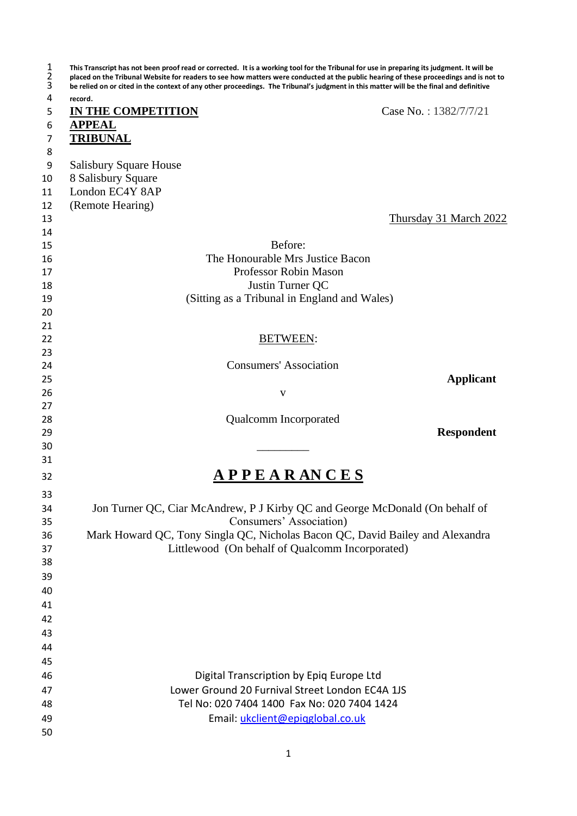| $\mathbf{1}$<br>2<br>3 | This Transcript has not been proof read or corrected. It is a working tool for the Tribunal for use in preparing its judgment. It will be<br>placed on the Tribunal Website for readers to see how matters were conducted at the public hearing of these proceedings and is not to<br>be relied on or cited in the context of any other proceedings. The Tribunal's judgment in this matter will be the final and definitive |
|------------------------|------------------------------------------------------------------------------------------------------------------------------------------------------------------------------------------------------------------------------------------------------------------------------------------------------------------------------------------------------------------------------------------------------------------------------|
| 4                      | record.                                                                                                                                                                                                                                                                                                                                                                                                                      |
| 5                      | Case No.: 1382/7/7/21<br><b>IN THE COMPETITION</b>                                                                                                                                                                                                                                                                                                                                                                           |
| 6                      | <b>APPEAL</b>                                                                                                                                                                                                                                                                                                                                                                                                                |
| 7                      | <u>TRIBUNAL</u>                                                                                                                                                                                                                                                                                                                                                                                                              |
| 8                      |                                                                                                                                                                                                                                                                                                                                                                                                                              |
| 9                      | <b>Salisbury Square House</b>                                                                                                                                                                                                                                                                                                                                                                                                |
| 10                     | 8 Salisbury Square                                                                                                                                                                                                                                                                                                                                                                                                           |
| 11                     | London EC4Y 8AP                                                                                                                                                                                                                                                                                                                                                                                                              |
| 12                     | (Remote Hearing)                                                                                                                                                                                                                                                                                                                                                                                                             |
| 13                     | Thursday 31 March 2022                                                                                                                                                                                                                                                                                                                                                                                                       |
| 14                     |                                                                                                                                                                                                                                                                                                                                                                                                                              |
| 15                     | Before:                                                                                                                                                                                                                                                                                                                                                                                                                      |
| 16                     | The Honourable Mrs Justice Bacon                                                                                                                                                                                                                                                                                                                                                                                             |
| 17                     | Professor Robin Mason                                                                                                                                                                                                                                                                                                                                                                                                        |
| 18                     | Justin Turner QC                                                                                                                                                                                                                                                                                                                                                                                                             |
| 19                     | (Sitting as a Tribunal in England and Wales)                                                                                                                                                                                                                                                                                                                                                                                 |
| 20                     |                                                                                                                                                                                                                                                                                                                                                                                                                              |
| 21                     |                                                                                                                                                                                                                                                                                                                                                                                                                              |
| 22                     | <b>BETWEEN:</b>                                                                                                                                                                                                                                                                                                                                                                                                              |
| 23                     |                                                                                                                                                                                                                                                                                                                                                                                                                              |
| 24                     | <b>Consumers' Association</b>                                                                                                                                                                                                                                                                                                                                                                                                |
| 25                     | <b>Applicant</b>                                                                                                                                                                                                                                                                                                                                                                                                             |
| 26                     | V                                                                                                                                                                                                                                                                                                                                                                                                                            |
| 27                     |                                                                                                                                                                                                                                                                                                                                                                                                                              |
| 28                     | <b>Qualcomm Incorporated</b>                                                                                                                                                                                                                                                                                                                                                                                                 |
| 29                     | <b>Respondent</b>                                                                                                                                                                                                                                                                                                                                                                                                            |
| 30                     |                                                                                                                                                                                                                                                                                                                                                                                                                              |
| 31                     |                                                                                                                                                                                                                                                                                                                                                                                                                              |
| 32                     | <u>APPEARANCES</u>                                                                                                                                                                                                                                                                                                                                                                                                           |
| 33                     |                                                                                                                                                                                                                                                                                                                                                                                                                              |
| 34                     | Jon Turner QC, Ciar McAndrew, P J Kirby QC and George McDonald (On behalf of                                                                                                                                                                                                                                                                                                                                                 |
| 35                     | Consumers' Association)                                                                                                                                                                                                                                                                                                                                                                                                      |
| 36                     | Mark Howard QC, Tony Singla QC, Nicholas Bacon QC, David Bailey and Alexandra                                                                                                                                                                                                                                                                                                                                                |
| 37                     | Littlewood (On behalf of Qualcomm Incorporated)                                                                                                                                                                                                                                                                                                                                                                              |
| 38                     |                                                                                                                                                                                                                                                                                                                                                                                                                              |
| 39                     |                                                                                                                                                                                                                                                                                                                                                                                                                              |
| 40                     |                                                                                                                                                                                                                                                                                                                                                                                                                              |
| 41                     |                                                                                                                                                                                                                                                                                                                                                                                                                              |
| 42                     |                                                                                                                                                                                                                                                                                                                                                                                                                              |
|                        |                                                                                                                                                                                                                                                                                                                                                                                                                              |
| 43                     |                                                                                                                                                                                                                                                                                                                                                                                                                              |
| 44                     |                                                                                                                                                                                                                                                                                                                                                                                                                              |
| 45                     |                                                                                                                                                                                                                                                                                                                                                                                                                              |
| 46                     | Digital Transcription by Epiq Europe Ltd                                                                                                                                                                                                                                                                                                                                                                                     |
| 47                     | Lower Ground 20 Furnival Street London EC4A 1JS                                                                                                                                                                                                                                                                                                                                                                              |
| 48                     | Tel No: 020 7404 1400 Fax No: 020 7404 1424                                                                                                                                                                                                                                                                                                                                                                                  |
| 49                     | Email: ukclient@epigglobal.co.uk                                                                                                                                                                                                                                                                                                                                                                                             |
| 50                     |                                                                                                                                                                                                                                                                                                                                                                                                                              |
|                        |                                                                                                                                                                                                                                                                                                                                                                                                                              |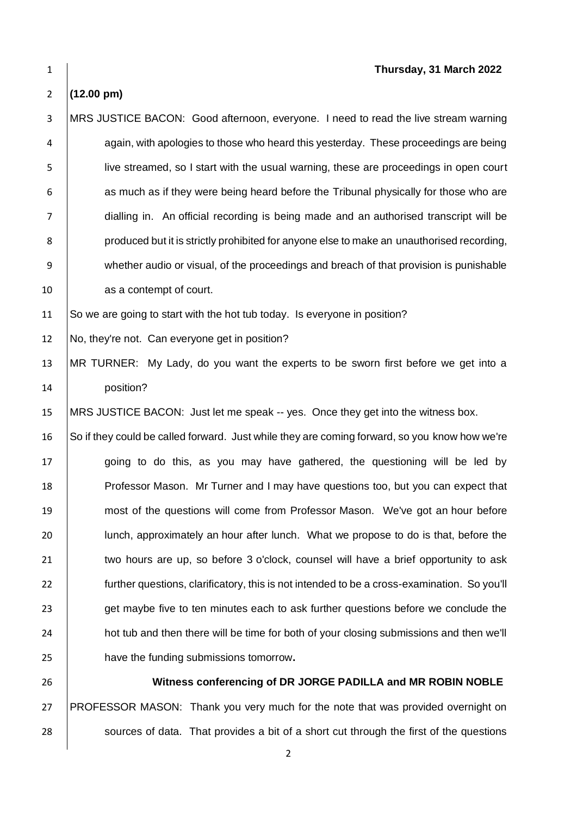| $\mathbf{1}$   | Thursday, 31 March 2022                                                                       |
|----------------|-----------------------------------------------------------------------------------------------|
| $\overline{2}$ | $(12.00 \text{ pm})$                                                                          |
| 3              | MRS JUSTICE BACON: Good afternoon, everyone. I need to read the live stream warning           |
| 4              | again, with apologies to those who heard this yesterday. These proceedings are being          |
| 5              | live streamed, so I start with the usual warning, these are proceedings in open court         |
| 6              | as much as if they were being heard before the Tribunal physically for those who are          |
| 7              | dialling in. An official recording is being made and an authorised transcript will be         |
| 8              | produced but it is strictly prohibited for anyone else to make an unauthorised recording,     |
| 9              | whether audio or visual, of the proceedings and breach of that provision is punishable        |
| 10             | as a contempt of court.                                                                       |
| 11             | So we are going to start with the hot tub today. Is everyone in position?                     |
| 12             | No, they're not. Can everyone get in position?                                                |
| 13             | MR TURNER: My Lady, do you want the experts to be sworn first before we get into a            |
| 14             | position?                                                                                     |
| 15             | MRS JUSTICE BACON: Just let me speak -- yes. Once they get into the witness box.              |
| 16             | So if they could be called forward. Just while they are coming forward, so you know how we're |
| 17             | going to do this, as you may have gathered, the questioning will be led by                    |
| 18             | Professor Mason. Mr Turner and I may have questions too, but you can expect that              |
| 19             | most of the questions will come from Professor Mason. We've got an hour before                |
| 20             | lunch, approximately an hour after lunch. What we propose to do is that, before the           |
| 21             | two hours are up, so before 3 o'clock, counsel will have a brief opportunity to ask           |
| 22             | further questions, clarificatory, this is not intended to be a cross-examination. So you'll   |
| 23             | get maybe five to ten minutes each to ask further questions before we conclude the            |
| 24             | hot tub and then there will be time for both of your closing submissions and then we'll       |
| 25             | have the funding submissions tomorrow.                                                        |
| 26             | Witness conferencing of DR JORGE PADILLA and MR ROBIN NOBLE                                   |
| 27             | PROFESSOR MASON: Thank you very much for the note that was provided overnight on              |
| 28             | sources of data. That provides a bit of a short cut through the first of the questions        |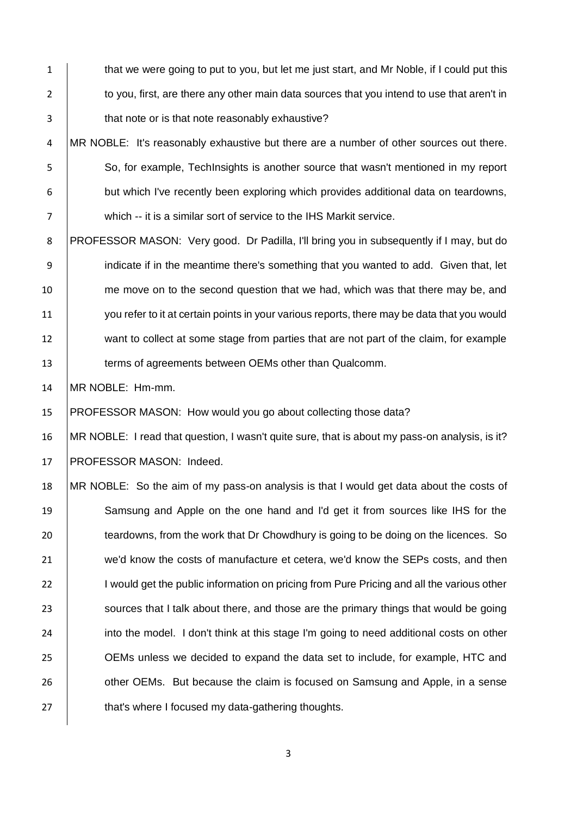1 that we were going to put to you, but let me just start, and Mr Noble, if I could put this 2 to you, first, are there any other main data sources that you intend to use that aren't in 3 **that note or is that note reasonably exhaustive?** 

4 | MR NOBLE: It's reasonably exhaustive but there are a number of other sources out there. 5 So, for example, TechInsights is another source that wasn't mentioned in my report 6 **but which I've recently been exploring which provides additional data on teardowns,** 7 which -- it is a similar sort of service to the IHS Markit service.

8 PROFESSOR MASON: Very good. Dr Padilla, I'll bring you in subsequently if I may, but do 9 | indicate if in the meantime there's something that you wanted to add. Given that, let 10 me move on to the second question that we had, which was that there may be, and 11 you refer to it at certain points in your various reports, there may be data that you would 12 want to collect at some stage from parties that are not part of the claim, for example 13 **terms of agreements between OEMs other than Qualcomm.** 

14 MR NOBLE: Hm-mm.

15 PROFESSOR MASON: How would you go about collecting those data?

16 MR NOBLE: I read that question, I wasn't quite sure, that is about my pass-on analysis, is it? 17 | PROFESSOR MASON: Indeed.

18 MR NOBLE: So the aim of my pass-on analysis is that I would get data about the costs of 19 Samsung and Apple on the one hand and I'd get it from sources like IHS for the 20 teardowns, from the work that Dr Chowdhury is going to be doing on the licences. So 21 we'd know the costs of manufacture et cetera, we'd know the SEPs costs, and then 22 I would get the public information on pricing from Pure Pricing and all the various other 23 | sources that I talk about there, and those are the primary things that would be going 24 into the model. I don't think at this stage I'm going to need additional costs on other 25 OEMs unless we decided to expand the data set to include, for example, HTC and 26 **our Set also conserve in Secuse** the claim is focused on Samsung and Apple, in a sense 27 **that's where I focused my data-gathering thoughts.**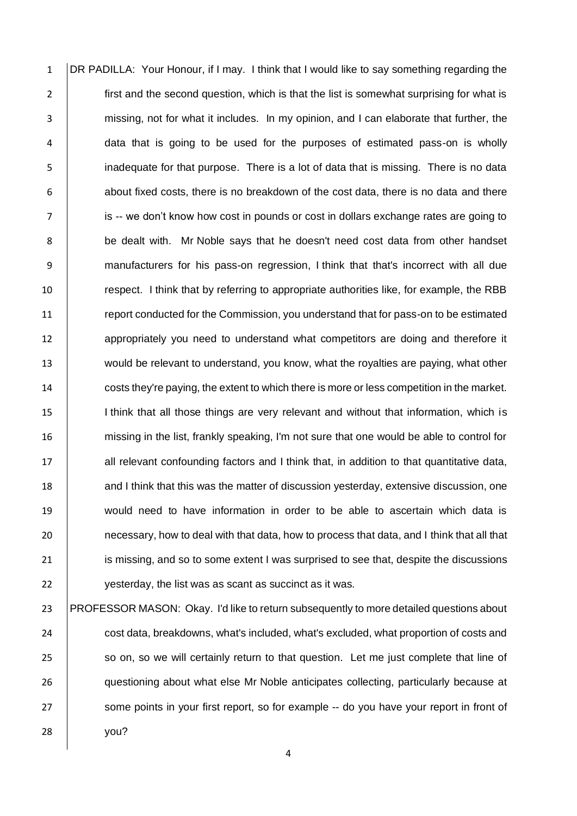DR PADILLA: Your Honour, if I may. I think that I would like to say something regarding the **first and the second question, which is that the list is somewhat surprising for what is** 3 missing, not for what it includes. In my opinion, and I can elaborate that further, the 4 data that is going to be used for the purposes of estimated pass-on is wholly inadequate for that purpose. There is a lot of data that is missing. There is no data  $\overline{6}$  about fixed costs, there is no breakdown of the cost data, there is no data and there **is -- we don't know how cost in pounds or cost in dollars exchange rates are going to** 8 be dealt with. Mr Noble says that he doesn't need cost data from other handset manufacturers for his pass-on regression, I think that that's incorrect with all due respect. I think that by referring to appropriate authorities like, for example, the RBB **report conducted for the Commission, you understand that for pass-on to be estimated**  appropriately you need to understand what competitors are doing and therefore it would be relevant to understand, you know, what the royalties are paying, what other **costs they're paying, the extent to which there is more or less competition in the market.** 15 | I think that all those things are very relevant and without that information, which is missing in the list, frankly speaking, I'm not sure that one would be able to control for 17 all relevant confounding factors and I think that, in addition to that quantitative data, **and I think that this was the matter of discussion vesterday, extensive discussion, one**  would need to have information in order to be able to ascertain which data is **Fig. 20** necessary, how to deal with that data, how to process that data, and I think that all that 21 | is missing, and so to some extent I was surprised to see that, despite the discussions **Fig. 22** yesterday, the list was as scant as succinct as it was.

 PROFESSOR MASON: Okay. I'd like to return subsequently to more detailed questions about 24 cost data, breakdowns, what's included, what's excluded, what proportion of costs and 25 so on, so we will certainly return to that question. Let me just complete that line of **questioning about what else Mr Noble anticipates collecting, particularly because at** 27 Some points in your first report, so for example -- do you have your report in front of you?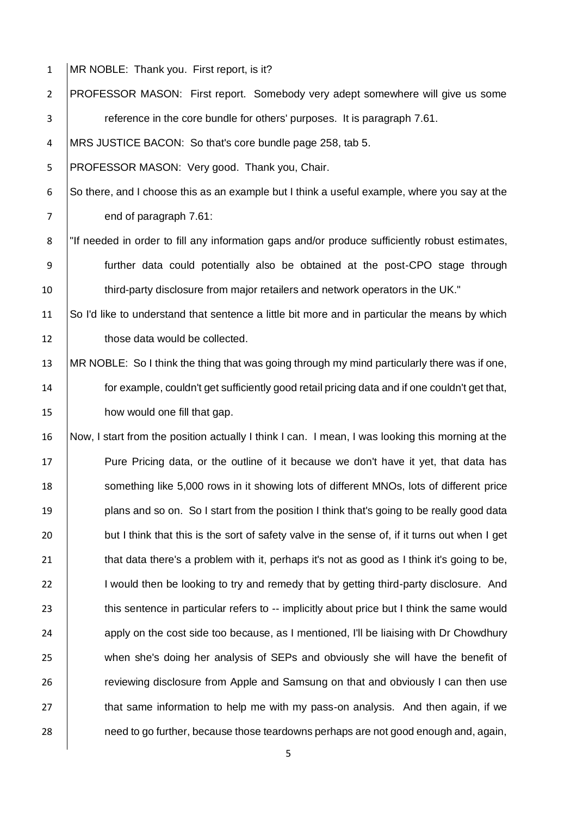| $\mathbf{1}$   | MR NOBLE: Thank you. First report, is it?                                                        |
|----------------|--------------------------------------------------------------------------------------------------|
| $\overline{2}$ | PROFESSOR MASON: First report. Somebody very adept somewhere will give us some                   |
| 3              | reference in the core bundle for others' purposes. It is paragraph 7.61.                         |
| 4              | MRS JUSTICE BACON: So that's core bundle page 258, tab 5.                                        |
| 5              | PROFESSOR MASON: Very good. Thank you, Chair.                                                    |
| 6              | So there, and I choose this as an example but I think a useful example, where you say at the     |
| 7              | end of paragraph 7.61:                                                                           |
| 8              | "If needed in order to fill any information gaps and/or produce sufficiently robust estimates,   |
| 9              | further data could potentially also be obtained at the post-CPO stage through                    |
| 10             | third-party disclosure from major retailers and network operators in the UK."                    |
| 11             | So I'd like to understand that sentence a little bit more and in particular the means by which   |
| 12             | those data would be collected.                                                                   |
| 13             | MR NOBLE: So I think the thing that was going through my mind particularly there was if one,     |
| 14             | for example, couldn't get sufficiently good retail pricing data and if one couldn't get that,    |
| 15             | how would one fill that gap.                                                                     |
| 16             | Now, I start from the position actually I think I can. I mean, I was looking this morning at the |
| 17             | Pure Pricing data, or the outline of it because we don't have it yet, that data has              |
| 18             | something like 5,000 rows in it showing lots of different MNOs, lots of different price          |
| 19             | plans and so on. So I start from the position I think that's going to be really good data        |
| 20             | but I think that this is the sort of safety valve in the sense of, if it turns out when I get    |
| 21             | that data there's a problem with it, perhaps it's not as good as I think it's going to be,       |
| 22             | I would then be looking to try and remedy that by getting third-party disclosure. And            |
| 23             | this sentence in particular refers to -- implicitly about price but I think the same would       |
| 24             | apply on the cost side too because, as I mentioned, I'll be liaising with Dr Chowdhury           |
| 25             | when she's doing her analysis of SEPs and obviously she will have the benefit of                 |
| 26             | reviewing disclosure from Apple and Samsung on that and obviously I can then use                 |
| 27             | that same information to help me with my pass-on analysis. And then again, if we                 |
| 28             | need to go further, because those teardowns perhaps are not good enough and, again,              |
|                | 5                                                                                                |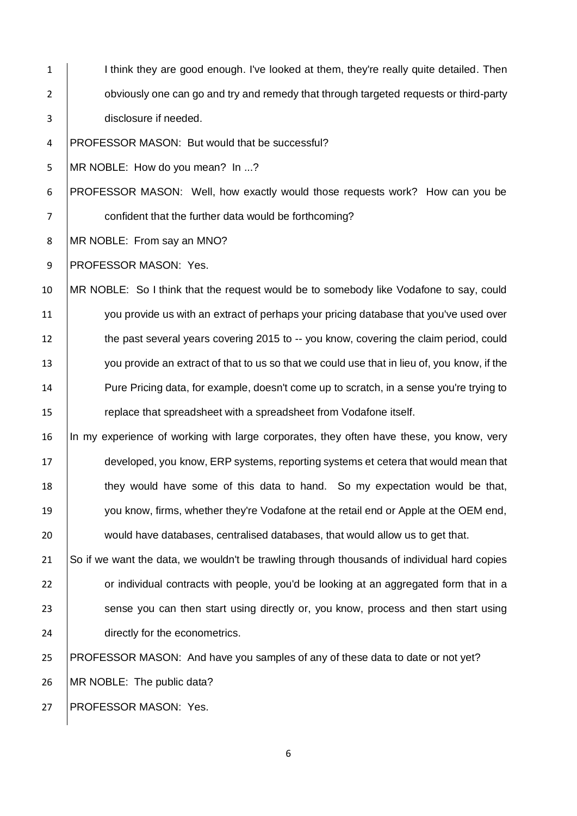| $\mathbf{1}$   | I think they are good enough. I've looked at them, they're really quite detailed. Then      |
|----------------|---------------------------------------------------------------------------------------------|
| $\overline{2}$ | obviously one can go and try and remedy that through targeted requests or third-party       |
| 3              | disclosure if needed.                                                                       |
| 4              | PROFESSOR MASON: But would that be successful?                                              |
| 5              | MR NOBLE: How do you mean? In ?                                                             |
| 6              | PROFESSOR MASON: Well, how exactly would those requests work? How can you be                |
| 7              | confident that the further data would be forthcoming?                                       |
| 8              | MR NOBLE: From say an MNO?                                                                  |
| 9              | PROFESSOR MASON: Yes.                                                                       |
| 10             | MR NOBLE: So I think that the request would be to somebody like Vodafone to say, could      |
| 11             | you provide us with an extract of perhaps your pricing database that you've used over       |
| 12             | the past several years covering 2015 to -- you know, covering the claim period, could       |
| 13             | you provide an extract of that to us so that we could use that in lieu of, you know, if the |
| 14             | Pure Pricing data, for example, doesn't come up to scratch, in a sense you're trying to     |
| 15             | replace that spreadsheet with a spreadsheet from Vodafone itself.                           |
| 16             | In my experience of working with large corporates, they often have these, you know, very    |
| 17             | developed, you know, ERP systems, reporting systems et cetera that would mean that          |
| 18             | they would have some of this data to hand. So my expectation would be that,                 |
| 19             | you know, firms, whether they're Vodafone at the retail end or Apple at the OEM end,        |
| 20             | would have databases, centralised databases, that would allow us to get that.               |
| 21             | So if we want the data, we wouldn't be trawling through thousands of individual hard copies |
| 22             | or individual contracts with people, you'd be looking at an aggregated form that in a       |
| 23             | sense you can then start using directly or, you know, process and then start using          |
| 24             | directly for the econometrics.                                                              |
| 25             | PROFESSOR MASON: And have you samples of any of these data to date or not yet?              |
| 26             | MR NOBLE: The public data?                                                                  |
| 27             | PROFESSOR MASON: Yes.                                                                       |
|                |                                                                                             |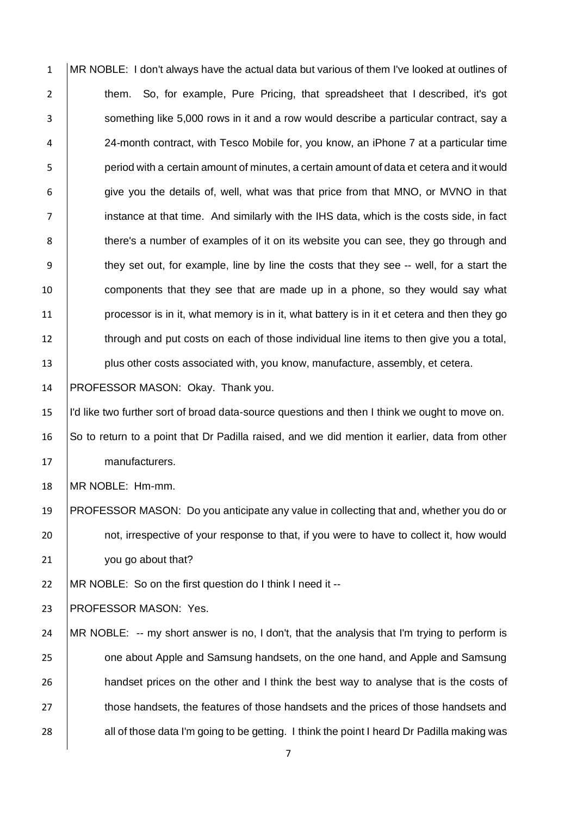1 MR NOBLE: I don't always have the actual data but various of them I've looked at outlines of 2 them. So, for example, Pure Pricing, that spreadsheet that I described, it's got 3 Something like 5,000 rows in it and a row would describe a particular contract, say a 4 24-month contract, with Tesco Mobile for, you know, an iPhone 7 at a particular time 5 **period with a certain amount of minutes, a certain amount of data et cetera and it would** 6 give you the details of, well, what was that price from that MNO, or MVNO in that 7 | instance at that time. And similarly with the IHS data, which is the costs side, in fact 8 there's a number of examples of it on its website you can see, they go through and 9 they set out, for example, line by line the costs that they see -- well, for a start the 10 components that they see that are made up in a phone, so they would say what 11 processor is in it, what memory is in it, what battery is in it et cetera and then they go 12 through and put costs on each of those individual line items to then give you a total, 13 **plus other costs associated with, you know, manufacture, assembly, et cetera.** 14 | PROFESSOR MASON: Okay. Thank you. 15 I'd like two further sort of broad data-source questions and then I think we ought to move on. 16 So to return to a point that Dr Padilla raised, and we did mention it earlier, data from other 17 manufacturers. 18 MR NOBLE: Hm-mm. 19 PROFESSOR MASON: Do you anticipate any value in collecting that and, whether you do or 20 **1** not, irrespective of your response to that, if you were to have to collect it, how would 21 | you go about that? 22 | MR NOBLE: So on the first question do I think I need it --23 | PROFESSOR MASON: Yes. 24 MR NOBLE: -- my short answer is no, I don't, that the analysis that I'm trying to perform is

25 **Fig. 25** one about Apple and Samsung handsets, on the one hand, and Apple and Samsung 26 **handset prices on the other and I think the best way to analyse that is the costs of** 27 those handsets, the features of those handsets and the prices of those handsets and 28 all of those data I'm going to be getting. I think the point I heard Dr Padilla making was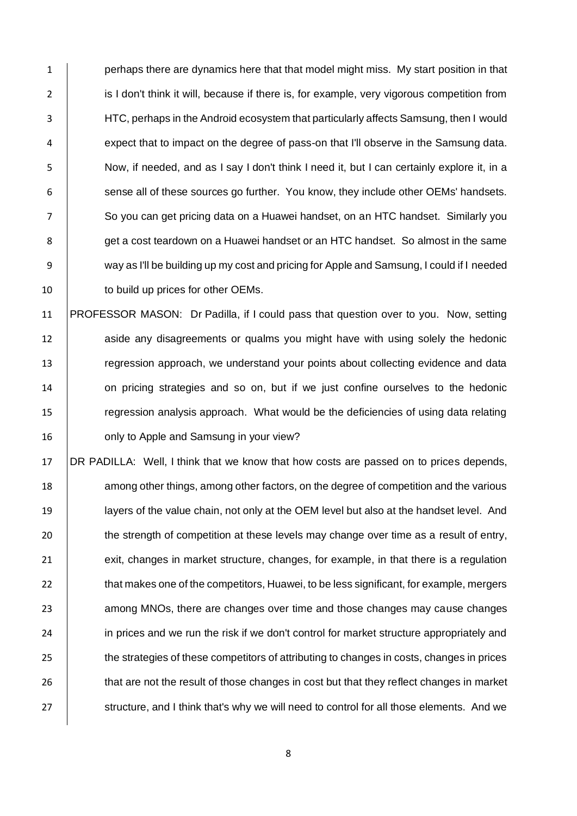1 perhaps there are dynamics here that that model might miss. My start position in that 2 is I don't think it will, because if there is, for example, very vigorous competition from 3 | HTC, perhaps in the Android ecosystem that particularly affects Samsung, then I would 4 expect that to impact on the degree of pass-on that I'll observe in the Samsung data. 5 Now, if needed, and as I say I don't think I need it, but I can certainly explore it, in a 6 **Superse all of these sources go further.** You know, they include other OEMs' handsets. 7 | So you can get pricing data on a Huawei handset, on an HTC handset. Similarly you 8 get a cost teardown on a Huawei handset or an HTC handset. So almost in the same 9 way as I'll be building up my cost and pricing for Apple and Samsung, I could if I needed 10 to build up prices for other OEMs.

11 PROFESSOR MASON: Dr Padilla, if I could pass that question over to you. Now, setting 12 aside any disagreements or qualms you might have with using solely the hedonic 13 Tegression approach, we understand your points about collecting evidence and data 14 on pricing strategies and so on, but if we just confine ourselves to the hedonic 15 Tegression analysis approach. What would be the deficiencies of using data relating 16 **buy 16** only to Apple and Samsung in your view?

17 DR PADILLA: Well, I think that we know that how costs are passed on to prices depends, 18 **among other things, among other factors, on the degree of competition and the various** 19 | layers of the value chain, not only at the OEM level but also at the handset level. And 20 the strength of competition at these levels may change over time as a result of entry, 21 exit, changes in market structure, changes, for example, in that there is a regulation 22 that makes one of the competitors, Huawei, to be less significant, for example, mergers 23 among MNOs, there are changes over time and those changes may cause changes 24 in prices and we run the risk if we don't control for market structure appropriately and 25 the strategies of these competitors of attributing to changes in costs, changes in prices 26 that are not the result of those changes in cost but that they reflect changes in market 27 Structure, and I think that's why we will need to control for all those elements. And we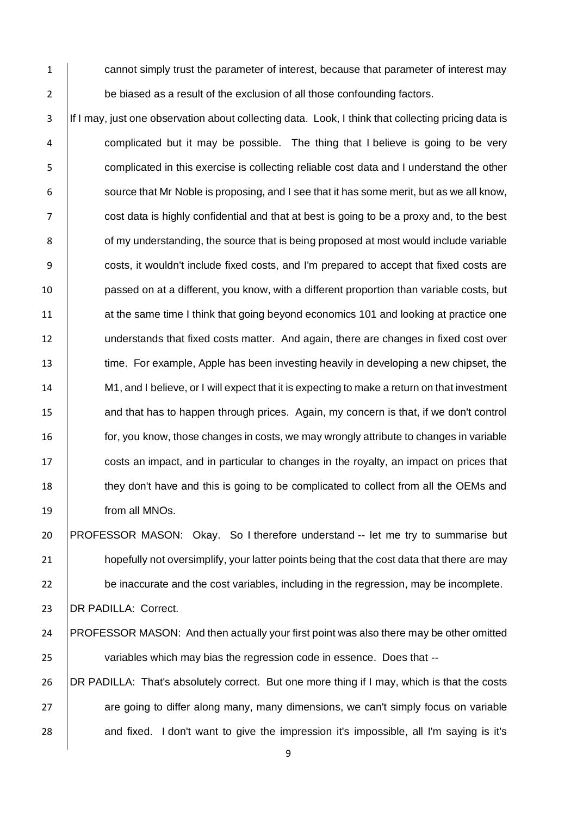1 cannot simply trust the parameter of interest, because that parameter of interest may 2 be biased as a result of the exclusion of all those confounding factors.

3 | If I may, just one observation about collecting data. Look, I think that collecting pricing data is 4 **complicated but it may be possible.** The thing that I believe is going to be very 5 complicated in this exercise is collecting reliable cost data and I understand the other  $\overline{6}$  source that Mr Noble is proposing, and I see that it has some merit, but as we all know, 7 cost data is highly confidential and that at best is going to be a proxy and, to the best 8 **b** of my understanding, the source that is being proposed at most would include variable 9 costs, it wouldn't include fixed costs, and I'm prepared to accept that fixed costs are 10 **passed on at a different, you know, with a different proportion than variable costs, but** 11 **1** at the same time I think that going beyond economics 101 and looking at practice one 12 understands that fixed costs matter. And again, there are changes in fixed cost over 13 time. For example, Apple has been investing heavily in developing a new chipset, the 14 M1, and I believe, or I will expect that it is expecting to make a return on that investment 15 **and that has to happen through prices.** Again, my concern is that, if we don't control 16 for, you know, those changes in costs, we may wrongly attribute to changes in variable 17 costs an impact, and in particular to changes in the royalty, an impact on prices that 18 they don't have and this is going to be complicated to collect from all the OEMs and 19 from all MNOs.

20 PROFESSOR MASON: Okay. So I therefore understand -- let me try to summarise but 21 **hopefully not oversimplify, your latter points being that the cost data that there are may** 22 be inaccurate and the cost variables, including in the regression, may be incomplete.

23 | DR PADILLA: Correct.

- 24 PROFESSOR MASON: And then actually your first point was also there may be other omitted 25 variables which may bias the regression code in essence. Does that --
- 26 DR PADILLA: That's absolutely correct. But one more thing if I may, which is that the costs  $27$  are going to differ along many, many dimensions, we can't simply focus on variable 28 and fixed. I don't want to give the impression it's impossible, all I'm saying is it's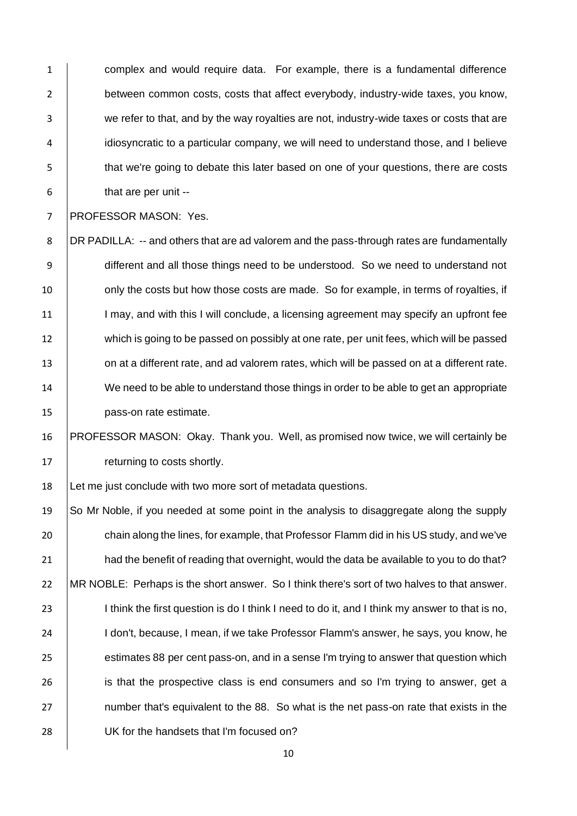1 **complex and would require data.** For example, there is a fundamental difference 2 between common costs, costs that affect everybody, industry-wide taxes, you know, 3 we refer to that, and by the way royalties are not, industry-wide taxes or costs that are 4 idiosyncratic to a particular company, we will need to understand those, and I believe 5 that we're going to debate this later based on one of your questions, there are costs 6 **that are per unit --**

7 | PROFESSOR MASON: Yes.

8 DR PADILLA: -- and others that are ad valorem and the pass-through rates are fundamentally 9 different and all those things need to be understood. So we need to understand not 10 **only the costs but how those costs are made.** So for example, in terms of royalties, if 11 I may, and with this I will conclude, a licensing agreement may specify an upfront fee 12 which is going to be passed on possibly at one rate, per unit fees, which will be passed 13 **Fig. 20** on at a different rate, and ad valorem rates, which will be passed on at a different rate. 14 We need to be able to understand those things in order to be able to get an appropriate 15 pass-on rate estimate.

16 PROFESSOR MASON: Okay. Thank you. Well, as promised now twice, we will certainly be 17 **Franch** returning to costs shortly.

18 Let me just conclude with two more sort of metadata questions.

19 So Mr Noble, if you needed at some point in the analysis to disaggregate along the supply 20 **chain along the lines, for example, that Professor Flamm did in his US study, and we've** 21 **had the benefit of reading that overnight, would the data be available to you to do that?** 22 MR NOBLE: Perhaps is the short answer. So I think there's sort of two halves to that answer. 23 | I think the first question is do I think I need to do it, and I think my answer to that is no, 24 **I don't, because, I mean, if we take Professor Flamm's answer, he says, you know, he** 25 estimates 88 per cent pass-on, and in a sense I'm trying to answer that question which 26 is that the prospective class is end consumers and so I'm trying to answer, get a 27 number that's equivalent to the 88. So what is the net pass-on rate that exists in the 28 | UK for the handsets that I'm focused on?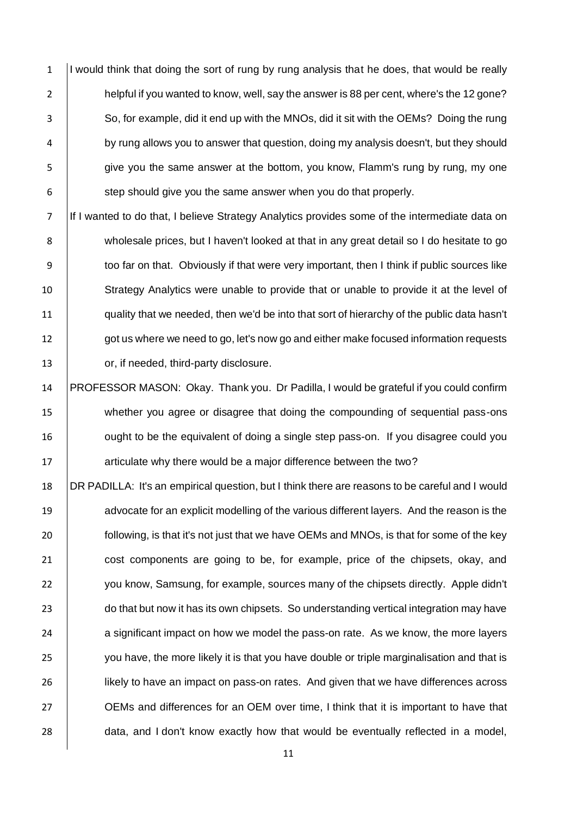1 I would think that doing the sort of rung by rung analysis that he does, that would be really 2 helpful if you wanted to know, well, say the answer is 88 per cent, where's the 12 gone? 3 So, for example, did it end up with the MNOs, did it sit with the OEMs? Doing the rung 4 by rung allows you to answer that question, doing my analysis doesn't, but they should 5 give you the same answer at the bottom, you know, Flamm's rung by rung, my one  $\begin{array}{c|c} 6 & \end{array}$  step should give you the same answer when you do that properly.

7 | If I wanted to do that, I believe Strategy Analytics provides some of the intermediate data on 8 wholesale prices, but I haven't looked at that in any great detail so I do hesitate to go 9 too far on that. Obviously if that were very important, then I think if public sources like 10 Strategy Analytics were unable to provide that or unable to provide it at the level of 11 quality that we needed, then we'd be into that sort of hierarchy of the public data hasn't 12 got us where we need to go, let's now go and either make focused information requests 13 **or, if needed, third-party disclosure.** 

 PROFESSOR MASON: Okay. Thank you. Dr Padilla, I would be grateful if you could confirm whether you agree or disagree that doing the compounding of sequential pass-ons **16** ought to be the equivalent of doing a single step pass-on. If you disagree could you **Fig.** articulate why there would be a major difference between the two?

18 DR PADILLA: It's an empirical question, but I think there are reasons to be careful and I would 19 **advocate for an explicit modelling of the various different layers.** And the reason is the 20 **following, is that it's not just that we have OEMs and MNOs, is that for some of the key** 21 **cost components are going to be, for example, price of the chipsets, okay, and** 22 you know, Samsung, for example, sources many of the chipsets directly. Apple didn't 23 do that but now it has its own chipsets. So understanding vertical integration may have 24 a significant impact on how we model the pass-on rate. As we know, the more lavers 25 you have, the more likely it is that you have double or triple marginalisation and that is 26 **lick**ly to have an impact on pass-on rates. And given that we have differences across 27 CEMs and differences for an OEM over time, I think that it is important to have that 28 data, and I don't know exactly how that would be eventually reflected in a model,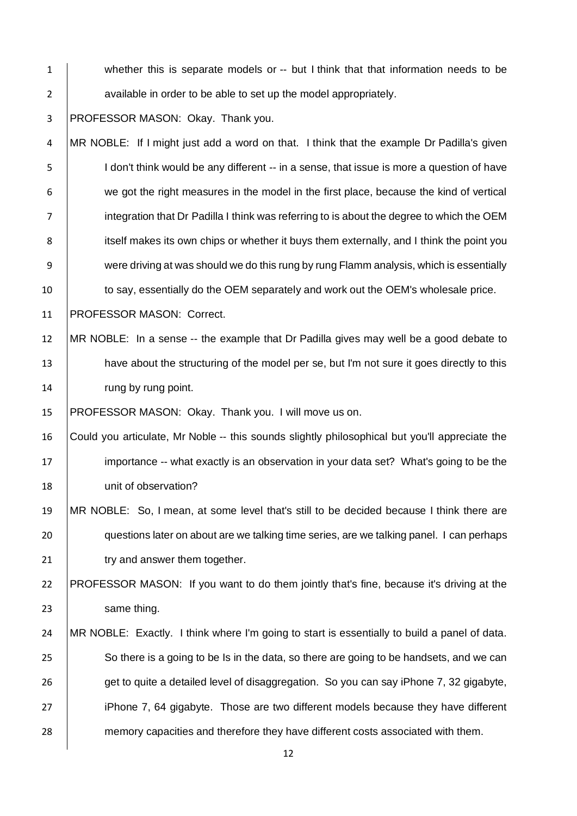- 1 whether this is separate models or -- but I think that that information needs to be 2 **available in order to be able to set up the model appropriately.**
- 3 | PROFESSOR MASON: Okay. Thank you.

4 | MR NOBLE: If I might just add a word on that. I think that the example Dr Padilla's given 5 **I** don't think would be any different -- in a sense, that issue is more a question of have 6 we got the right measures in the model in the first place, because the kind of vertical 7 integration that Dr Padilla I think was referring to is about the degree to which the OEM 8 itself makes its own chips or whether it buys them externally, and I think the point you 9 were driving at was should we do this rung by rung Flamm analysis, which is essentially 10 to say, essentially do the OEM separately and work out the OEM's wholesale price.

- 11 PROFESSOR MASON: Correct.
- 12 MR NOBLE: In a sense -- the example that Dr Padilla gives may well be a good debate to 13 have about the structuring of the model per se, but I'm not sure it goes directly to this 14 | rung by rung point.

15 PROFESSOR MASON: Okay. Thank you. I will move us on.

16 Could you articulate, Mr Noble -- this sounds slightly philosophical but you'll appreciate the 17 **importance -- what exactly is an observation in your data set?** What's going to be the 18 | unit of observation?

19 MR NOBLE: So, I mean, at some level that's still to be decided because I think there are 20 **questions later on about are we talking time series, are we talking panel.** I can perhaps 21 **try and answer them together.** 

22 PROFESSOR MASON: If you want to do them jointly that's fine, because it's driving at the 23 | same thing.

24 MR NOBLE: Exactly. I think where I'm going to start is essentially to build a panel of data. 25 So there is a going to be Is in the data, so there are going to be handsets, and we can 26 get to quite a detailed level of disaggregation. So you can say iPhone 7, 32 gigabyte, 27 **i** iPhone 7, 64 gigabyte. Those are two different models because they have different 28 memory capacities and therefore they have different costs associated with them.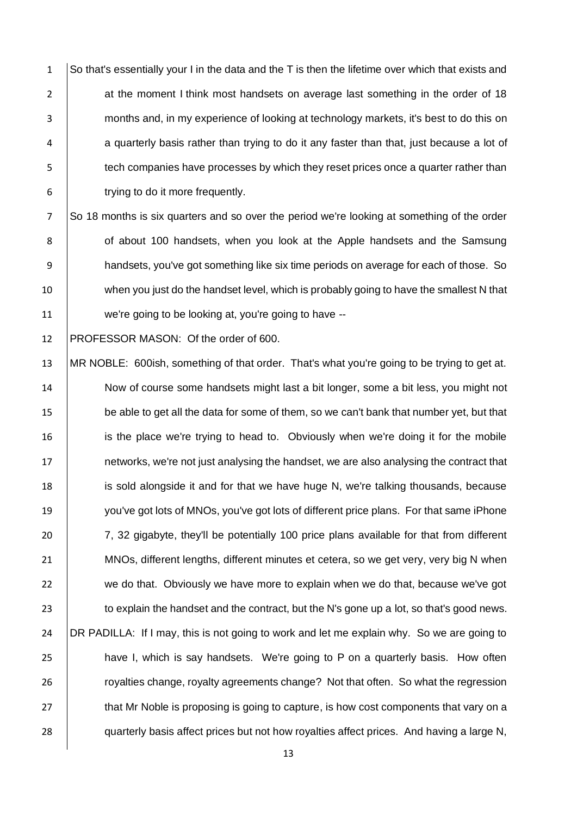1 So that's essentially your I in the data and the T is then the lifetime over which that exists and 2 at the moment I think most handsets on average last something in the order of 18 3 months and, in my experience of looking at technology markets, it's best to do this on 4 a quarterly basis rather than trying to do it any faster than that, just because a lot of 5 **tech companies have processes by which they reset prices once a quarter rather than**  $6 \mid$  trying to do it more frequently.

7 So 18 months is six quarters and so over the period we're looking at something of the order 8 **b** of about 100 handsets, when you look at the Apple handsets and the Samsung 9 | handsets, you've got something like six time periods on average for each of those. So 10 when you just do the handset level, which is probably going to have the smallest N that 11 we're going to be looking at, you're going to have --

12 PROFESSOR MASON: Of the order of 600.

13 MR NOBLE: 600ish, something of that order. That's what you're going to be trying to get at. 14 Now of course some handsets might last a bit longer, some a bit less, you might not 15 be able to get all the data for some of them, so we can't bank that number yet, but that 16 is the place we're trying to head to. Obviously when we're doing it for the mobile 17 **1** networks, we're not just analysing the handset, we are also analysing the contract that 18 is sold alongside it and for that we have huge N, we're talking thousands, because 19 you've got lots of MNOs, you've got lots of different price plans. For that same iPhone 20 7, 32 gigabyte, they'll be potentially 100 price plans available for that from different 21 MNOs, different lengths, different minutes et cetera, so we get very, very big N when 22 we do that. Obviously we have more to explain when we do that, because we've got  $23$  to explain the handset and the contract, but the N's gone up a lot, so that's good news. 24 DR PADILLA: If I may, this is not going to work and let me explain why. So we are going to 25 **have I, which is say handsets.** We're going to P on a quarterly basis. How often 26 **royalties change, royalty agreements change?** Not that often. So what the regression 27 that Mr Noble is proposing is going to capture, is how cost components that vary on a 28 **quarterly basis affect prices but not how royalties affect prices. And having a large N,**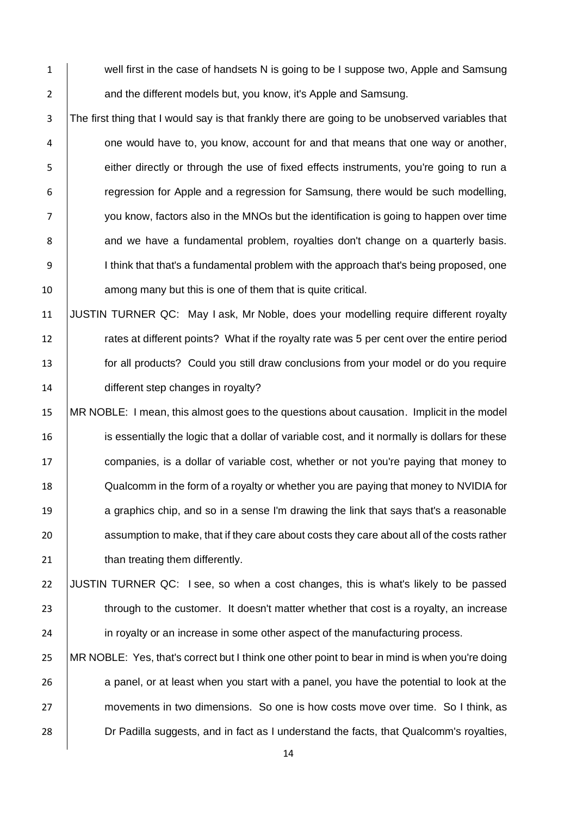1 well first in the case of handsets N is going to be I suppose two, Apple and Samsung 2 and the different models but, you know, it's Apple and Samsung.

3 The first thing that I would say is that frankly there are going to be unobserved variables that 4 **one would have to, you know, account for and that means that one way or another,** 5 either directly or through the use of fixed effects instruments, you're going to run a 6 **Figure** regression for Apple and a regression for Samsung, there would be such modelling, 7 you know, factors also in the MNOs but the identification is going to happen over time 8 and we have a fundamental problem, royalties don't change on a quarterly basis. 9 | I think that that's a fundamental problem with the approach that's being proposed, one 10 **among many but this is one of them that is quite critical.** 

 JUSTIN TURNER QC: May I ask, Mr Noble, does your modelling require different royalty **Fig.** rates at different points? What if the royalty rate was 5 per cent over the entire period for all products? Could you still draw conclusions from your model or do you require 14 different step changes in royalty?

 MR NOBLE: I mean, this almost goes to the questions about causation. Implicit in the model 16 is essentially the logic that a dollar of variable cost, and it normally is dollars for these companies, is a dollar of variable cost, whether or not you're paying that money to **Qualcomm in the form of a royalty or whether you are paying that money to NVIDIA for** 19 a graphics chip, and so in a sense I'm drawing the link that says that's a reasonable **assumption to make, that if they care about costs they care about all of the costs rather than treating them differently.** 

22 JUSTIN TURNER QC: I see, so when a cost changes, this is what's likely to be passed 23 through to the customer. It doesn't matter whether that cost is a royalty, an increase 24 in royalty or an increase in some other aspect of the manufacturing process.

25 MR NOBLE: Yes, that's correct but I think one other point to bear in mind is when you're doing 26 a panel, or at least when you start with a panel, you have the potential to look at the 27 movements in two dimensions. So one is how costs move over time. So I think, as 28 **Dr Padilla suggests, and in fact as I understand the facts, that Qualcomm's royalties,**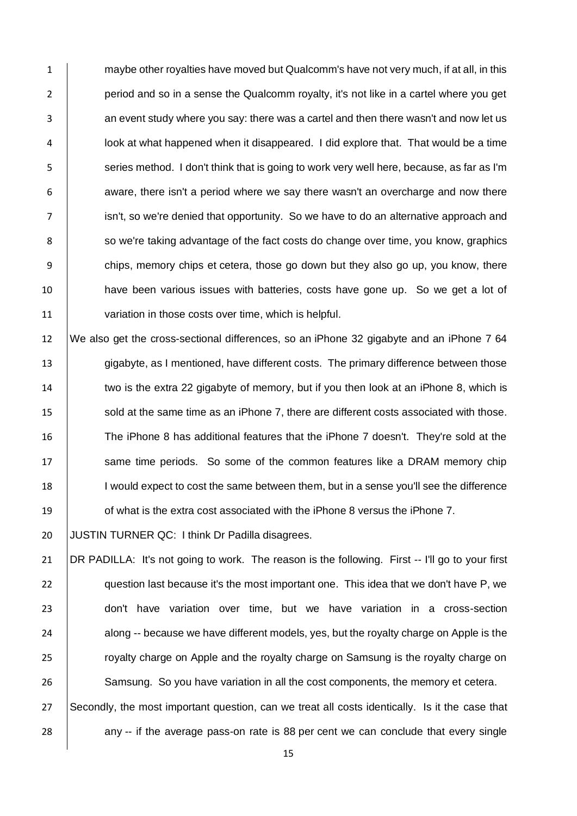1 maybe other royalties have moved but Qualcomm's have not very much, if at all, in this 2 **period and so in a sense the Qualcomm royalty, it's not like in a cartel where you get** 3 an event study where you say: there was a cartel and then there wasn't and now let us 4 | look at what happened when it disappeared. I did explore that. That would be a time 5 | series method. I don't think that is going to work very well here, because, as far as I'm  $\overline{6}$  aware, there isn't a period where we say there wasn't an overcharge and now there 7 isn't, so we're denied that opportunity. So we have to do an alternative approach and 8 so we're taking advantage of the fact costs do change over time, you know, graphics 9 chips, memory chips et cetera, those go down but they also go up, you know, there 10 have been various issues with batteries, costs have gone up. So we get a lot of 11 variation in those costs over time, which is helpful.

12 We also get the cross-sectional differences, so an iPhone 32 gigabyte and an iPhone 7 64 13 gigabyte, as I mentioned, have different costs. The primary difference between those 14 two is the extra 22 gigabyte of memory, but if you then look at an iPhone 8, which is 15 | sold at the same time as an iPhone 7, there are different costs associated with those. 16 The iPhone 8 has additional features that the iPhone 7 doesn't. They're sold at the 17 Same time periods. So some of the common features like a DRAM memory chip 18 I would expect to cost the same between them, but in a sense you'll see the difference 19 **f** of what is the extra cost associated with the iPhone 8 versus the iPhone 7.

20 **JUSTIN TURNER QC: I think Dr Padilla disagrees.** 

21 DR PADILLA: It's not going to work. The reason is the following. First -- I'll go to your first 22 **question last because it's the most important one.** This idea that we don't have P, we 23 don't have variation over time, but we have variation in a cross-section  $24$  along -- because we have different models, yes, but the royalty charge on Apple is the 25 **royalty charge on Apple and the royalty charge on Samsung is the royalty charge on** 26 Samsung. So you have variation in all the cost components, the memory et cetera. 27 Secondly, the most important question, can we treat all costs identically. Is it the case that

15

28  $\parallel$  any -- if the average pass-on rate is 88 per cent we can conclude that every single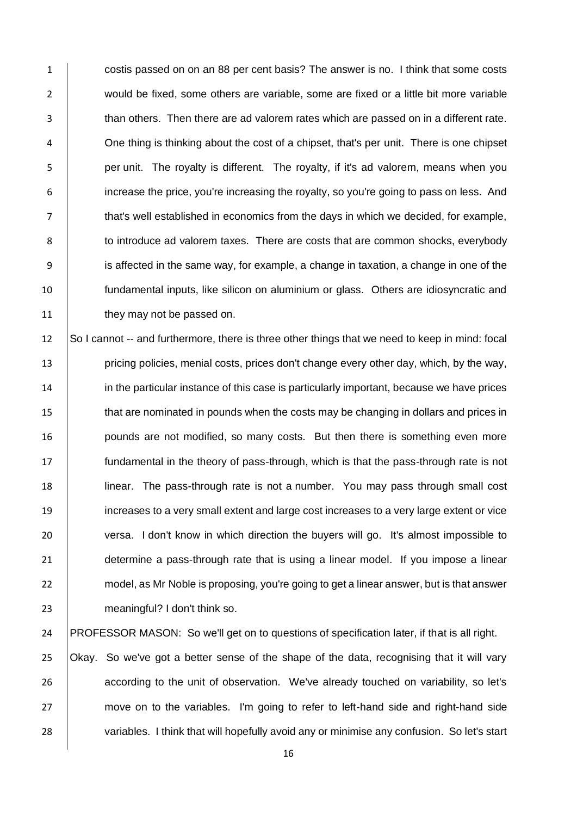1 costis passed on on an 88 per cent basis? The answer is no. I think that some costs 2 would be fixed, some others are variable, some are fixed or a little bit more variable 3 than others. Then there are ad valorem rates which are passed on in a different rate. 4 Ching is thinking about the cost of a chipset, that's per unit. There is one chipset 5 **per unit.** The royalty is different. The royalty, if it's ad valorem, means when you 6 **increase the price, you're increasing the royalty, so you're going to pass on less.** And 7 **that's well established in economics from the days in which we decided, for example,** 8 to introduce ad valorem taxes. There are costs that are common shocks, everybody 9 is affected in the same way, for example, a change in taxation, a change in one of the 10 fundamental inputs, like silicon on aluminium or glass. Others are idiosyncratic and 11 **they may not be passed on.** 

12 So I cannot -- and furthermore, there is three other things that we need to keep in mind: focal pricing policies, menial costs, prices don't change every other day, which, by the way, **in the particular instance of this case is particularly important, because we have prices** 15 that are nominated in pounds when the costs may be changing in dollars and prices in **pounds are not modified, so many costs.** But then there is something even more **fundamental in the theory of pass-through, which is that the pass-through rate is not**  linear. The pass-through rate is not a number. You may pass through small cost increases to a very small extent and large cost increases to a very large extent or vice 20 versa. I don't know in which direction the buyers will go. It's almost impossible to **determine a pass-through rate that is using a linear model.** If you impose a linear 22 model, as Mr Noble is proposing, you're going to get a linear answer, but is that answer **meaningful?** I don't think so.

24 PROFESSOR MASON: So we'll get on to questions of specification later, if that is all right.

25 Okay. So we've got a better sense of the shape of the data, recognising that it will vary 26 according to the unit of observation. We've already touched on variability, so let's 27 move on to the variables. I'm going to refer to left-hand side and right-hand side 28 variables. I think that will hopefully avoid any or minimise any confusion. So let's start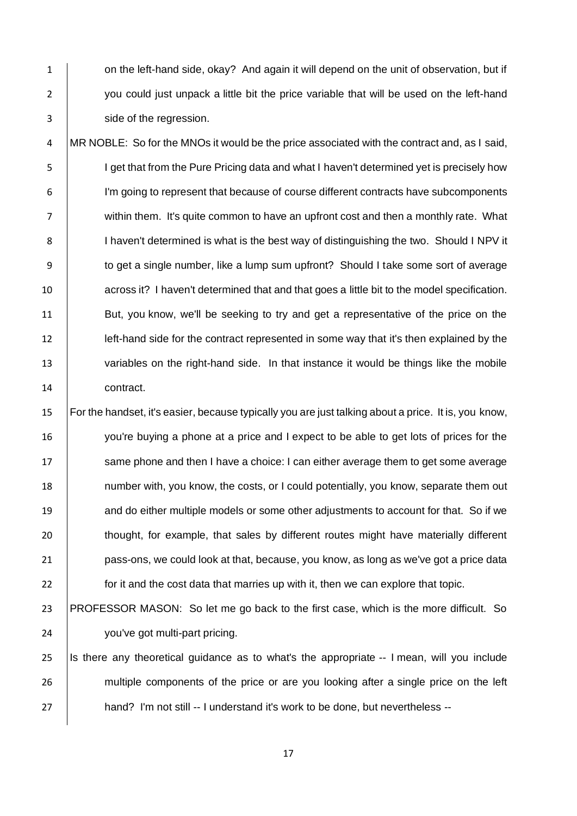1 on the left-hand side, okay? And again it will depend on the unit of observation, but if 2 vou could just unpack a little bit the price variable that will be used on the left-hand 3 | side of the regression.

4 | MR NOBLE: So for the MNOs it would be the price associated with the contract and, as I said, 5 | I get that from the Pure Pricing data and what I haven't determined yet is precisely how 6 | I'm going to represent that because of course different contracts have subcomponents 7 | within them. It's quite common to have an upfront cost and then a monthly rate. What 8 | I haven't determined is what is the best way of distinguishing the two. Should I NPV it 9 to get a single number, like a lump sum upfront? Should I take some sort of average 10 **across it?** I haven't determined that and that goes a little bit to the model specification. 11 But, you know, we'll be seeking to try and get a representative of the price on the 12 **left-hand side for the contract represented in some way that it's then explained by the** 13 variables on the right-hand side. In that instance it would be things like the mobile 14 contract.

 For the handset, it's easier, because typically you are just talking about a price. It is, you know, you're buying a phone at a price and I expect to be able to get lots of prices for the 17 same phone and then I have a choice: I can either average them to get some average **number with, you know, the costs, or I could potentially, you know, separate them out** 19 and do either multiple models or some other adjustments to account for that. So if we **thought, for example, that sales by different routes might have materially different pass-ons, we could look at that, because, you know, as long as we've got a price data for it and the cost data that marries up with it, then we can explore that topic.** 

23 PROFESSOR MASON: So let me go back to the first case, which is the more difficult. So 24 you've got multi-part pricing.

25 Is there any theoretical guidance as to what's the appropriate -- I mean, will you include 26 multiple components of the price or are you looking after a single price on the left 27 **hand?** I'm not still -- I understand it's work to be done, but nevertheless --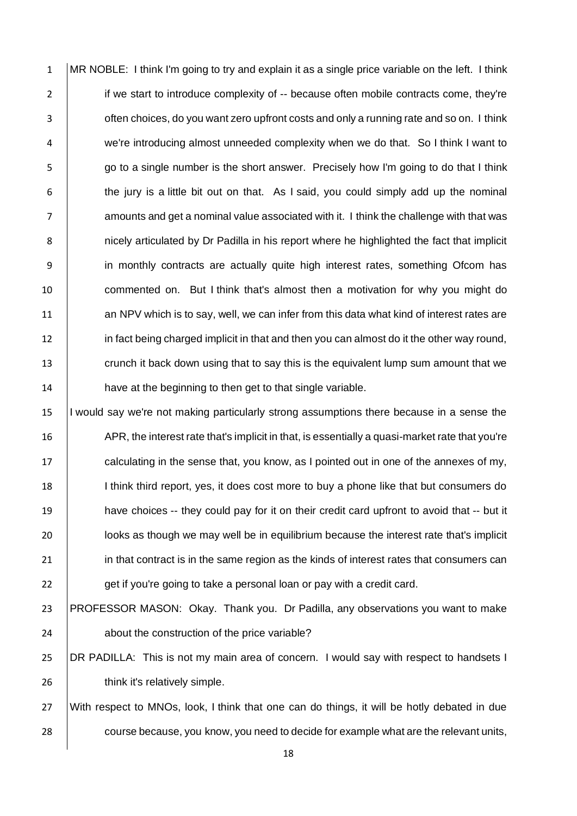1 | MR NOBLE: I think I'm going to try and explain it as a single price variable on the left. I think <sup>2</sup> if we start to introduce complexity of -- because often mobile contracts come, they're **often choices, do you want zero upfront costs and only a running rate and so on.** I think we're introducing almost unneeded complexity when we do that. So I think I want to 5 go to a single number is the short answer. Precisely how I'm going to do that I think 6 the jury is a little bit out on that. As I said, you could simply add up the nominal **Fig.** amounts and get a nominal value associated with it. I think the challenge with that was nicely articulated by Dr Padilla in his report where he highlighted the fact that implicit 9 | in monthly contracts are actually quite high interest rates, something Ofcom has **commented on.** But I think that's almost then a motivation for why you might do 11 an NPV which is to say, well, we can infer from this data what kind of interest rates are 12 in fact being charged implicit in that and then you can almost do it the other way round, **crunch it back down using that to say this is the equivalent lump sum amount that we have at the beginning to then get to that single variable.** 

15 I would say we're not making particularly strong assumptions there because in a sense the 16 APR, the interest rate that's implicit in that, is essentially a quasi-market rate that you're **calculating in the sense that, you know, as I pointed out in one of the annexes of my, I** think third report, yes, it does cost more to buy a phone like that but consumers do have choices -- they could pay for it on their credit card upfront to avoid that -- but it **let in the looks as though we may well be in equilibrium because the interest rate that's implicit** 21 in that contract is in the same region as the kinds of interest rates that consumers can **get if you're going to take a personal loan or pay with a credit card.** 

 PROFESSOR MASON: Okay. Thank you. Dr Padilla, any observations you want to make **but the construction of the price variable?** 

 DR PADILLA: This is not my main area of concern. I would say with respect to handsets I **think it's relatively simple.** 

 With respect to MNOs, look, I think that one can do things, it will be hotly debated in due 28 course because, you know, you need to decide for example what are the relevant units,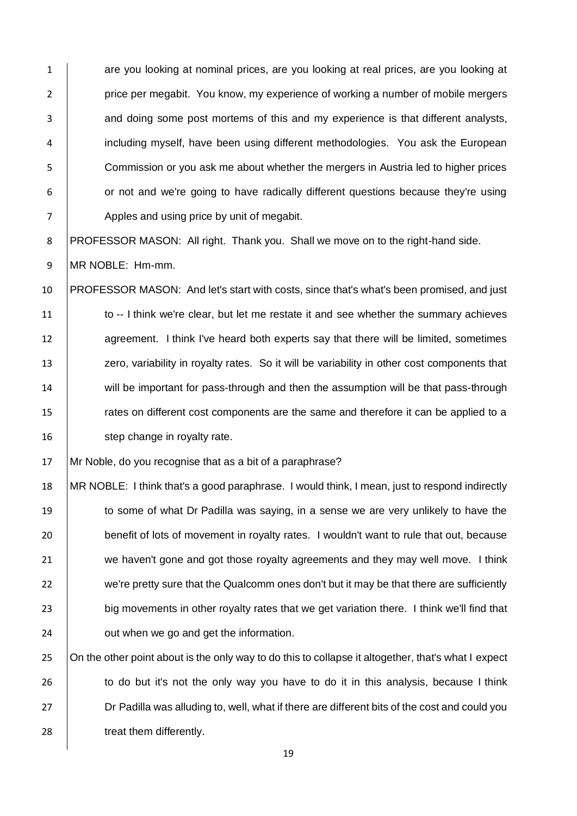1 are you looking at nominal prices, are you looking at real prices, are you looking at 2 **price per megabit.** You know, my experience of working a number of mobile mergers 3 and doing some post mortems of this and my experience is that different analysts, 4 including myself, have been using different methodologies. You ask the European 5 Commission or you ask me about whether the mergers in Austria led to higher prices 6 **find in the vertex of the vertex constant** of the vertex or not and we're using 7 | Apples and using price by unit of megabit.

8 | PROFESSOR MASON: All right. Thank you. Shall we move on to the right-hand side.

9 | MR NOBLE: Hm-mm.

10 PROFESSOR MASON: And let's start with costs, since that's what's been promised, and just 11 to -- I think we're clear, but let me restate it and see whether the summary achieves 12 agreement. I think I've heard both experts say that there will be limited, sometimes 13 **Fig. 2.** zero, variability in royalty rates. So it will be variability in other cost components that 14 will be important for pass-through and then the assumption will be that pass-through 15 The rates on different cost components are the same and therefore it can be applied to a 16 step change in royalty rate.

17 Mr Noble, do you recognise that as a bit of a paraphrase?

18 MR NOBLE: I think that's a good paraphrase. I would think, I mean, just to respond indirectly 19 to some of what Dr Padilla was saying, in a sense we are very unlikely to have the 20 **benefit of lots of movement in royalty rates.** I wouldn't want to rule that out, because 21 we haven't gone and got those royalty agreements and they may well move. I think 22 we're pretty sure that the Qualcomm ones don't but it may be that there are sufficiently 23 big movements in other royalty rates that we get variation there. I think we'll find that 24 **J** out when we go and get the information.

25 | On the other point about is the only way to do this to collapse it altogether, that's what I expect 26 to do but it's not the only way you have to do it in this analysis, because I think 27 Dr Padilla was alluding to, well, what if there are different bits of the cost and could you 28 **treat them differently.**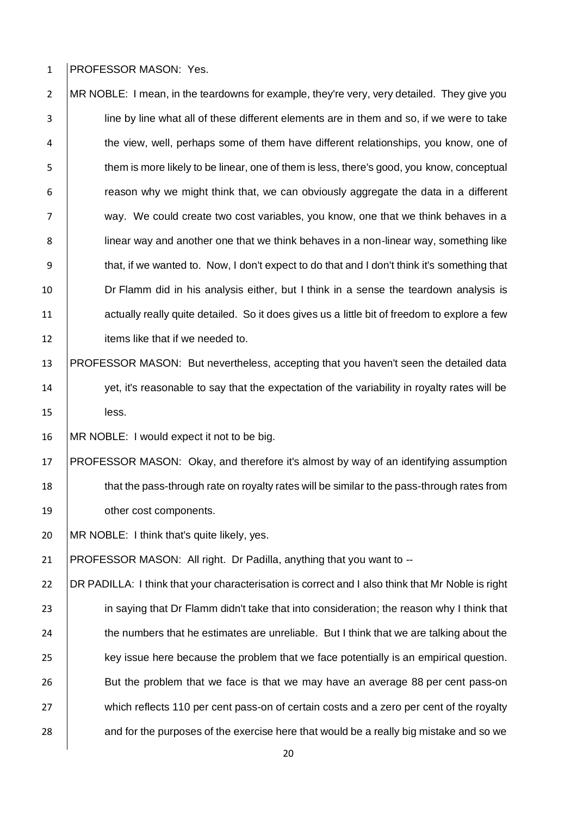1 | PROFESSOR MASON: Yes.

2 MR NOBLE: I mean, in the teardowns for example, they're very, very detailed. They give you 3 line by line what all of these different elements are in them and so, if we were to take 4 the view, well, perhaps some of them have different relationships, you know, one of 5 them is more likely to be linear, one of them is less, there's good, you know, conceptual  $6$   $\vert$  reason why we might think that, we can obviously aggregate the data in a different 7 | way. We could create two cost variables, you know, one that we think behaves in a 8 **linear way and another one that we think behaves in a non-linear way, something like** 9 | that, if we wanted to. Now, I don't expect to do that and I don't think it's something that 10 **Dr Flamm did in his analysis either, but I think in a sense the teardown analysis is** 11 1 actually really quite detailed. So it does gives us a little bit of freedom to explore a few 12 **items like that if we needed to.** 

## 13 PROFESSOR MASON: But nevertheless, accepting that you haven't seen the detailed data 14 yet, it's reasonable to say that the expectation of the variability in royalty rates will be 15 less.

16 | MR NOBLE: I would expect it not to be big.

17 PROFESSOR MASON: Okay, and therefore it's almost by way of an identifying assumption 18 that the pass-through rate on royalty rates will be similar to the pass-through rates from 19 **b** other cost components.

20 MR NOBLE: I think that's quite likely, yes.

21 PROFESSOR MASON: All right. Dr Padilla, anything that you want to --

22 **DR PADILLA: I think that your characterisation is correct and I also think that Mr Noble is right** 23 in saying that Dr Flamm didn't take that into consideration; the reason why I think that 24 the numbers that he estimates are unreliable. But I think that we are talking about the 25 **key issue here because the problem that we face potentially is an empirical question.** 26 But the problem that we face is that we may have an average 88 per cent pass-on 27 which reflects 110 per cent pass-on of certain costs and a zero per cent of the royalty 28 and for the purposes of the exercise here that would be a really big mistake and so we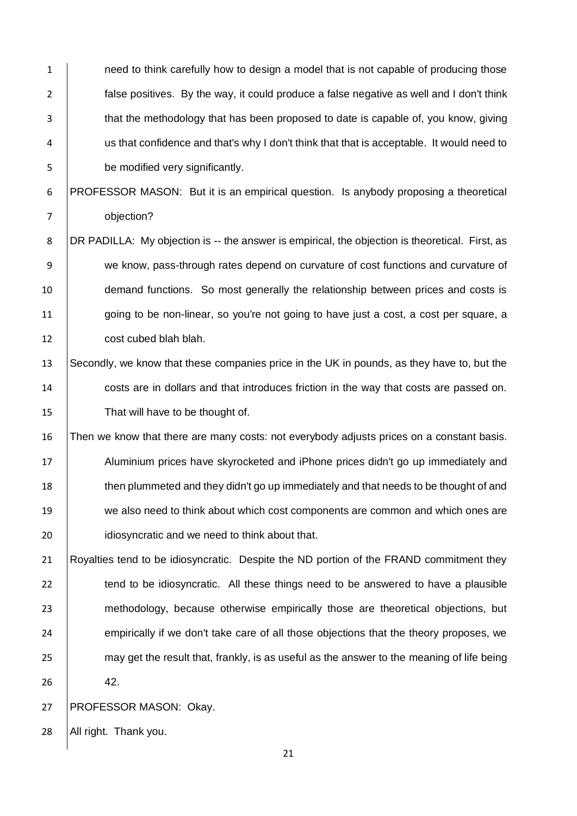1 | need to think carefully how to design a model that is not capable of producing those 2  $\parallel$  false positives. By the way, it could produce a false negative as well and I don't think 3 that the methodology that has been proposed to date is capable of, you know, giving 4 us that confidence and that's why I don't think that that is acceptable. It would need to 5 **be modified very significantly.** 6 PROFESSOR MASON: But it is an empirical question. Is anybody proposing a theoretical 7 objection? 8 **DR PADILLA:** My objection is -- the answer is empirical, the objection is theoretical. First, as 9 we know, pass-through rates depend on curvature of cost functions and curvature of 10 demand functions. So most generally the relationship between prices and costs is 11 going to be non-linear, so you're not going to have just a cost, a cost per square, a 12 cost cubed blah blah. 13 Secondly, we know that these companies price in the UK in pounds, as they have to, but the 14 costs are in dollars and that introduces friction in the way that costs are passed on. 15 **That will have to be thought of.** 16 Then we know that there are many costs: not everybody adjusts prices on a constant basis. 17 Aluminium prices have skyrocketed and iPhone prices didn't go up immediately and 18 then plummeted and they didn't go up immediately and that needs to be thought of and 19 we also need to think about which cost components are common and which ones are 20 **idiosyncratic and we need to think about that.** 21 | Royalties tend to be idiosyncratic. Despite the ND portion of the FRAND commitment they  $22$   $\parallel$  tend to be idiosyncratic. All these things need to be answered to have a plausible 23 methodology, because otherwise empirically those are theoretical objections, but 24 empirically if we don't take care of all those objections that the theory proposes, we 25 may get the result that, frankly, is as useful as the answer to the meaning of life being 26 42. 27 | PROFESSOR MASON: Okay. 28 All right. Thank you.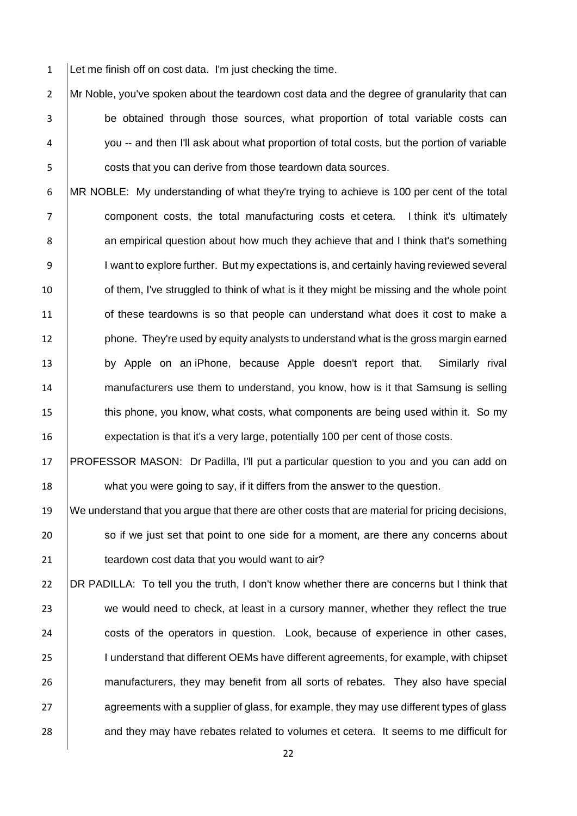1 | Let me finish off on cost data. I'm just checking the time.

2 Mr Noble, you've spoken about the teardown cost data and the degree of granularity that can 3 be obtained through those sources, what proportion of total variable costs can 4 you -- and then I'll ask about what proportion of total costs, but the portion of variable 5 **costs that you can derive from those teardown data sources.** 

6 MR NOBLE: My understanding of what they're trying to achieve is 100 per cent of the total 7 **component costs, the total manufacturing costs et cetera.** I think it's ultimately 8 an empirical question about how much they achieve that and I think that's something 9 | I want to explore further. But my expectations is, and certainly having reviewed several 10 **f** of them, I've struggled to think of what is it they might be missing and the whole point 11 of these teardowns is so that people can understand what does it cost to make a 12 **phone.** They're used by equity analysts to understand what is the gross margin earned 13 by Apple on an iPhone, because Apple doesn't report that. Similarly rival 14 manufacturers use them to understand, you know, how is it that Samsung is selling 15 this phone, you know, what costs, what components are being used within it. So my 16 **expectation is that it's a very large, potentially 100 per cent of those costs.** 

17 PROFESSOR MASON: Dr Padilla, I'll put a particular question to you and you can add on 18 what you were going to say, if it differs from the answer to the question.

19 We understand that you argue that there are other costs that are material for pricing decisions,

20 **So** if we just set that point to one side for a moment, are there any concerns about 21 **teardown cost data that you would want to air?** 

22 DR PADILLA: To tell you the truth, I don't know whether there are concerns but I think that 23 we would need to check, at least in a cursory manner, whether they reflect the true 24 | costs of the operators in question. Look, because of experience in other cases, 25 | I understand that different OEMs have different agreements, for example, with chipset 26 manufacturers, they may benefit from all sorts of rebates. They also have special 27 agreements with a supplier of glass, for example, they may use different types of glass 28 and they may have rebates related to volumes et cetera. It seems to me difficult for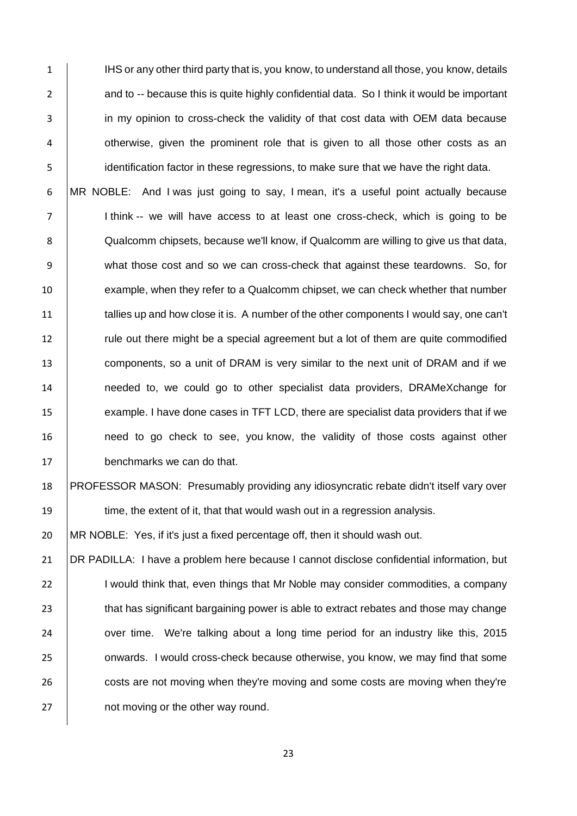1 IHS or any other third party that is, you know, to understand all those, you know, details 2 and to -- because this is quite highly confidential data. So I think it would be important 3 in my opinion to cross-check the validity of that cost data with OEM data because **otherwise**, given the prominent role that is given to all those other costs as an identification factor in these regressions, to make sure that we have the right data.

 MR NOBLE: And I was just going to say, I mean, it's a useful point actually because 7 | I think -- we will have access to at least one cross-check, which is going to be 8 | Qualcomm chipsets, because we'll know, if Qualcomm are willing to give us that data, 9 what those cost and so we can cross-check that against these teardowns. So, for example, when they refer to a Qualcomm chipset, we can check whether that number 11 tallies up and how close it is. A number of the other components I would say, one can't **rule out there might be a special agreement but a lot of them are quite commodified components, so a unit of DRAM is very similar to the next unit of DRAM and if we**  needed to, we could go to other specialist data providers, DRAMeXchange for 15 example. I have done cases in TFT LCD, there are specialist data providers that if we need to go check to see, you know, the validity of those costs against other **benchmarks we can do that.** 

 PROFESSOR MASON: Presumably providing any idiosyncratic rebate didn't itself vary over **time, the extent of it, that that would wash out in a regression analysis.** 

MR NOBLE: Yes, if it's just a fixed percentage off, then it should wash out.

 DR PADILLA: I have a problem here because I cannot disclose confidential information, but **I** I would think that, even things that Mr Noble may consider commodities, a company 23 that has significant bargaining power is able to extract rebates and those may change 24 over time. We're talking about a long time period for an industry like this, 2015 **onwards.** I would cross-check because otherwise, you know, we may find that some **costs are not moving when they're moving and some costs are moving when they're hot moving or the other way round.**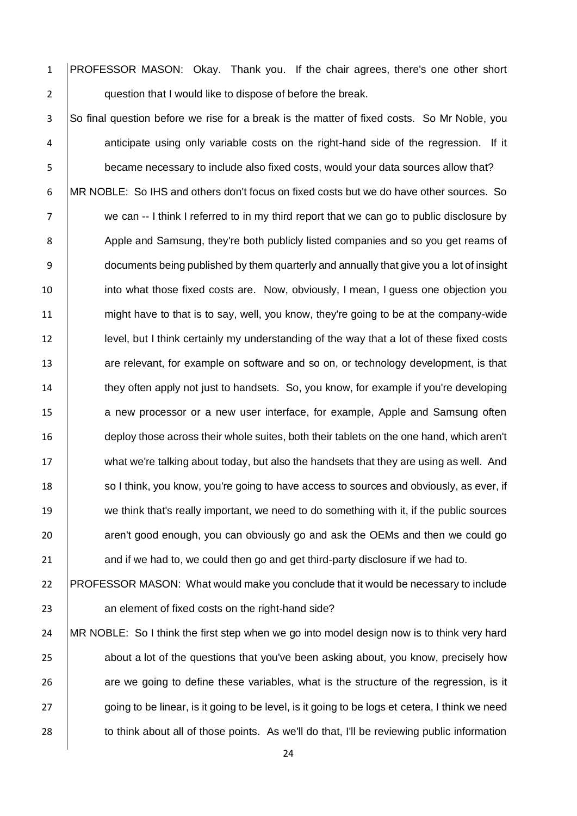PROFESSOR MASON: Okay. Thank you. If the chair agrees, there's one other short **question that I would like to dispose of before the break.** 

 So final question before we rise for a break is the matter of fixed costs. So Mr Noble, you 4 anticipate using only variable costs on the right-hand side of the regression. If it became necessary to include also fixed costs, would your data sources allow that?

 MR NOBLE: So IHS and others don't focus on fixed costs but we do have other sources. So 7 we can -- I think I referred to in my third report that we can go to public disclosure by Apple and Samsung, they're both publicly listed companies and so you get reams of documents being published by them quarterly and annually that give you a lot of insight into what those fixed costs are. Now, obviously, I mean, I guess one objection you might have to that is to say, well, you know, they're going to be at the company-wide **level, but I think certainly my understanding of the way that a lot of these fixed costs** 13 are relevant, for example on software and so on, or technology development, is that they often apply not just to handsets. So, you know, for example if you're developing 15 anew processor or a new user interface, for example, Apple and Samsung often deploy those across their whole suites, both their tablets on the one hand, which aren't 17 what we're talking about today, but also the handsets that they are using as well. And **So I think, you know, you're going to have access to sources and obviously, as ever, if** 19 we think that's really important, we need to do something with it, if the public sources **aren't good enough, you can obviously go and ask the OEMs and then we could go**  $\parallel$  and if we had to, we could then go and get third-party disclosure if we had to.

 PROFESSOR MASON: What would make you conclude that it would be necessary to include **an element of fixed costs on the right-hand side?** 

24 MR NOBLE: So I think the first step when we go into model design now is to think very hard 25 about a lot of the questions that you've been asking about, you know, precisely how 26 are we going to define these variables, what is the structure of the regression, is it **going to be linear, is it going to be level, is it going to be logs et cetera, I think we need** 28 to think about all of those points. As we'll do that, I'll be reviewing public information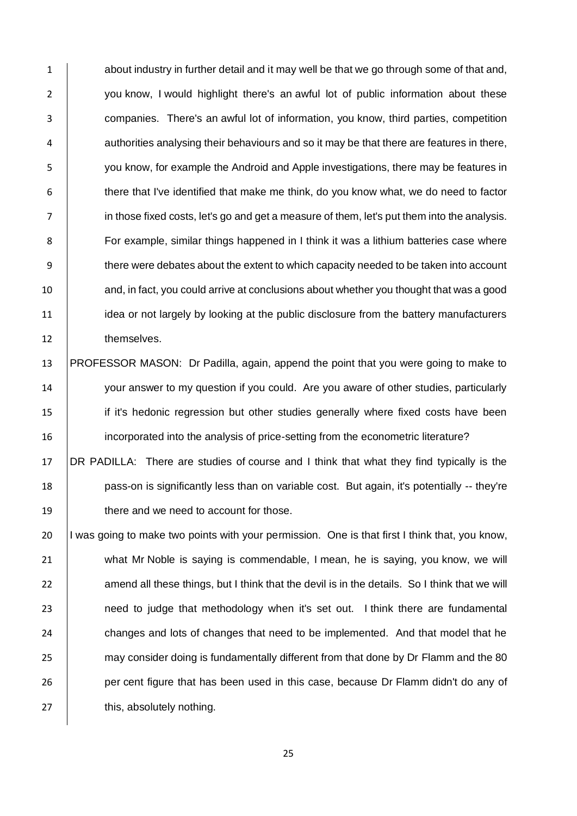1 about industry in further detail and it may well be that we go through some of that and, 2 vou know, I would highlight there's an awful lot of public information about these 3 companies. There's an awful lot of information, you know, third parties, competition 4 authorities analysing their behaviours and so it may be that there are features in there, 5 you know, for example the Android and Apple investigations, there may be features in 6 **there that I've identified that make me think, do you know what, we do need to factor** 7 **i** in those fixed costs, let's go and get a measure of them, let's put them into the analysis. 8 For example, similar things happened in I think it was a lithium batteries case where 9  $\vert$  there were debates about the extent to which capacity needed to be taken into account 10 and, in fact, you could arrive at conclusions about whether you thought that was a good 11 idea or not largely by looking at the public disclosure from the battery manufacturers 12 **themselves**.

 PROFESSOR MASON: Dr Padilla, again, append the point that you were going to make to your answer to my question if you could. Are you aware of other studies, particularly **i** it's hedonic regression but other studies generally where fixed costs have been incorporated into the analysis of price-setting from the econometric literature?

17 DR PADILLA: There are studies of course and I think that what they find typically is the 18 **pass-on is significantly less than on variable cost. But again, it's potentially -- they're** 19 **there and we need to account for those.** 

20 I was going to make two points with your permission. One is that first I think that, you know, 21 what Mr Noble is saying is commendable, I mean, he is saying, you know, we will  $22$  amend all these things, but I think that the devil is in the details. So I think that we will 23 meed to judge that methodology when it's set out. I think there are fundamental 24 changes and lots of changes that need to be implemented. And that model that he 25 may consider doing is fundamentally different from that done by Dr Flamm and the 80 26 per cent figure that has been used in this case, because Dr Flamm didn't do any of 27 **this, absolutely nothing.**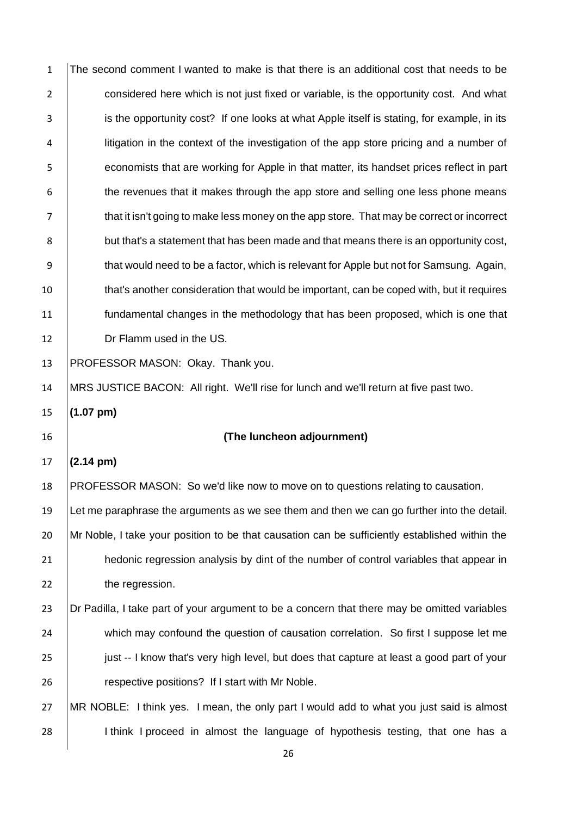1 The second comment I wanted to make is that there is an additional cost that needs to be **considered here which is not just fixed or variable, is the opportunity cost.** And what 3 is the opportunity cost? If one looks at what Apple itself is stating, for example, in its 4 iitigation in the context of the investigation of the app store pricing and a number of **economists that are working for Apple in that matter, its handset prices reflect in part**  the revenues that it makes through the app store and selling one less phone means **that it isn't going to make less money on the app store. That may be correct or incorrect** 8 but that's a statement that has been made and that means there is an opportunity cost, 9 | that would need to be a factor, which is relevant for Apple but not for Samsung. Again, **that's another consideration that would be important, can be coped with, but it requires fundamental changes in the methodology that has been proposed, which is one that**  Dr Flamm used in the US. 13 | PROFESSOR MASON: Okay. Thank you. MRS JUSTICE BACON: All right. We'll rise for lunch and we'll return at five past two. **(1.07 pm) (The luncheon adjournment) (2.14 pm)** PROFESSOR MASON: So we'd like now to move on to questions relating to causation. Let me paraphrase the arguments as we see them and then we can go further into the detail. 20 Mr Noble, I take your position to be that causation can be sufficiently established within the **hedonic regression analysis by dint of the number of control variables that appear in the regression.** 23 PDr Padilla, I take part of your argument to be a concern that there may be omitted variables 24 which may confound the question of causation correlation. So first I suppose let me **just -- I know that's very high level, but does that capture at least a good part of your The Separt Exercise** positions? If I start with Mr Noble. MR NOBLE: I think yes. I mean, the only part I would add to what you just said is almost 28 I think I proceed in almost the language of hypothesis testing, that one has a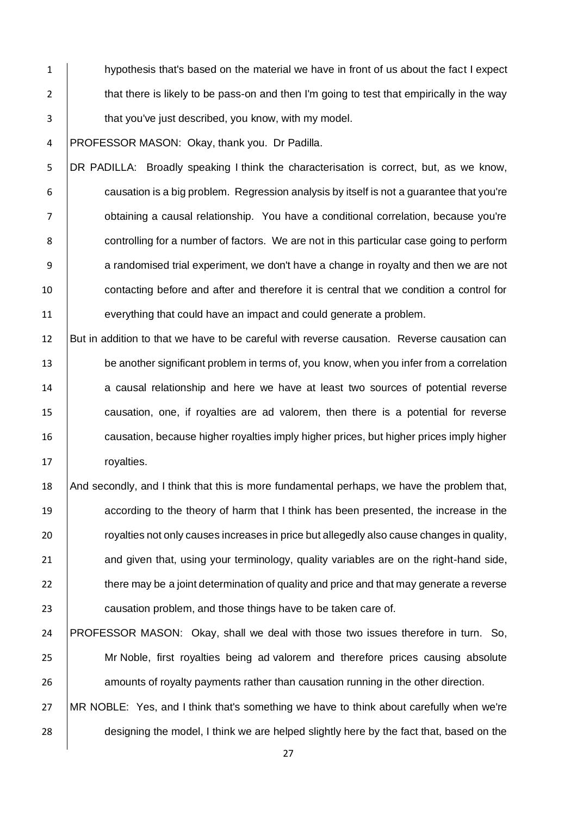1 hypothesis that's based on the material we have in front of us about the fact I expect 2 that there is likely to be pass-on and then I'm going to test that empirically in the way 3 **that you've just described, you know, with my model.** 

4 PROFESSOR MASON: Okay, thank you. Dr Padilla.

5 DR PADILLA: Broadly speaking I think the characterisation is correct, but, as we know,  $\overline{6}$  causation is a big problem. Regression analysis by itself is not a guarantee that you're 7 | obtaining a causal relationship. You have a conditional correlation, because you're 8 **controlling for a number of factors.** We are not in this particular case going to perform 9 a randomised trial experiment, we don't have a change in royalty and then we are not 10 contacting before and after and therefore it is central that we condition a control for 11 everything that could have an impact and could generate a problem.

12 But in addition to that we have to be careful with reverse causation. Reverse causation can 13 be another significant problem in terms of, you know, when you infer from a correlation 14 a causal relationship and here we have at least two sources of potential reverse 15 causation, one, if royalties are ad valorem, then there is a potential for reverse 16 causation, because higher royalties imply higher prices, but higher prices imply higher 17 | rovalties.

18 And secondly, and I think that this is more fundamental perhaps, we have the problem that, 19 **19** according to the theory of harm that I think has been presented, the increase in the 20 **Fig. 7** royalties not only causes increases in price but allegedly also cause changes in quality, 21 and given that, using your terminology, quality variables are on the right-hand side, 22 | there may be a joint determination of quality and price and that may generate a reverse 23 **causation problem, and those things have to be taken care of.** 

24 PROFESSOR MASON: Okay, shall we deal with those two issues therefore in turn. So, 25 Mr Noble, first royalties being ad valorem and therefore prices causing absolute 26 **amounts of royalty payments rather than causation running in the other direction.** 

27 MR NOBLE: Yes, and I think that's something we have to think about carefully when we're 28 designing the model, I think we are helped slightly here by the fact that, based on the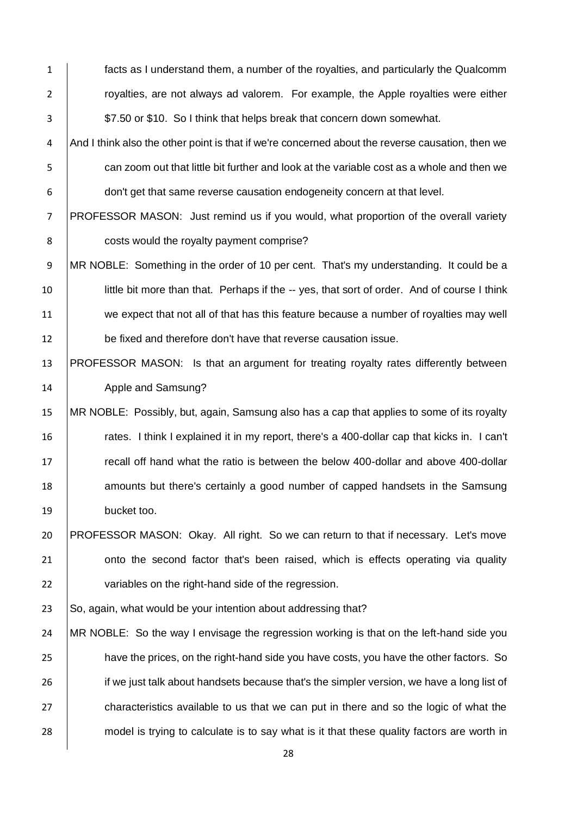facts as I understand them, a number of the royalties, and particularly the Qualcomm 2 The royalties, are not always ad valorem. For example, the Apple royalties were either **1** \$7.50 or \$10. So I think that helps break that concern down somewhat. 4 And I think also the other point is that if we're concerned about the reverse causation, then we 5 can zoom out that little bit further and look at the variable cost as a whole and then we **don't get that same reverse causation endogeneity concern at that level.** 7 PROFESSOR MASON: Just remind us if you would, what proportion of the overall variety **costs would the royalty payment comprise?** 9 | MR NOBLE: Something in the order of 10 per cent. That's my understanding. It could be a **i** little bit more than that. Perhaps if the -- yes, that sort of order. And of course I think 11 we expect that not all of that has this feature because a number of royalties may well **be fixed and therefore don't have that reverse causation issue.**  PROFESSOR MASON: Is that an argument for treating royalty rates differently between 14 Apple and Samsung? MR NOBLE: Possibly, but, again, Samsung also has a cap that applies to some of its royalty 16 Trates. I think I explained it in my report, there's a 400-dollar cap that kicks in. I can't  $\parallel$  recall off hand what the ratio is between the below 400-dollar and above 400-dollar **amounts but there's certainly a good number of capped handsets in the Samsung**  bucket too. PROFESSOR MASON: Okay. All right. So we can return to that if necessary. Let's move **onto the second factor that's been raised, which is effects operating via quality variables on the right-hand side of the regression.**  So, again, what would be your intention about addressing that? 24 MR NOBLE: So the way I envisage the regression working is that on the left-hand side you **have the prices, on the right-hand side you have costs, you have the other factors. So** 26 if we just talk about handsets because that's the simpler version, we have a long list of **characteristics available to us that we can put in there and so the logic of what the** 28 model is trying to calculate is to say what is it that these quality factors are worth in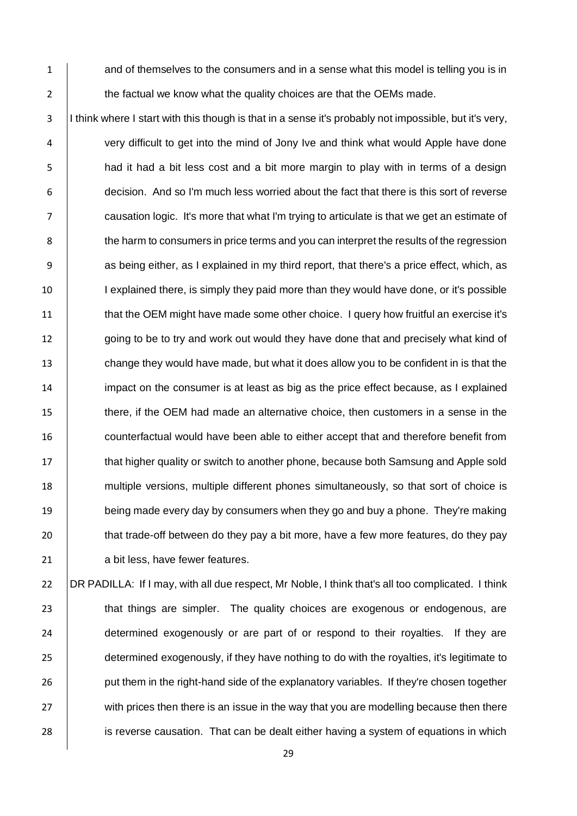1 and of themselves to the consumers and in a sense what this model is telling you is in 2  $\vert$  the factual we know what the quality choices are that the OEMs made.

3 I think where I start with this though is that in a sense it's probably not impossible, but it's very, 4 very difficult to get into the mind of Jony Ive and think what would Apple have done 5 **had it had a bit less cost and a bit more margin to play with in terms of a design** 6 decision. And so I'm much less worried about the fact that there is this sort of reverse 7 **causation logic.** It's more that what I'm trying to articulate is that we get an estimate of 8 the harm to consumers in price terms and you can interpret the results of the regression 9 <br>as being either, as I explained in my third report, that there's a price effect, which, as 10 | I explained there, is simply they paid more than they would have done, or it's possible 11 that the OEM might have made some other choice. I query how fruitful an exercise it's 12 going to be to try and work out would they have done that and precisely what kind of 13 change they would have made, but what it does allow you to be confident in is that the 14 impact on the consumer is at least as big as the price effect because, as I explained 15 there, if the OEM had made an alternative choice, then customers in a sense in the 16 counterfactual would have been able to either accept that and therefore benefit from 17 that higher quality or switch to another phone, because both Samsung and Apple sold 18 multiple versions, multiple different phones simultaneously, so that sort of choice is 19 being made every day by consumers when they go and buy a phone. They're making 20 that trade-off between do they pay a bit more, have a few more features, do they pay 21 a bit less, have fewer features.

22 DR PADILLA: If I may, with all due respect, Mr Noble, I think that's all too complicated. I think 23 That things are simpler. The quality choices are exogenous or endogenous, are 24 determined exogenously or are part of or respond to their royalties. If they are 25 determined exogenously, if they have nothing to do with the royalties, it's legitimate to 26 **put them in the right-hand side of the explanatory variables.** If they're chosen together  $27$  with prices then there is an issue in the way that you are modelling because then there 28 is reverse causation. That can be dealt either having a system of equations in which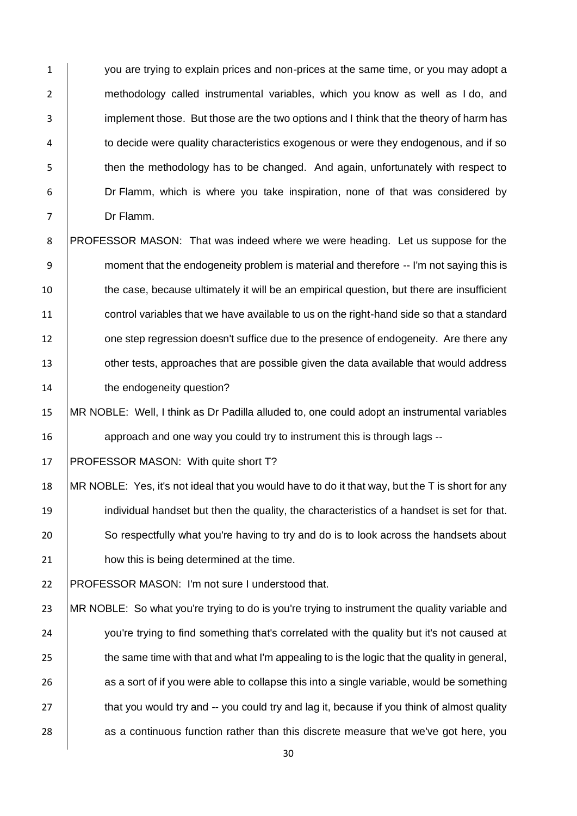1 vou are trying to explain prices and non-prices at the same time, or you may adopt a 2 methodology called instrumental variables, which you know as well as I do, and 3 implement those. But those are the two options and I think that the theory of harm has 4 to decide were quality characteristics exogenous or were they endogenous, and if so 5 then the methodology has to be changed. And again, unfortunately with respect to 6 Dr Flamm, which is where you take inspiration, none of that was considered by 7 Dr Flamm.

8 PROFESSOR MASON: That was indeed where we were heading. Let us suppose for the 9 moment that the endogeneity problem is material and therefore -- I'm not saying this is 10 the case, because ultimately it will be an empirical question, but there are insufficient 11 control variables that we have available to us on the right-hand side so that a standard 12 **one step regression doesn't suffice due to the presence of endogeneity.** Are there any 13 **find the tests, approaches that are possible given the data available that would address** 14 **the endogeneity question?** 

15 MR NOBLE: Well, I think as Dr Padilla alluded to, one could adopt an instrumental variables 16 **16** approach and one way you could try to instrument this is through lags --

17 PROFESSOR MASON: With quite short T?

 MR NOBLE: Yes, it's not ideal that you would have to do it that way, but the T is short for any **individual handset but then the quality, the characteristics of a handset is set for that.** 20 So respectfully what you're having to try and do is to look across the handsets about **how this is being determined at the time.** 

22 PROFESSOR MASON: I'm not sure I understood that.

23 | MR NOBLE: So what you're trying to do is you're trying to instrument the quality variable and 24 you're trying to find something that's correlated with the quality but it's not caused at 25 the same time with that and what I'm appealing to is the logic that the quality in general, 26 as a sort of if you were able to collapse this into a single variable, would be something  $27$  that you would try and -- you could try and lag it, because if you think of almost quality 28 as a continuous function rather than this discrete measure that we've got here, you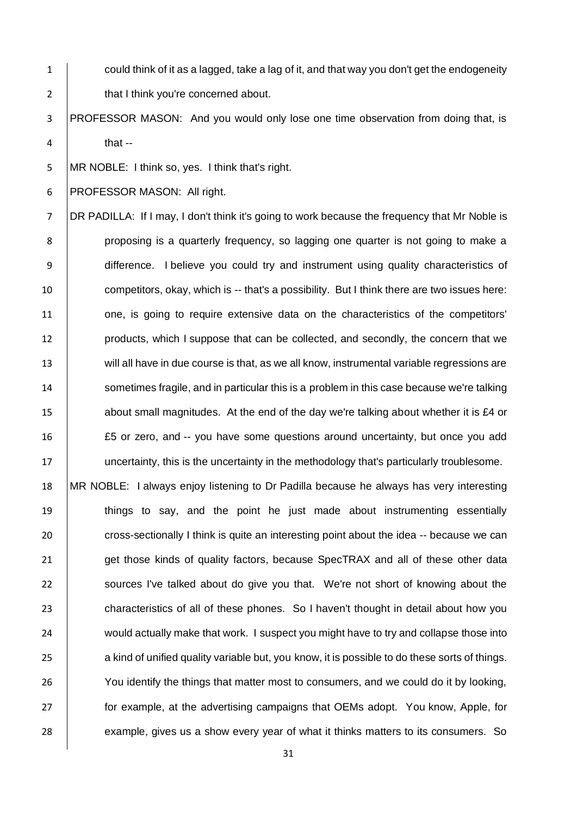$1 \mid$  could think of it as a lagged, take a lag of it, and that way you don't get the endogeneity 2 **that I think you're concerned about.** 

3 PROFESSOR MASON: And you would only lose one time observation from doing that, is  $4 \quad$  that --

5 MR NOBLE: I think so, yes. I think that's right.

6 PROFESSOR MASON: All right.

 DR PADILLA: If I may, I don't think it's going to work because the frequency that Mr Noble is proposing is a quarterly frequency, so lagging one quarter is not going to make a difference. I believe you could try and instrument using quality characteristics of **competitors, okay, which is -- that's a possibility. But I think there are two issues here:** 11 one, is going to require extensive data on the characteristics of the competitors' products, which I suppose that can be collected, and secondly, the concern that we 13 will all have in due course is that, as we all know, instrumental variable regressions are 14 Sometimes fragile, and in particular this is a problem in this case because we're talking **b** about small magnitudes. At the end of the day we're talking about whether it is £4 or £5 or zero, and -- you have some questions around uncertainty, but once you add 17 1 uncertainty, this is the uncertainty in the methodology that's particularly troublesome.

18 MR NOBLE: I always enjoy listening to Dr Padilla because he always has very interesting 19 things to say, and the point he just made about instrumenting essentially 20 **cross-sectionally I think is quite an interesting point about the idea -- because we can** 21 **get those kinds of quality factors, because SpecTRAX and all of these other data** 22 Sources I've talked about do give you that. We're not short of knowing about the 23 **characteristics of all of these phones.** So I haven't thought in detail about how you 24 would actually make that work. I suspect you might have to try and collapse those into 25 a kind of unified quality variable but, you know, it is possible to do these sorts of things. 26 You identify the things that matter most to consumers, and we could do it by looking, 27 **for example, at the advertising campaigns that OEMs adopt.** You know, Apple, for 28 example, gives us a show every year of what it thinks matters to its consumers. So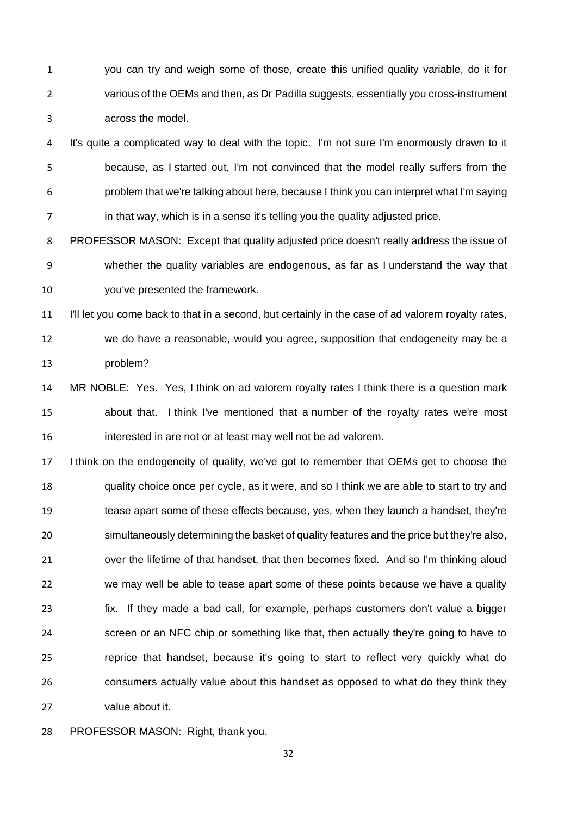1 vou can try and weigh some of those, create this unified quality variable, do it for 2 various of the OEMs and then, as Dr Padilla suggests, essentially you cross-instrument 3 across the model.

4 It's quite a complicated way to deal with the topic. I'm not sure I'm enormously drawn to it because, as I started out, I'm not convinced that the model really suffers from the **problem that we're talking about here, because I think you can interpret what I'm saying** | in that way, which is in a sense it's telling you the quality adjusted price.

- 8 PROFESSOR MASON: Except that quality adjusted price doesn't really address the issue of 9 whether the quality variables are endogenous, as far as I understand the way that 10 vou've presented the framework.
- 11 I'll let you come back to that in a second, but certainly in the case of ad valorem royalty rates, 12 we do have a reasonable, would you agree, supposition that endogeneity may be a 13 | problem?
- 14 MR NOBLE: Yes. Yes, I think on ad valorem royalty rates I think there is a question mark 15 about that. I think I've mentioned that a number of the royalty rates we're most 16 **interested in are not or at least may well not be ad valorem.**

17 I I think on the endogeneity of quality, we've got to remember that OEMs get to choose the 18 quality choice once per cycle, as it were, and so I think we are able to start to try and 19 tease apart some of these effects because, yes, when they launch a handset, they're 20 **Simultaneously determining the basket of quality features and the price but they're also,** 21 **over the lifetime of that handset, that then becomes fixed.** And so I'm thinking aloud 22 we may well be able to tease apart some of these points because we have a quality 23 fix. If they made a bad call, for example, perhaps customers don't value a bigger 24 Screen or an NFC chip or something like that, then actually they're going to have to 25 **reprice that handset, because it's going to start to reflect very quickly what do** 26 **consumers actually value about this handset as opposed to what do they think they** 27 value about it.

28 | PROFESSOR MASON: Right, thank you.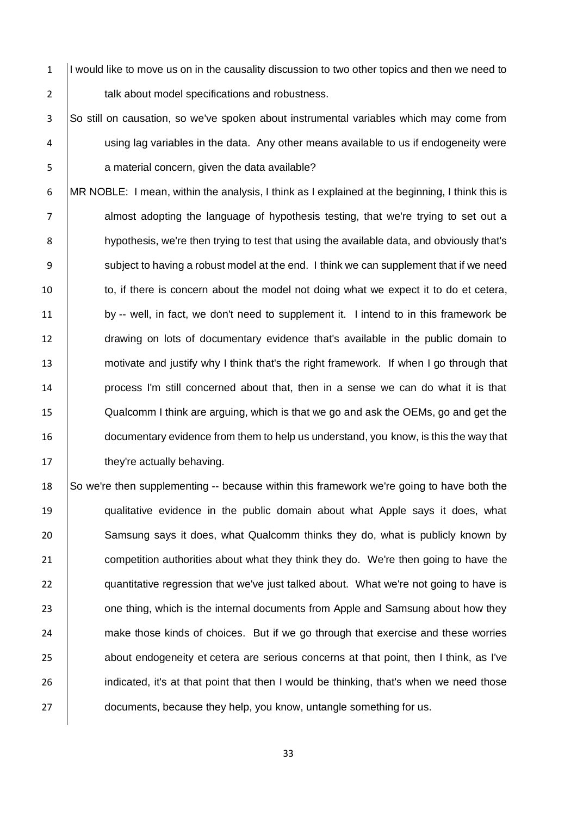1 | I would like to move us on in the causality discussion to two other topics and then we need to 2 **talk about model specifications and robustness.** 

3 So still on causation, so we've spoken about instrumental variables which may come from 4 using lag variables in the data. Any other means available to us if endogeneity were 5 **a** material concern, given the data available?

6 MR NOBLE: I mean, within the analysis, I think as I explained at the beginning, I think this is 7 | almost adopting the language of hypothesis testing, that we're trying to set out a 8 **hypothesis, we're then trying to test that using the available data, and obviously that's** 9 | subject to having a robust model at the end. I think we can supplement that if we need 10 to, if there is concern about the model not doing what we expect it to do et cetera, 11 by -- well, in fact, we don't need to supplement it. I intend to in this framework be 12 drawing on lots of documentary evidence that's available in the public domain to 13 motivate and justify why I think that's the right framework. If when I go through that 14 process I'm still concerned about that, then in a sense we can do what it is that 15 Qualcomm I think are arguing, which is that we go and ask the OEMs, go and get the 16 **documentary evidence from them to help us understand, you know, is this the way that** 17 **they're actually behaving.** 

18 So we're then supplementing -- because within this framework we're going to have both the 19 qualitative evidence in the public domain about what Apple says it does, what 20 Samsung says it does, what Qualcomm thinks they do, what is publicly known by 21 **competition authorities about what they think they do.** We're then going to have the 22 **quantitative regression that we've just talked about.** What we're not going to have is 23 **Fig. 23** one thing, which is the internal documents from Apple and Samsung about how they 24 make those kinds of choices. But if we go through that exercise and these worries 25 about endogeneity et cetera are serious concerns at that point, then I think, as I've 26 indicated, it's at that point that then I would be thinking, that's when we need those 27 **documents, because they help, you know, untangle something for us.**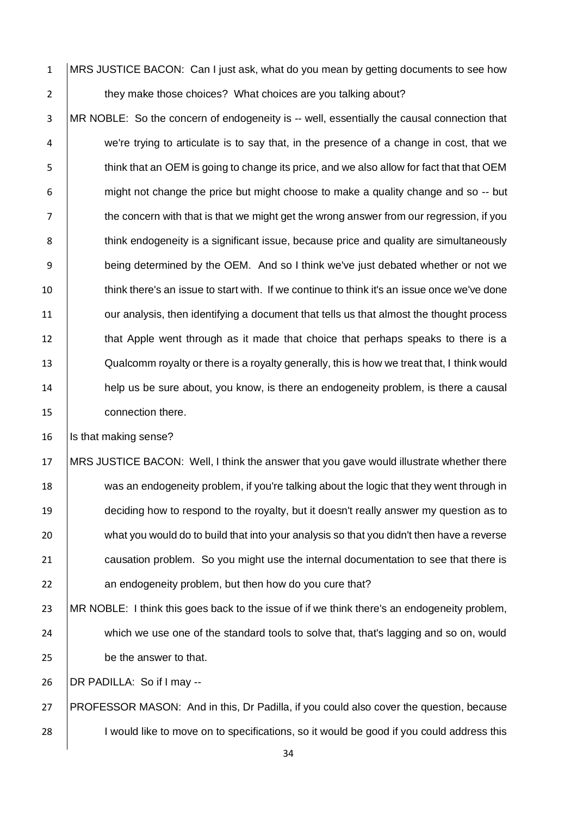1 | MRS JUSTICE BACON: Can I just ask, what do you mean by getting documents to see how 2 | they make those choices? What choices are you talking about?

3 MR NOBLE: So the concern of endogeneity is -- well, essentially the causal connection that 4 we're trying to articulate is to say that, in the presence of a change in cost, that we 5 think that an OEM is going to change its price, and we also allow for fact that that OEM 6 might not change the price but might choose to make a quality change and so -- but 7 the concern with that is that we might get the wrong answer from our regression, if you 8 think endogeneity is a significant issue, because price and quality are simultaneously 9 being determined by the OEM. And so I think we've just debated whether or not we 10 think there's an issue to start with. If we continue to think it's an issue once we've done 11 our analysis, then identifying a document that tells us that almost the thought process 12 that Apple went through as it made that choice that perhaps speaks to there is a 13 | Qualcomm royalty or there is a royalty generally, this is how we treat that, I think would 14 help us be sure about, you know, is there an endogeneity problem, is there a causal 15 **connection there.** 

16 Is that making sense?

 MRS JUSTICE BACON: Well, I think the answer that you gave would illustrate whether there 18 was an endogeneity problem, if you're talking about the logic that they went through in deciding how to respond to the royalty, but it doesn't really answer my question as to 20 what you would do to build that into your analysis so that you didn't then have a reverse **causation problem.** So you might use the internal documentation to see that there is **an endogeneity problem, but then how do you cure that?** 

23 MR NOBLE: I think this goes back to the issue of if we think there's an endogeneity problem, 24 which we use one of the standard tools to solve that, that's lagging and so on, would 25 be the answer to that.

26 DR PADILLA: So if I may --

27 PROFESSOR MASON: And in this, Dr Padilla, if you could also cover the question, because 28 I would like to move on to specifications, so it would be good if you could address this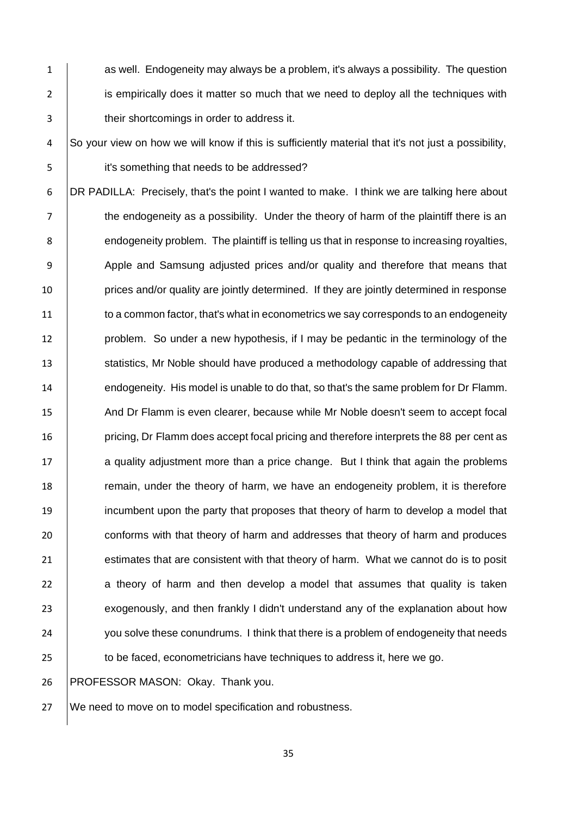1 as well. Endogeneity may always be a problem, it's always a possibility. The question 2 is empirically does it matter so much that we need to deploy all the techniques with 3 **their shortcomings in order to address it.** 

4 So your view on how we will know if this is sufficiently material that it's not just a possibility,

5 it's something that needs to be addressed?

6 DR PADILLA: Precisely, that's the point I wanted to make. I think we are talking here about 7 the endogeneity as a possibility. Under the theory of harm of the plaintiff there is an 8 endogeneity problem. The plaintiff is telling us that in response to increasing royalties, 9 Apple and Samsung adjusted prices and/or quality and therefore that means that 10 prices and/or quality are jointly determined. If they are jointly determined in response 11 to a common factor, that's what in econometrics we say corresponds to an endogeneity 12 problem. So under a new hypothesis, if I may be pedantic in the terminology of the 13 Statistics, Mr Noble should have produced a methodology capable of addressing that 14 endogeneity. His model is unable to do that, so that's the same problem for Dr Flamm. 15 And Dr Flamm is even clearer, because while Mr Noble doesn't seem to accept focal 16 pricing, Dr Flamm does accept focal pricing and therefore interprets the 88 per cent as  $17$  a quality adjustment more than a price change. But I think that again the problems 18 remain, under the theory of harm, we have an endogeneity problem, it is therefore 19 incumbent upon the party that proposes that theory of harm to develop a model that 20 **conforms** with that theory of harm and addresses that theory of harm and produces 21 estimates that are consistent with that theory of harm. What we cannot do is to posit  $22$  a theory of harm and then develop a model that assumes that quality is taken 23 exogenously, and then frankly I didn't understand any of the explanation about how 24 you solve these conundrums. I think that there is a problem of endogeneity that needs 25 to be faced, econometricians have techniques to address it, here we go. 26 | PROFESSOR MASON: Okay. Thank you.

27 We need to move on to model specification and robustness.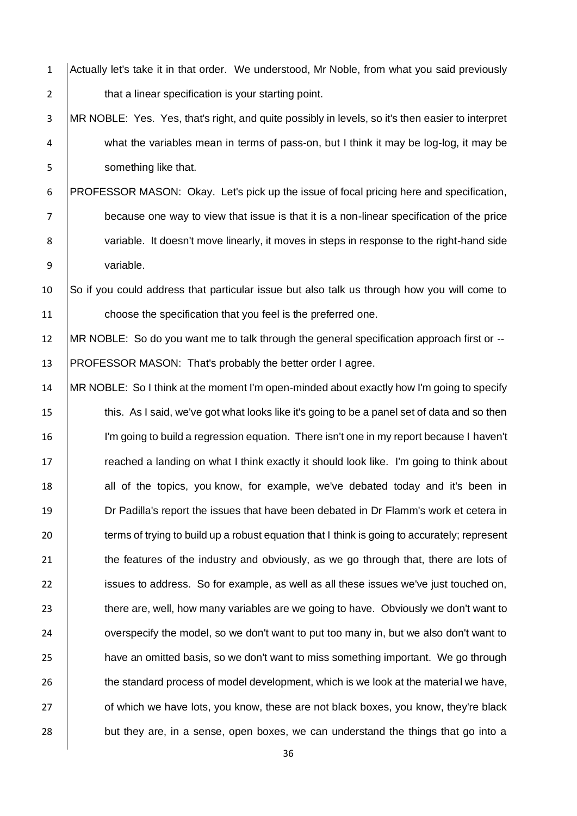1 Actually let's take it in that order. We understood, Mr Noble, from what you said previously 2 **that a linear specification is your starting point.** 

3 MR NOBLE: Yes. Yes, that's right, and quite possibly in levels, so it's then easier to interpret 4 what the variables mean in terms of pass-on, but I think it may be log-log, it may be 5 | something like that.

6 PROFESSOR MASON: Okay. Let's pick up the issue of focal pricing here and specification, 7 **because one way to view that issue is that it is a non-linear specification of the price** 8 variable. It doesn't move linearly, it moves in steps in response to the right-hand side 9 variable.

10 So if you could address that particular issue but also talk us through how you will come to 11 **choose the specification that you feel is the preferred one.** 

12 MR NOBLE: So do you want me to talk through the general specification approach first or -- 13 PROFESSOR MASON: That's probably the better order I agree.

14 MR NOBLE: So I think at the moment I'm open-minded about exactly how I'm going to specify 15 this. As I said, we've got what looks like it's going to be a panel set of data and so then 16 I'm going to build a regression equation. There isn't one in my report because I haven't 17 **Fig. 1** reached a landing on what I think exactly it should look like. I'm going to think about 18 all of the topics, you know, for example, we've debated today and it's been in 19 Dr Padilla's report the issues that have been debated in Dr Flamm's work et cetera in 20 terms of trying to build up a robust equation that I think is going to accurately; represent 21 the features of the industry and obviously, as we go through that, there are lots of 22 **issues to address.** So for example, as well as all these issues we've just touched on, 23 there are, well, how many variables are we going to have. Obviously we don't want to 24 overspecify the model, so we don't want to put too many in, but we also don't want to 25 **have an omitted basis, so we don't want to miss something important.** We go through 26 the standard process of model development, which is we look at the material we have, 27 **of which we have lots, you know, these are not black boxes, you know, they're black** 28 but they are, in a sense, open boxes, we can understand the things that go into a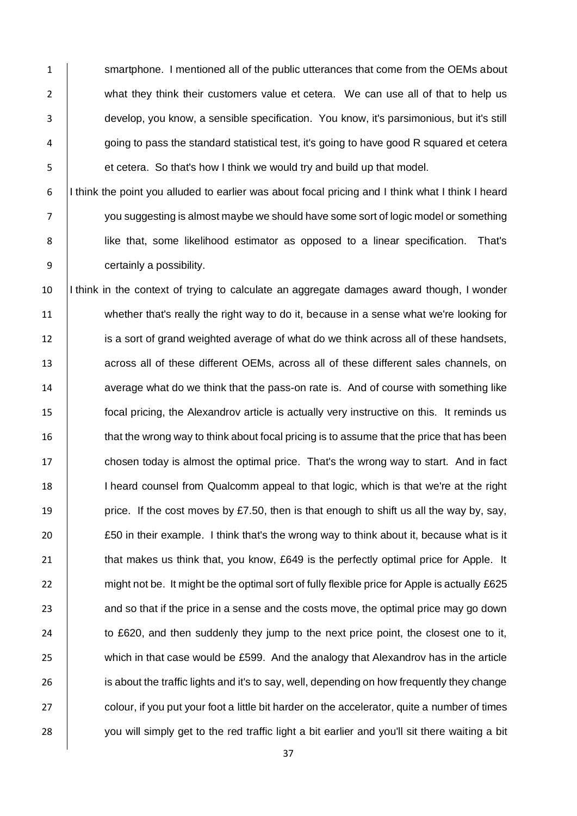1 | smartphone. I mentioned all of the public utterances that come from the OEMs about 2 what they think their customers value et cetera. We can use all of that to help us 3 develop, you know, a sensible specification. You know, it's parsimonious, but it's still 4 going to pass the standard statistical test, it's going to have good R squared et cetera 5 **et cetera.** So that's how I think we would try and build up that model.

6 I think the point you alluded to earlier was about focal pricing and I think what I think I heard 7 | vou suggesting is almost maybe we should have some sort of logic model or something 8 is a like that, some likelihood estimator as opposed to a linear specification. That's 9 certainly a possibility.

10 I think in the context of trying to calculate an aggregate damages award though, I wonder 11 whether that's really the right way to do it, because in a sense what we're looking for 12 is a sort of grand weighted average of what do we think across all of these handsets, 13 across all of these different OEMs, across all of these different sales channels, on 14 average what do we think that the pass-on rate is. And of course with something like 15 focal pricing, the Alexandrov article is actually very instructive on this. It reminds us 16 that the wrong way to think about focal pricing is to assume that the price that has been 17 **chosen today is almost the optimal price.** That's the wrong way to start. And in fact 18 I heard counsel from Qualcomm appeal to that logic, which is that we're at the right 19 **price.** If the cost moves by £7.50, then is that enough to shift us all the way by, say, 20 **E50** in their example. I think that's the wrong way to think about it, because what is it 21 **that makes us think that, you know, £649 is the perfectly optimal price for Apple.** It 22 might not be. It might be the optimal sort of fully flexible price for Apple is actually £625 23  $\parallel$  and so that if the price in a sense and the costs move, the optimal price may go down 24 to  $\epsilon$ 620, and then suddenly they jump to the next price point, the closest one to it, 25 which in that case would be £599. And the analogy that Alexandrov has in the article 26 is about the traffic lights and it's to say, well, depending on how frequently they change 27 **colour, if you put your foot a little bit harder on the accelerator, quite a number of times** 28 you will simply get to the red traffic light a bit earlier and you'll sit there waiting a bit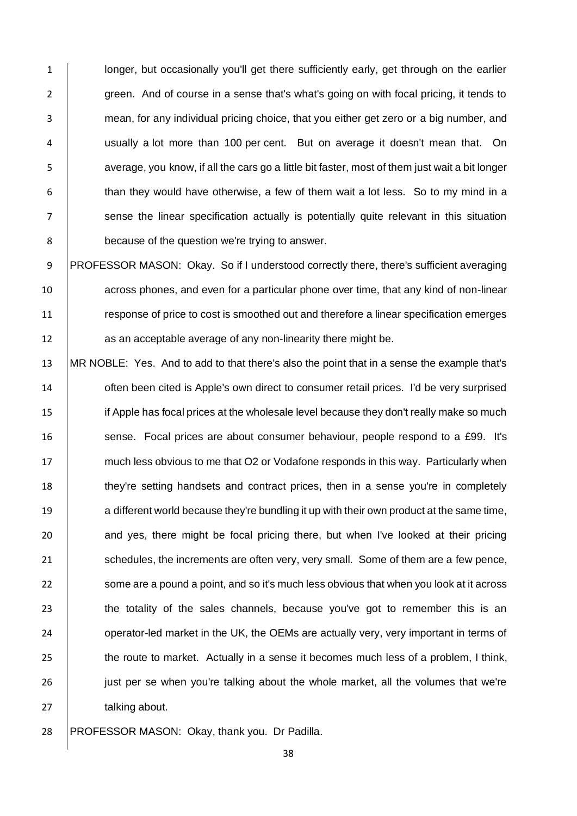1 | longer, but occasionally you'll get there sufficiently early, get through on the earlier 2 green. And of course in a sense that's what's going on with focal pricing, it tends to 3 mean, for any individual pricing choice, that you either get zero or a big number, and 4 usually a lot more than 100 per cent. But on average it doesn't mean that. On 5 **b** average, you know, if all the cars go a little bit faster, most of them just wait a bit longer 6 than they would have otherwise, a few of them wait a lot less. So to my mind in a 7 | sense the linear specification actually is potentially quite relevant in this situation 8 **because of the question we're trying to answer.** 

9 | PROFESSOR MASON: Okay. So if I understood correctly there, there's sufficient averaging **across phones, and even for a particular phone over time, that any kind of non-linear**  response of price to cost is smoothed out and therefore a linear specification emerges **12** as an acceptable average of any non-linearity there might be.

13 MR NOBLE: Yes. And to add to that there's also the point that in a sense the example that's 14 **final often been cited is Apple's own direct to consumer retail prices. I'd be very surprised** 15 if Apple has focal prices at the wholesale level because they don't really make so much 16 sense. Focal prices are about consumer behaviour, people respond to a £99. It's 17 much less obvious to me that O2 or Vodafone responds in this way. Particularly when 18 they're setting handsets and contract prices, then in a sense you're in completely 19 **a** different world because they're bundling it up with their own product at the same time, 20 and yes, there might be focal pricing there, but when I've looked at their pricing 21 Schedules, the increments are often very, very small. Some of them are a few pence, 22 some are a pound a point, and so it's much less obvious that when you look at it across 23 | the totality of the sales channels, because you've got to remember this is an 24 operator-led market in the UK, the OEMs are actually very, very important in terms of 25 the route to market. Actually in a sense it becomes much less of a problem, I think, 26 just per se when you're talking about the whole market, all the volumes that we're 27 **b** talking about.

28 PROFESSOR MASON: Okay, thank you. Dr Padilla.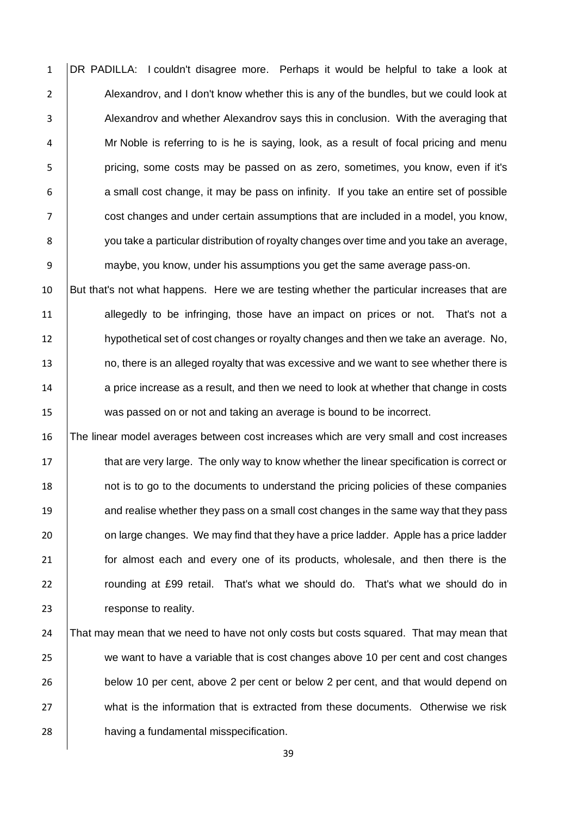1 DR PADILLA: I couldn't disagree more. Perhaps it would be helpful to take a look at 2 Alexandrov, and I don't know whether this is any of the bundles, but we could look at 3 Alexandrov and whether Alexandrov says this in conclusion. With the averaging that 4 Mr Noble is referring to is he is saying, look, as a result of focal pricing and menu 5 | pricing, some costs may be passed on as zero, sometimes, you know, even if it's  $\overline{6}$  a small cost change, it may be pass on infinity. If you take an entire set of possible 7 cost changes and under certain assumptions that are included in a model, you know, 8 you take a particular distribution of royalty changes over time and you take an average, 9 maybe, you know, under his assumptions you get the same average pass-on.

10 But that's not what happens. Here we are testing whether the particular increases that are 11 allegedly to be infringing, those have an impact on prices or not. That's not a 12 **hypothetical set of cost changes or royalty changes and then we take an average. No,** 13 no, there is an alleged royalty that was excessive and we want to see whether there is  $14$  a price increase as a result, and then we need to look at whether that change in costs 15 was passed on or not and taking an average is bound to be incorrect.

 The linear model averages between cost increases which are very small and cost increases 17 that are very large. The only way to know whether the linear specification is correct or 18 not is to go to the documents to understand the pricing policies of these companies **19** and realise whether they pass on a small cost changes in the same way that they pass **on large changes.** We may find that they have a price ladder. Apple has a price ladder **for almost each and every one of its products, wholesale, and then there is the**  $\parallel$  rounding at £99 retail. That's what we should do. That's what we should do in **Propose** to reality.

24 That may mean that we need to have not only costs but costs squared. That may mean that 25 we want to have a variable that is cost changes above 10 per cent and cost changes 26 below 10 per cent, above 2 per cent or below 2 per cent, and that would depend on 27 what is the information that is extracted from these documents. Otherwise we risk 28 having a fundamental misspecification.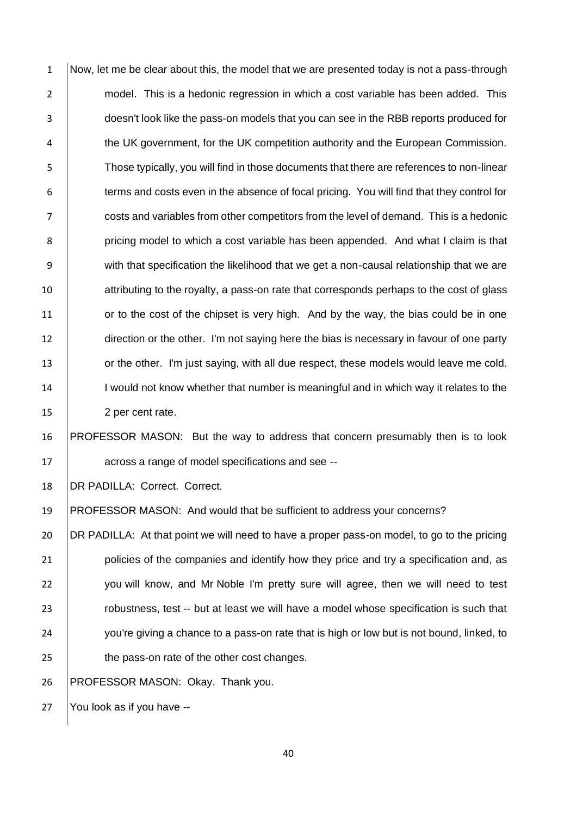1  $\vert$  Now, let me be clear about this, the model that we are presented today is not a pass-through 2 model. This is a hedonic regression in which a cost variable has been added. This 3 **doesn't look like the pass-on models that you can see in the RBB reports produced for** 4 the UK government, for the UK competition authority and the European Commission. 5 Those typically, you will find in those documents that there are references to non-linear 6 **terms and costs even in the absence of focal pricing. You will find that they control for** 7 costs and variables from other competitors from the level of demand. This is a hedonic 8 **pricing model to which a cost variable has been appended.** And what I claim is that 9 with that specification the likelihood that we get a non-causal relationship that we are 10 attributing to the royalty, a pass-on rate that corresponds perhaps to the cost of glass 11 or to the cost of the chipset is very high. And by the way, the bias could be in one 12 direction or the other. I'm not saying here the bias is necessary in favour of one party 13 or the other. I'm just saying, with all due respect, these models would leave me cold. 14 I would not know whether that number is meaningful and in which way it relates to the 15 2 per cent rate.

16 PROFESSOR MASON: But the way to address that concern presumably then is to look 17 **degees** a range of model specifications and see --

18 DR PADILLA: Correct. Correct.

19 PROFESSOR MASON: And would that be sufficient to address your concerns?

 DR PADILLA: At that point we will need to have a proper pass-on model, to go to the pricing **policies of the companies and identify how they price and try a specification and, as** 22 you will know, and Mr Noble I'm pretty sure will agree, then we will need to test **Fig. 23** robustness, test -- but at least we will have a model whose specification is such that 24 you're giving a chance to a pass-on rate that is high or low but is not bound, linked, to **the pass-on rate of the other cost changes.** 

26 | PROFESSOR MASON: Okay. Thank you.

27 You look as if you have --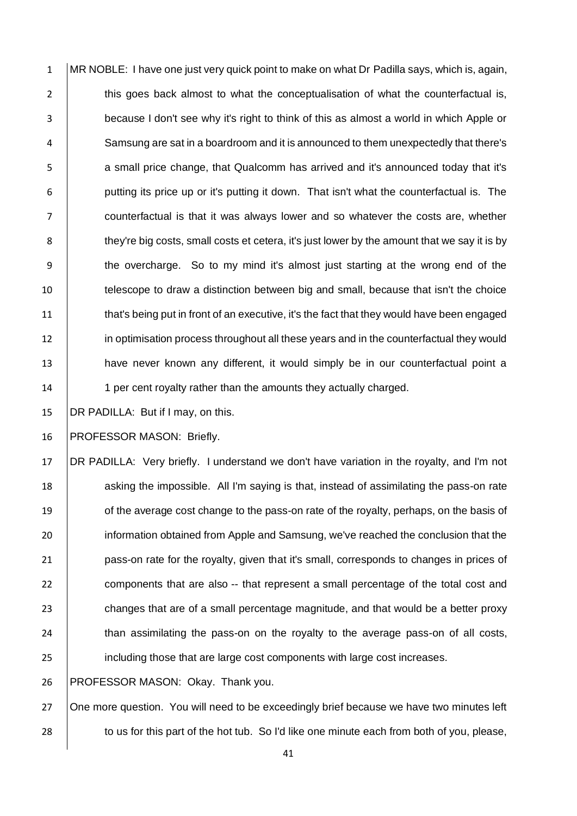1 | MR NOBLE: I have one just very quick point to make on what Dr Padilla says, which is, again, 2 this goes back almost to what the conceptualisation of what the counterfactual is, 3 because I don't see why it's right to think of this as almost a world in which Apple or 4 Samsung are sat in a boardroom and it is announced to them unexpectedly that there's 5 **b** a small price change, that Qualcomm has arrived and it's announced today that it's 6 **putting its price up or it's putting it down.** That isn't what the counterfactual is. The 7 counterfactual is that it was always lower and so whatever the costs are, whether 8 they're big costs, small costs et cetera, it's just lower by the amount that we say it is by 9 the overcharge. So to my mind it's almost just starting at the wrong end of the 10 telescope to draw a distinction between big and small, because that isn't the choice 11 that's being put in front of an executive, it's the fact that they would have been engaged 12 in optimisation process throughout all these years and in the counterfactual they would 13 have never known any different, it would simply be in our counterfactual point a 14 1 per cent royalty rather than the amounts they actually charged.

15 DR PADILLA: But if I may, on this.

16 | PROFESSOR MASON: Briefly.

 DR PADILLA: Very briefly. I understand we don't have variation in the royalty, and I'm not **18** asking the impossible. All I'm saying is that, instead of assimilating the pass-on rate **find a** of the average cost change to the pass-on rate of the royalty, perhaps, on the basis of 20 information obtained from Apple and Samsung, we've reached the conclusion that the **pass-on rate for the royalty, given that it's small, corresponds to changes in prices of** 22 components that are also -- that represent a small percentage of the total cost and **changes that are of a small percentage magnitude, and that would be a better proxy**  than assimilating the pass-on on the rovalty to the average pass-on of all costs, **including those that are large cost components with large cost increases.** 

26 | PROFESSOR MASON: Okay. Thank you.

27 | One more question. You will need to be exceedingly brief because we have two minutes left 28 to us for this part of the hot tub. So I'd like one minute each from both of you, please,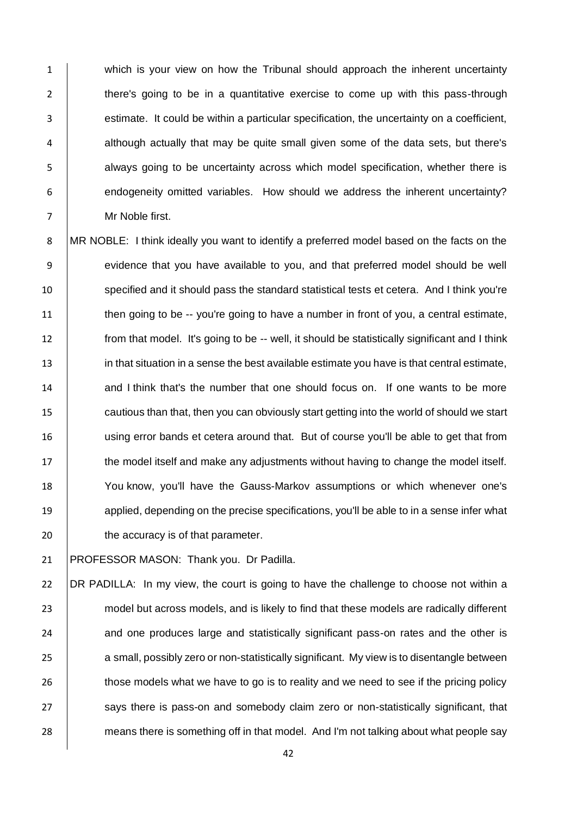1 which is your view on how the Tribunal should approach the inherent uncertainty 2 there's going to be in a quantitative exercise to come up with this pass-through 3 estimate. It could be within a particular specification, the uncertainty on a coefficient, 4 although actually that may be quite small given some of the data sets, but there's 5 always going to be uncertainty across which model specification, whether there is 6 **endogeneity omitted variables.** How should we address the inherent uncertainty? 7 | Mr Noble first.

8 MR NOBLE: I think ideally you want to identify a preferred model based on the facts on the 9 evidence that you have available to you, and that preferred model should be well 10 specified and it should pass the standard statistical tests et cetera. And I think you're 11 then going to be -- you're going to have a number in front of you, a central estimate, 12 from that model. It's going to be -- well, it should be statistically significant and I think 13 in that situation in a sense the best available estimate you have is that central estimate, 14 and I think that's the number that one should focus on. If one wants to be more 15 **cautious than that, then you can obviously start getting into the world of should we start** 16 using error bands et cetera around that. But of course you'll be able to get that from 17 the model itself and make any adjustments without having to change the model itself. 18 You know, you'll have the Gauss-Markov assumptions or which whenever one's 19 **applied, depending on the precise specifications, you'll be able to in a sense infer what** 20 **the accuracy is of that parameter.** 

21 | PROFESSOR MASON: Thank you. Dr Padilla.

22 DR PADILLA: In my view, the court is going to have the challenge to choose not within a 23 model but across models, and is likely to find that these models are radically different 24 and one produces large and statistically significant pass-on rates and the other is 25 a small, possibly zero or non-statistically significant. My view is to disentangle between 26 those models what we have to go is to reality and we need to see if the pricing policy 27 Says there is pass-on and somebody claim zero or non-statistically significant, that 28 means there is something off in that model. And I'm not talking about what people say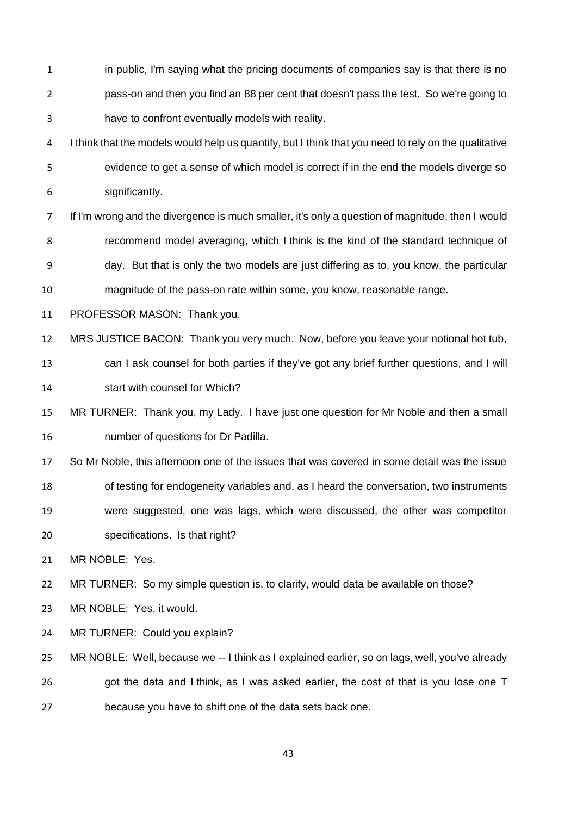| $\mathbf{1}$   | in public, I'm saying what the pricing documents of companies say is that there is no                |  |
|----------------|------------------------------------------------------------------------------------------------------|--|
| $\overline{2}$ | pass-on and then you find an 88 per cent that doesn't pass the test. So we're going to               |  |
| 3              | have to confront eventually models with reality.                                                     |  |
| 4              | I think that the models would help us quantify, but I think that you need to rely on the qualitative |  |
| 5              | evidence to get a sense of which model is correct if in the end the models diverge so                |  |
| 6              | significantly.                                                                                       |  |
| $\overline{7}$ | If I'm wrong and the divergence is much smaller, it's only a question of magnitude, then I would     |  |
| 8              | recommend model averaging, which I think is the kind of the standard technique of                    |  |
| 9              | day. But that is only the two models are just differing as to, you know, the particular              |  |
| 10             | magnitude of the pass-on rate within some, you know, reasonable range.                               |  |
| 11             | PROFESSOR MASON: Thank you.                                                                          |  |
| 12             | MRS JUSTICE BACON: Thank you very much. Now, before you leave your notional hot tub,                 |  |
| 13             | can I ask counsel for both parties if they've got any brief further questions, and I will            |  |
| 14             | start with counsel for Which?                                                                        |  |
| 15             | MR TURNER: Thank you, my Lady. I have just one question for Mr Noble and then a small                |  |
| 16             | number of questions for Dr Padilla.                                                                  |  |
| 17             | So Mr Noble, this afternoon one of the issues that was covered in some detail was the issue          |  |
| 18             | of testing for endogeneity variables and, as I heard the conversation, two instruments               |  |
| 19             | were suggested, one was lags, which were discussed, the other was competitor                         |  |
| 20             | specifications. Is that right?                                                                       |  |
| 21             | MR NOBLE: Yes.                                                                                       |  |
| 22             | MR TURNER: So my simple question is, to clarify, would data be available on those?                   |  |
| 23             | MR NOBLE: Yes, it would.                                                                             |  |
| 24             | MR TURNER: Could you explain?                                                                        |  |
| 25             | MR NOBLE: Well, because we -- I think as I explained earlier, so on lags, well, you've already       |  |
| 26             | got the data and I think, as I was asked earlier, the cost of that is you lose one T                 |  |
| 27             | because you have to shift one of the data sets back one.                                             |  |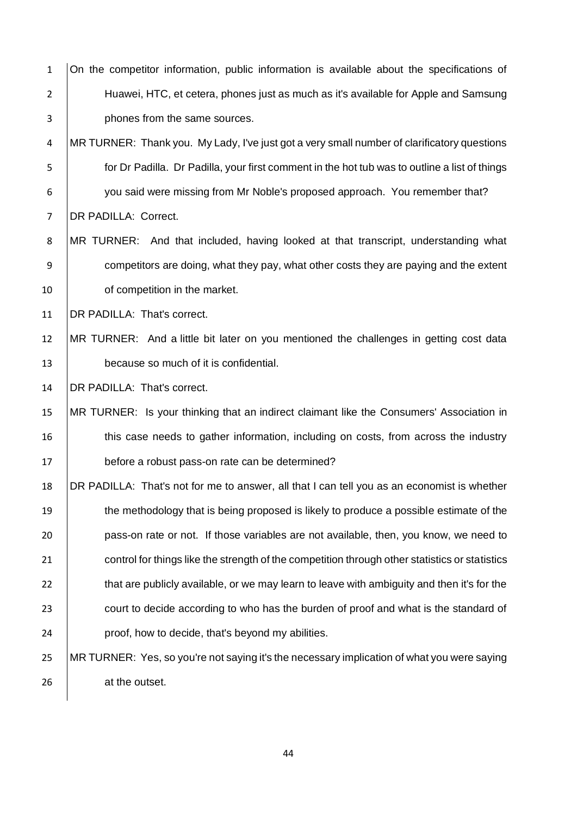1 On the competitor information, public information is available about the specifications of 2 Huawei, HTC, et cetera, phones just as much as it's available for Apple and Samsung **phones from the same sources.** 4 | MR TURNER: Thank you. My Lady, I've just got a very small number of clarificatory questions **for Dr Padilla. Dr Padilla, your first comment in the hot tub was to outline a list of things**  you said were missing from Mr Noble's proposed approach. You remember that? 7 | DR PADILLA: Correct. MR TURNER: And that included, having looked at that transcript, understanding what **competitors are doing, what they pay, what other costs they are paying and the extent** 10 of competition in the market. DR PADILLA: That's correct. MR TURNER: And a little bit later on you mentioned the challenges in getting cost data **because so much of it is confidential.**  DR PADILLA: That's correct. MR TURNER: Is your thinking that an indirect claimant like the Consumers' Association in 16 this case needs to gather information, including on costs, from across the industry 17 before a robust pass-on rate can be determined? DR PADILLA: That's not for me to answer, all that I can tell you as an economist is whether 19 the methodology that is being proposed is likely to produce a possible estimate of the **pass-on rate or not.** If those variables are not available, then, you know, we need to **control for things like the strength of the competition through other statistics or statistics** 22 that are publicly available, or we may learn to leave with ambiguity and then it's for the **court to decide according to who has the burden of proof and what is the standard of proof, how to decide, that's beyond my abilities.** MR TURNER: Yes, so you're not saying it's the necessary implication of what you were saying

26 at the outset.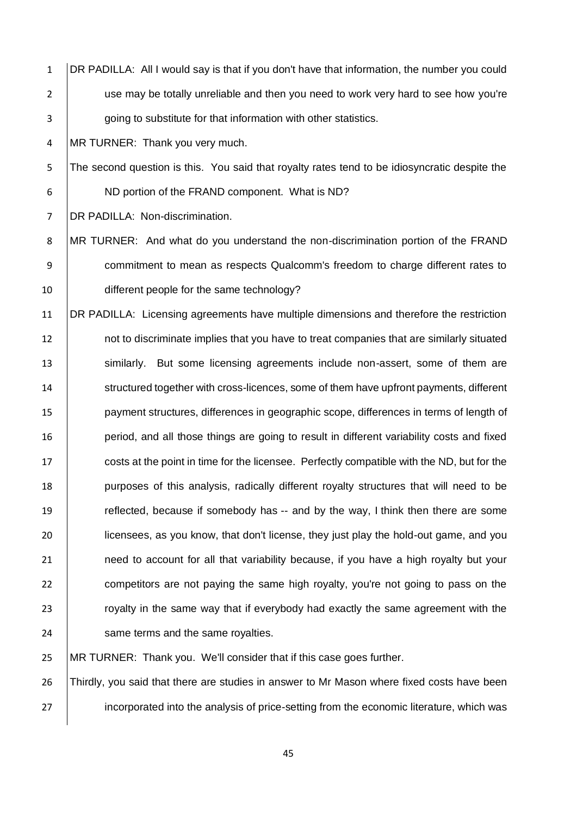DR PADILLA: All I would say is that if you don't have that information, the number you could 2 use may be totally unreliable and then you need to work very hard to see how you're **going to substitute for that information with other statistics.** 4 | MR TURNER: Thank you very much. The second question is this. You said that royalty rates tend to be idiosyncratic despite the ND portion of the FRAND component. What is ND? 7 | DR PADILLA: Non-discrimination. 8 | MR TURNER: And what do you understand the non-discrimination portion of the FRAND **commitment to mean as respects Qualcomm's freedom to charge different rates to different people for the same technology?**  DR PADILLA: Licensing agreements have multiple dimensions and therefore the restriction 12 not to discriminate implies that you have to treat companies that are similarly situated 13 Similarly. But some licensing agreements include non-assert, some of them are 14 Structured together with cross-licences, some of them have upfront payments, different payment structures, differences in geographic scope, differences in terms of length of period, and all those things are going to result in different variability costs and fixed costs at the point in time for the licensee. Perfectly compatible with the ND, but for the 18 purposes of this analysis, radically different royalty structures that will need to be 19 Teflected, because if somebody has -- and by the way, I think then there are some **lucensees, as you know, that don't license, they just play the hold-out game, and you need to account for all that variability because, if you have a high royalty but your competitors are not paying the same high royalty, you're not going to pass on the**  $\parallel$  royalty in the same way that if everybody had exactly the same agreement with the **Same terms and the same royalties.**  MR TURNER: Thank you. We'll consider that if this case goes further. Thirdly, you said that there are studies in answer to Mr Mason where fixed costs have been 27 incorporated into the analysis of price-setting from the economic literature, which was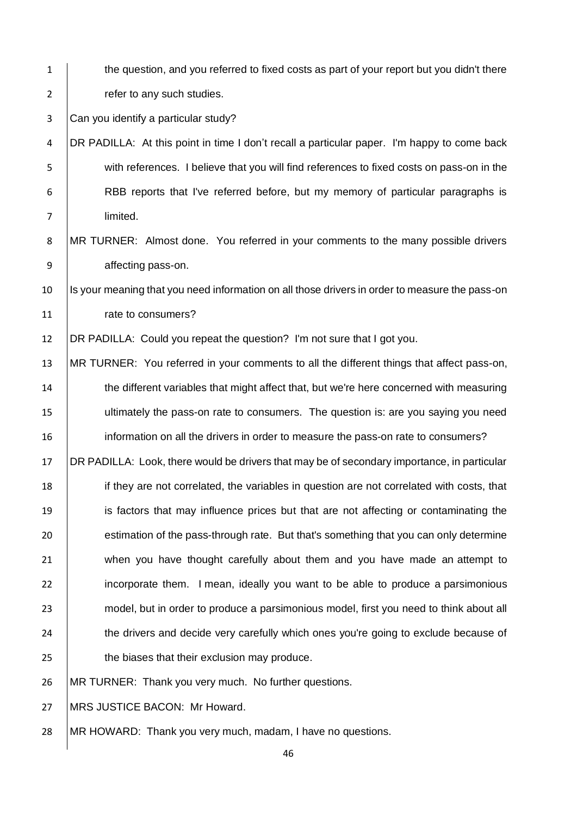| 1              | the question, and you referred to fixed costs as part of your report but you didn't there      |  |
|----------------|------------------------------------------------------------------------------------------------|--|
| $\overline{2}$ | refer to any such studies.                                                                     |  |
| 3              | Can you identify a particular study?                                                           |  |
| 4              | DR PADILLA: At this point in time I don't recall a particular paper. I'm happy to come back    |  |
| 5              | with references. I believe that you will find references to fixed costs on pass-on in the      |  |
| 6              | RBB reports that I've referred before, but my memory of particular paragraphs is               |  |
| 7              | limited.                                                                                       |  |
| 8              | MR TURNER: Almost done. You referred in your comments to the many possible drivers             |  |
| 9              | affecting pass-on.                                                                             |  |
| 10             | Is your meaning that you need information on all those drivers in order to measure the pass-on |  |
| 11             | rate to consumers?                                                                             |  |
| 12             | DR PADILLA: Could you repeat the question? I'm not sure that I got you.                        |  |
| 13             | MR TURNER: You referred in your comments to all the different things that affect pass-on,      |  |
| 14             | the different variables that might affect that, but we're here concerned with measuring        |  |
| 15             | ultimately the pass-on rate to consumers. The question is: are you saying you need             |  |
| 16             | information on all the drivers in order to measure the pass-on rate to consumers?              |  |
| 17             | DR PADILLA: Look, there would be drivers that may be of secondary importance, in particular    |  |
| 18             | if they are not correlated, the variables in question are not correlated with costs, that      |  |
| 19             | is factors that may influence prices but that are not affecting or contaminating the           |  |
| 20             | estimation of the pass-through rate. But that's something that you can only determine          |  |
| 21             | when you have thought carefully about them and you have made an attempt to                     |  |
| 22             | incorporate them. I mean, ideally you want to be able to produce a parsimonious                |  |
| 23             | model, but in order to produce a parsimonious model, first you need to think about all         |  |
| 24             | the drivers and decide very carefully which ones you're going to exclude because of            |  |
| 25             | the biases that their exclusion may produce.                                                   |  |
| 26             | MR TURNER: Thank you very much. No further questions.                                          |  |
| 27             | MRS JUSTICE BACON: Mr Howard.                                                                  |  |
| 28             | MR HOWARD: Thank you very much, madam, I have no questions.                                    |  |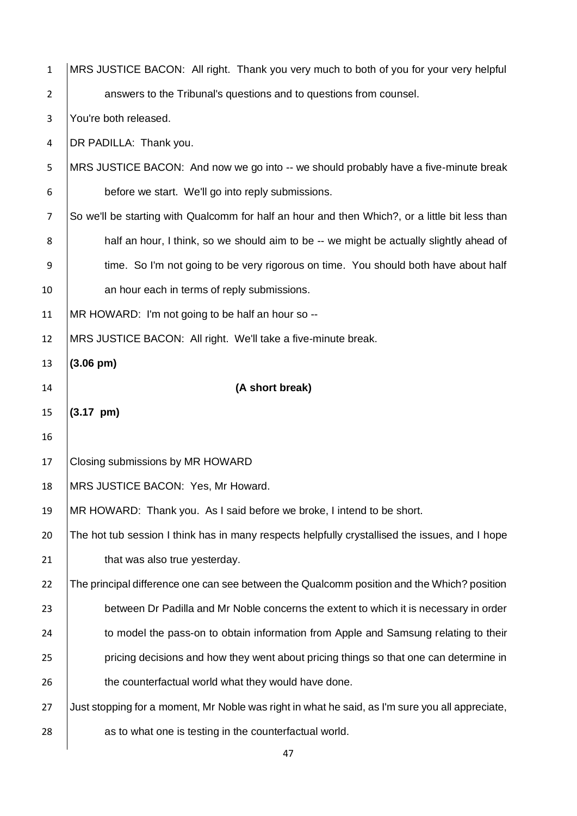| $\mathbf{1}$   | MRS JUSTICE BACON: All right. Thank you very much to both of you for your very helpful          |  |
|----------------|-------------------------------------------------------------------------------------------------|--|
| $\overline{2}$ | answers to the Tribunal's questions and to questions from counsel.                              |  |
| 3              | You're both released.                                                                           |  |
| 4              | DR PADILLA: Thank you.                                                                          |  |
| 5              | MRS JUSTICE BACON: And now we go into -- we should probably have a five-minute break            |  |
| 6              | before we start. We'll go into reply submissions.                                               |  |
| $\overline{7}$ | So we'll be starting with Qualcomm for half an hour and then Which?, or a little bit less than  |  |
| 8              | half an hour, I think, so we should aim to be -- we might be actually slightly ahead of         |  |
| 9              | time. So I'm not going to be very rigorous on time. You should both have about half             |  |
| 10             | an hour each in terms of reply submissions.                                                     |  |
| 11             | MR HOWARD: I'm not going to be half an hour so --                                               |  |
| 12             | MRS JUSTICE BACON: All right. We'll take a five-minute break.                                   |  |
| 13             | $(3.06 \text{ pm})$                                                                             |  |
| 14             | (A short break)                                                                                 |  |
|                |                                                                                                 |  |
| 15             | $(3.17 \text{ pm})$                                                                             |  |
| 16             |                                                                                                 |  |
| 17             | Closing submissions by MR HOWARD                                                                |  |
| 18             | MRS JUSTICE BACON: Yes, Mr Howard.                                                              |  |
| 19             | MR HOWARD: Thank you. As I said before we broke, I intend to be short.                          |  |
| 20             | The hot tub session I think has in many respects helpfully crystallised the issues, and I hope  |  |
| 21             | that was also true yesterday.                                                                   |  |
| 22             | The principal difference one can see between the Qualcomm position and the Which? position      |  |
| 23             | between Dr Padilla and Mr Noble concerns the extent to which it is necessary in order           |  |
| 24             | to model the pass-on to obtain information from Apple and Samsung relating to their             |  |
| 25             | pricing decisions and how they went about pricing things so that one can determine in           |  |
| 26             | the counterfactual world what they would have done.                                             |  |
| 27             | Just stopping for a moment, Mr Noble was right in what he said, as I'm sure you all appreciate, |  |
| 28             | as to what one is testing in the counterfactual world.                                          |  |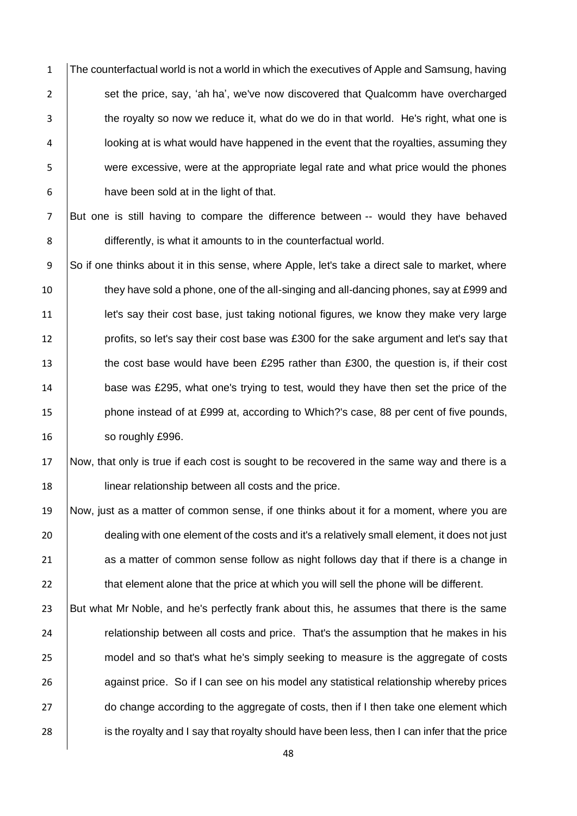1 The counterfactual world is not a world in which the executives of Apple and Samsung, having 2 Set the price, say, 'ah ha', we've now discovered that Qualcomm have overcharged 3 the royalty so now we reduce it, what do we do in that world. He's right, what one is 4 **let is what would have happened in the event that the royalties, assuming they** 5 were excessive, were at the appropriate legal rate and what price would the phones 6 have been sold at in the light of that.

7 | But one is still having to compare the difference between -- would they have behaved 8 differently, is what it amounts to in the counterfactual world.

9 So if one thinks about it in this sense, where Apple, let's take a direct sale to market, where 10 they have sold a phone, one of the all-singing and all-dancing phones, say at £999 and 11 **let's say their cost base, just taking notional figures, we know they make very large** 12 profits, so let's say their cost base was £300 for the sake argument and let's say that 13 the cost base would have been £295 rather than £300, the question is, if their cost 14 base was £295, what one's trying to test, would they have then set the price of the 15 **phone instead of at £999 at, according to Which?'s case, 88 per cent of five pounds,** 16 | so roughly £996.

17 Now, that only is true if each cost is sought to be recovered in the same way and there is a 18 **linear relationship between all costs and the price.** 

 Now, just as a matter of common sense, if one thinks about it for a moment, where you are **dealing with one element of the costs and it's a relatively small element, it does not just** 21 as a matter of common sense follow as night follows day that if there is a change in that element alone that the price at which you will sell the phone will be different.

23 But what Mr Noble, and he's perfectly frank about this, he assumes that there is the same 24 **relationship between all costs and price.** That's the assumption that he makes in his 25 model and so that's what he's simply seeking to measure is the aggregate of costs 26 against price. So if I can see on his model any statistical relationship whereby prices 27 do change according to the aggregate of costs, then if I then take one element which 28 is the royalty and I say that royalty should have been less, then I can infer that the price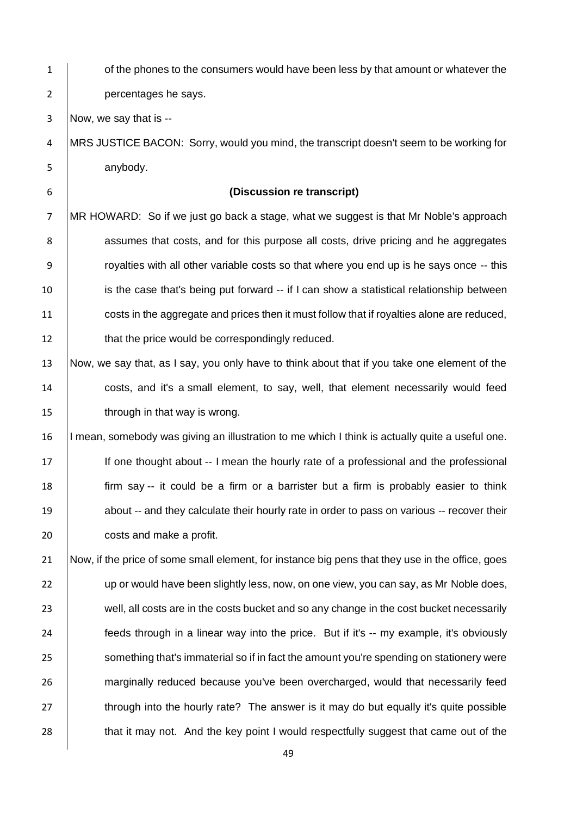| $\mathbf{1}$   | of the phones to the consumers would have been less by that amount or whatever the               |  |
|----------------|--------------------------------------------------------------------------------------------------|--|
| $\overline{2}$ | percentages he says.                                                                             |  |
| 3              | Now, we say that is --                                                                           |  |
| 4              | MRS JUSTICE BACON: Sorry, would you mind, the transcript doesn't seem to be working for          |  |
| 5              | anybody.                                                                                         |  |
| 6              | (Discussion re transcript)                                                                       |  |
| $\overline{7}$ | MR HOWARD: So if we just go back a stage, what we suggest is that Mr Noble's approach            |  |
| 8              | assumes that costs, and for this purpose all costs, drive pricing and he aggregates              |  |
| 9              | royalties with all other variable costs so that where you end up is he says once -- this         |  |
| 10             | is the case that's being put forward -- if I can show a statistical relationship between         |  |
| 11             | costs in the aggregate and prices then it must follow that if royalties alone are reduced,       |  |
| 12             | that the price would be correspondingly reduced.                                                 |  |
| 13             | Now, we say that, as I say, you only have to think about that if you take one element of the     |  |
| 14             | costs, and it's a small element, to say, well, that element necessarily would feed               |  |
| 15             | through in that way is wrong.                                                                    |  |
| 16             | I mean, somebody was giving an illustration to me which I think is actually quite a useful one.  |  |
| 17             | If one thought about -- I mean the hourly rate of a professional and the professional            |  |
| 18             | firm say -- it could be a firm or a barrister but a firm is probably easier to think             |  |
| 19             | about -- and they calculate their hourly rate in order to pass on various -- recover their       |  |
| 20             | costs and make a profit.                                                                         |  |
| 21             | Now, if the price of some small element, for instance big pens that they use in the office, goes |  |
| 22             | up or would have been slightly less, now, on one view, you can say, as Mr Noble does,            |  |
| 23             | well, all costs are in the costs bucket and so any change in the cost bucket necessarily         |  |
| 24             | feeds through in a linear way into the price. But if it's -- my example, it's obviously          |  |
| 25             | something that's immaterial so if in fact the amount you're spending on stationery were          |  |
| 26             | marginally reduced because you've been overcharged, would that necessarily feed                  |  |
| 27             | through into the hourly rate? The answer is it may do but equally it's quite possible            |  |
| 28             | that it may not. And the key point I would respectfully suggest that came out of the             |  |
|                | ៱ດ                                                                                               |  |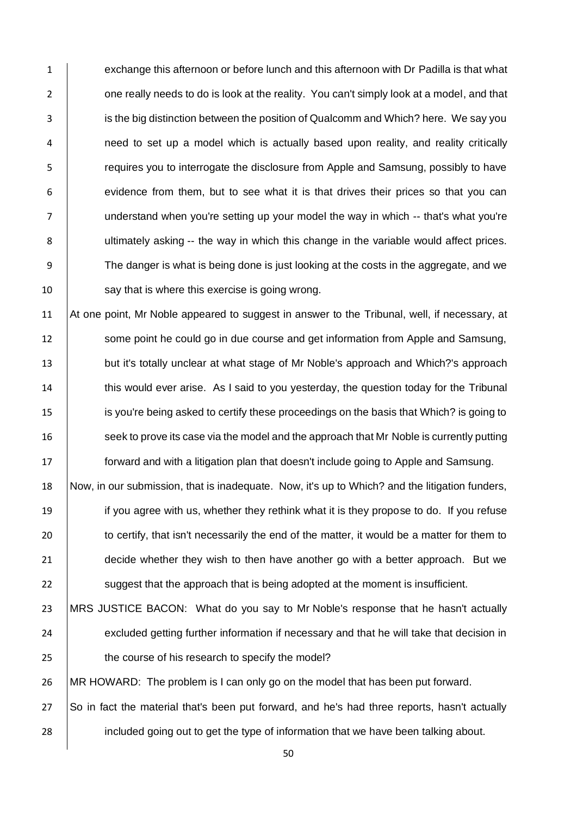1 exchange this afternoon or before lunch and this afternoon with Dr Padilla is that what 2 **Fig. 2** one really needs to do is look at the reality. You can't simply look at a model, and that 3 is the big distinction between the position of Qualcomm and Which? here. We say you 4 meed to set up a model which is actually based upon reality, and reality critically 5 requires you to interrogate the disclosure from Apple and Samsung, possibly to have 6 evidence from them, but to see what it is that drives their prices so that you can 7 | understand when you're setting up your model the way in which -- that's what you're 8 | ultimately asking -- the way in which this change in the variable would affect prices. 9 The danger is what is being done is just looking at the costs in the aggregate, and we 10 **Say that is where this exercise is going wrong.** 

11 At one point, Mr Noble appeared to suggest in answer to the Tribunal, well, if necessary, at 12 some point he could go in due course and get information from Apple and Samsung, 13 but it's totally unclear at what stage of Mr Noble's approach and Which?'s approach 14 this would ever arise. As I said to you yesterday, the question today for the Tribunal 15 is you're being asked to certify these proceedings on the basis that Which? is going to 16 Seek to prove its case via the model and the approach that Mr Noble is currently putting 17 forward and with a litigation plan that doesn't include going to Apple and Samsung.

18 Now, in our submission, that is inadequate. Now, it's up to Which? and the litigation funders, 19 if you agree with us, whether they rethink what it is they propose to do. If you refuse 20 to certify, that isn't necessarily the end of the matter, it would be a matter for them to 21 **decide whether they wish to then have another go with a better approach.** But we 22 **Suggest that the approach that is being adopted at the moment is insufficient.** 

23 MRS JUSTICE BACON: What do you say to Mr Noble's response that he hasn't actually 24 excluded getting further information if necessary and that he will take that decision in 25 **the course of his research to specify the model?** 

26 MR HOWARD: The problem is I can only go on the model that has been put forward.

 $27$  So in fact the material that's been put forward, and he's had three reports, hasn't actually 28 included going out to get the type of information that we have been talking about.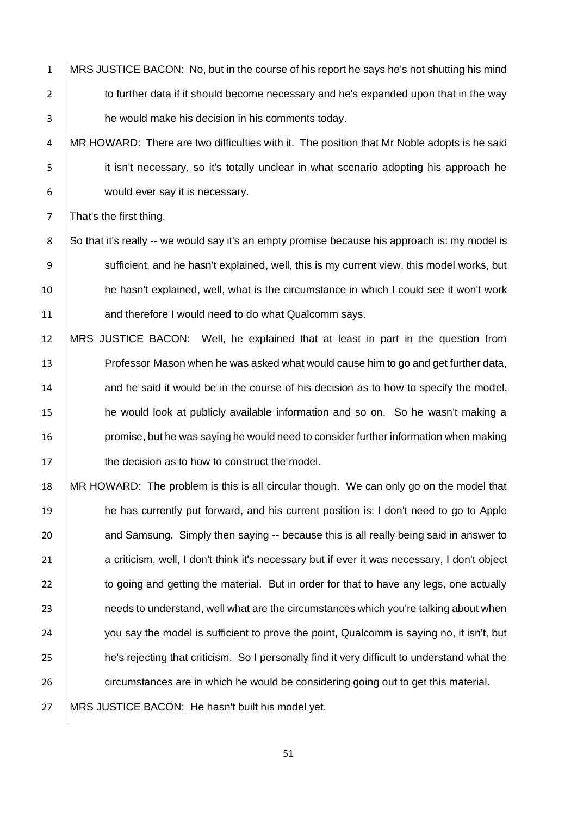1 MRS JUSTICE BACON: No, but in the course of his report he says he's not shutting his mind 2 to further data if it should become necessary and he's expanded upon that in the way he would make his decision in his comments today.

4 | MR HOWARD: There are two difficulties with it. The position that Mr Noble adopts is he said 5 it isn't necessary, so it's totally unclear in what scenario adopting his approach he would ever say it is necessary.

7 | That's the first thing.

 $\vert$  So that it's really -- we would say it's an empty promise because his approach is: my model is 9 | sufficient, and he hasn't explained, well, this is my current view, this model works, but he hasn't explained, well, what is the circumstance in which I could see it won't work **and therefore I would need to do what Qualcomm says.** 

 MRS JUSTICE BACON: Well, he explained that at least in part in the question from **Professor Mason when he was asked what would cause him to go and get further data,**  and he said it would be in the course of his decision as to how to specify the model, he would look at publicly available information and so on. So he wasn't making a **promise, but he was saying he would need to consider further information when making the decision as to how to construct the model.** 

 MR HOWARD: The problem is this is all circular though. We can only go on the model that he has currently put forward, and his current position is: I don't need to go to Apple **and Samsung. Simply then saying -- because this is all really being said in answer to** 21 a criticism, well, I don't think it's necessary but if ever it was necessary, I don't object to going and getting the material. But in order for that to have any legs, one actually **Fig. 23** needs to understand, well what are the circumstances which you're talking about when you say the model is sufficient to prove the point, Qualcomm is saying no, it isn't, but he's rejecting that criticism. So I personally find it very difficult to understand what the **circumstances are in which he would be considering going out to get this material.** MRS JUSTICE BACON: He hasn't built his model yet.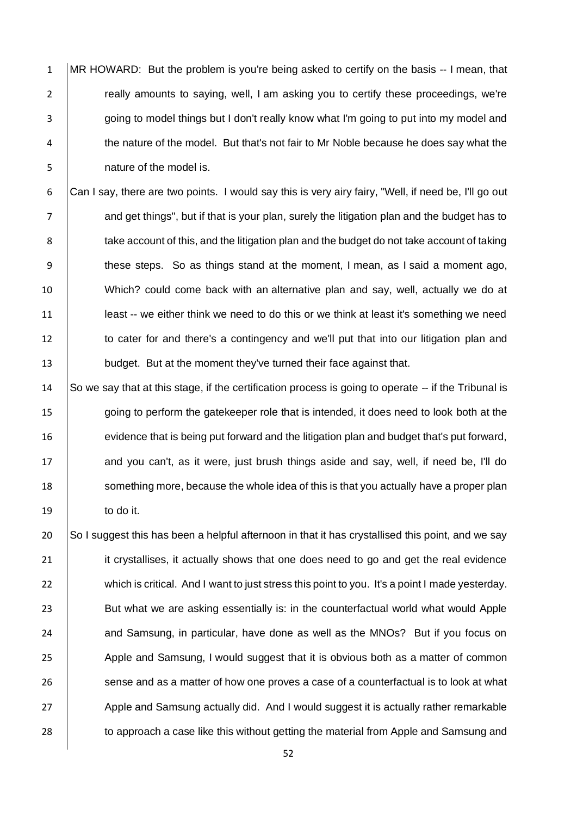1 | MR HOWARD: But the problem is you're being asked to certify on the basis -- I mean, that 2 **Fig. 2** really amounts to saying, well, I am asking you to certify these proceedings, we're 3 **going to model things but I don't really know what I'm going to put into my model and** <sup>4</sup> the nature of the model. But that's not fair to Mr Noble because he does say what the 5 nature of the model is.

 Can I say, there are two points. I would say this is very airy fairy, "Well, if need be, I'll go out **Fig.** and get things", but if that is your plan, surely the litigation plan and the budget has to 8 take account of this, and the litigation plan and the budget do not take account of taking these steps. So as things stand at the moment, I mean, as I said a moment ago, Which? could come back with an alternative plan and say, well, actually we do at **least -- we either think we need to do this or we think at least it's something we need** 12 to cater for and there's a contingency and we'll put that into our litigation plan and **budget.** But at the moment they've turned their face against that.

 $\vert$  So we say that at this stage, if the certification process is going to operate  $-$  if the Tribunal is **going to perform the gatekeeper role that is intended, it does need to look both at the evidence that is being put forward and the litigation plan and budget that's put forward,**  and you can't, as it were, just brush things aside and say, well, if need be, I'll do 18 something more, because the whole idea of this is that you actually have a proper plan 19 to do it.

20  $\vert$  So I suggest this has been a helpful afternoon in that it has crystallised this point, and we say 21 it crystallises, it actually shows that one does need to go and get the real evidence 22 which is critical. And I want to just stress this point to you. It's a point I made yesterday. 23 But what we are asking essentially is: in the counterfactual world what would Apple 24 and Samsung, in particular, have done as well as the MNOs? But if you focus on 25 Apple and Samsung, I would suggest that it is obvious both as a matter of common 26 sense and as a matter of how one proves a case of a counterfactual is to look at what 27 Apple and Samsung actually did. And I would suggest it is actually rather remarkable 28 to approach a case like this without getting the material from Apple and Samsung and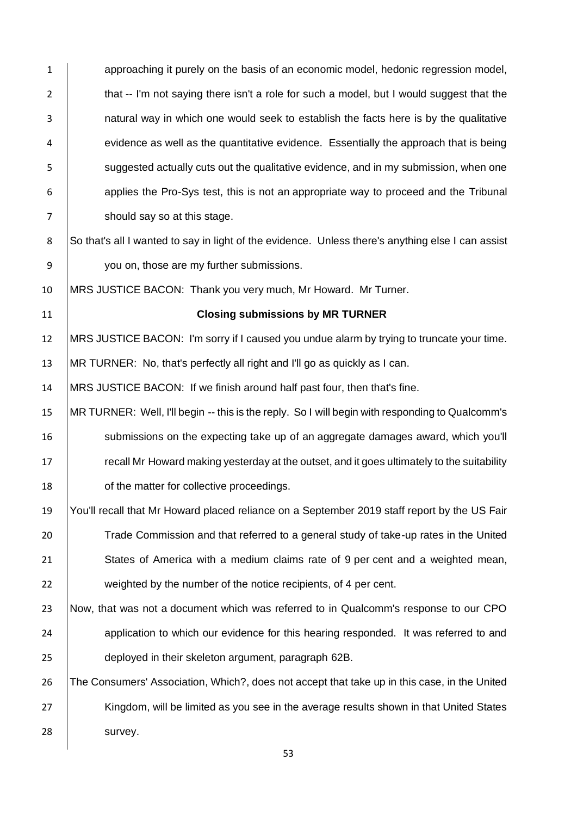1 approaching it purely on the basis of an economic model, hedonic regression model,  $\vert$  that -- I'm not saying there isn't a role for such a model, but I would suggest that the **1** natural way in which one would seek to establish the facts here is by the qualitative 4 evidence as well as the quantitative evidence. Essentially the approach that is being **SUPE SUGGESTED SUGGESTED SUGGEST** Suggested actually cuts out the qualitative evidence, and in my submission, when one | applies the Pro-Sys test, this is not an appropriate way to proceed and the Tribunal 7 | should say so at this stage. 8 So that's all I wanted to say in light of the evidence. Unless there's anything else I can assist you on, those are my further submissions. MRS JUSTICE BACON: Thank you very much, Mr Howard. Mr Turner. **Closing submissions by MR TURNER** MRS JUSTICE BACON: I'm sorry if I caused you undue alarm by trying to truncate your time. MR TURNER: No, that's perfectly all right and I'll go as quickly as I can. MRS JUSTICE BACON: If we finish around half past four, then that's fine. MR TURNER: Well, I'll begin -- this is the reply. So I will begin with responding to Qualcomm's **Submissions on the expecting take up of an aggregate damages award, which you'll Fig. 7** recall Mr Howard making yesterday at the outset, and it goes ultimately to the suitability **18** of the matter for collective proceedings. You'll recall that Mr Howard placed reliance on a September 2019 staff report by the US Fair 20 Trade Commission and that referred to a general study of take-up rates in the United 21 | States of America with a medium claims rate of 9 per cent and a weighted mean, 22 weighted by the number of the notice recipients, of 4 per cent. Now, that was not a document which was referred to in Qualcomm's response to our CPO 24 application to which our evidence for this hearing responded. It was referred to and deployed in their skeleton argument, paragraph 62B. The Consumers' Association, Which?, does not accept that take up in this case, in the United 27 Kingdom, will be limited as you see in the average results shown in that United States 28 | survey.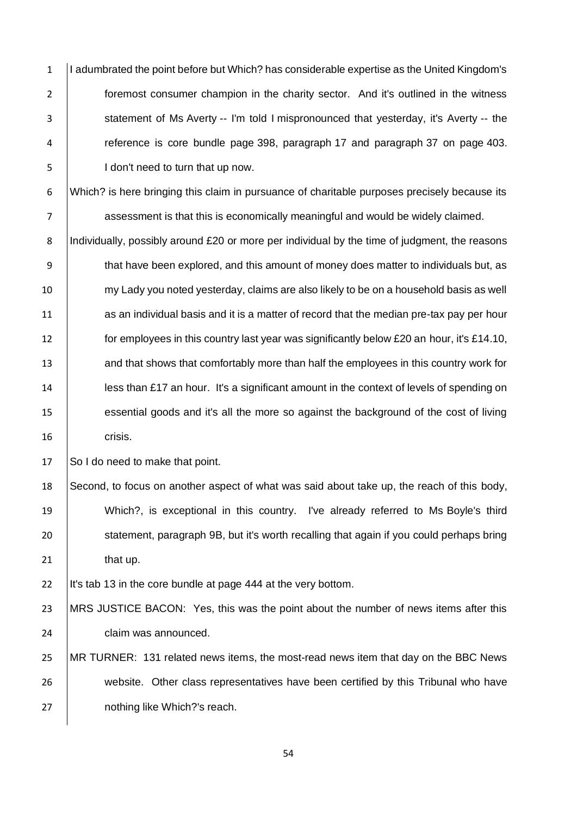I adumbrated the point before but Which? has considerable expertise as the United Kingdom's **foremost consumer champion in the charity sector.** And it's outlined in the witness 3 Statement of Ms Averty -- I'm told I mispronounced that yesterday, it's Averty -- the reference is core bundle page 398, paragraph 17 and paragraph 37 on page 403. 5 | I don't need to turn that up now.

 Which? is here bringing this claim in pursuance of charitable purposes precisely because its **Fig. 2** assessment is that this is economically meaningful and would be widely claimed.

8 |Individually, possibly around £20 or more per individual by the time of judgment, the reasons 9 | that have been explored, and this amount of money does matter to individuals but, as my Lady you noted yesterday, claims are also likely to be on a household basis as well 11 as an individual basis and it is a matter of record that the median pre-tax pay per hour 12 for employees in this country last year was significantly below £20 an hour, it's  $£14.10$ , **and that shows that comfortably more than half the employees in this country work for less than £17 an hour.** It's a significant amount in the context of levels of spending on essential goods and it's all the more so against the background of the cost of living **crisis.** 

17 So I do need to make that point.

 Second, to focus on another aspect of what was said about take up, the reach of this body, Which?, is exceptional in this country. I've already referred to Ms Boyle's third 20 Statement, paragraph 9B, but it's worth recalling that again if you could perhaps bring that up.

22 | It's tab 13 in the core bundle at page 444 at the very bottom.

 MRS JUSTICE BACON: Yes, this was the point about the number of news items after this **claim was announced.** 

 MR TURNER: 131 related news items, the most-read news item that day on the BBC News 26 website. Other class representatives have been certified by this Tribunal who have **Nothing like Which?'s reach.**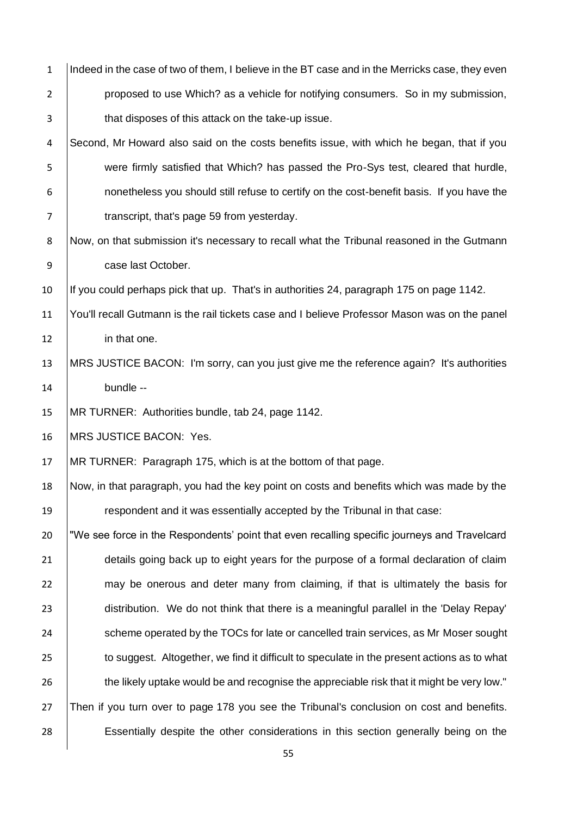| $\mathbf{1}$   | Indeed in the case of two of them, I believe in the BT case and in the Merricks case, they even |  |
|----------------|-------------------------------------------------------------------------------------------------|--|
| $\overline{2}$ | proposed to use Which? as a vehicle for notifying consumers. So in my submission,               |  |
| 3              | that disposes of this attack on the take-up issue.                                              |  |
| 4              | Second, Mr Howard also said on the costs benefits issue, with which he began, that if you       |  |
| 5              | were firmly satisfied that Which? has passed the Pro-Sys test, cleared that hurdle,             |  |
| 6              | nonetheless you should still refuse to certify on the cost-benefit basis. If you have the       |  |
| $\overline{7}$ | transcript, that's page 59 from yesterday.                                                      |  |
| 8              | Now, on that submission it's necessary to recall what the Tribunal reasoned in the Gutmann      |  |
| 9              | case last October.                                                                              |  |
| 10             | If you could perhaps pick that up. That's in authorities 24, paragraph 175 on page 1142.        |  |
| 11             | You'll recall Gutmann is the rail tickets case and I believe Professor Mason was on the panel   |  |
| 12             | in that one.                                                                                    |  |
| 13             | MRS JUSTICE BACON: I'm sorry, can you just give me the reference again? It's authorities        |  |
| 14             | bundle --                                                                                       |  |
| 15             | MR TURNER: Authorities bundle, tab 24, page 1142.                                               |  |
| 16             | MRS JUSTICE BACON: Yes.                                                                         |  |
| 17             | MR TURNER: Paragraph 175, which is at the bottom of that page.                                  |  |
| 18             | Now, in that paragraph, you had the key point on costs and benefits which was made by the       |  |
| 19             | respondent and it was essentially accepted by the Tribunal in that case:                        |  |
| 20             | "We see force in the Respondents' point that even recalling specific journeys and Travelcard    |  |
| 21             | details going back up to eight years for the purpose of a formal declaration of claim           |  |
| 22             | may be onerous and deter many from claiming, if that is ultimately the basis for                |  |
| 23             | distribution. We do not think that there is a meaningful parallel in the 'Delay Repay'          |  |
| 24             | scheme operated by the TOCs for late or cancelled train services, as Mr Moser sought            |  |
| 25             | to suggest. Altogether, we find it difficult to speculate in the present actions as to what     |  |
| 26             | the likely uptake would be and recognise the appreciable risk that it might be very low."       |  |
| 27             | Then if you turn over to page 178 you see the Tribunal's conclusion on cost and benefits.       |  |
| 28             | Essentially despite the other considerations in this section generally being on the             |  |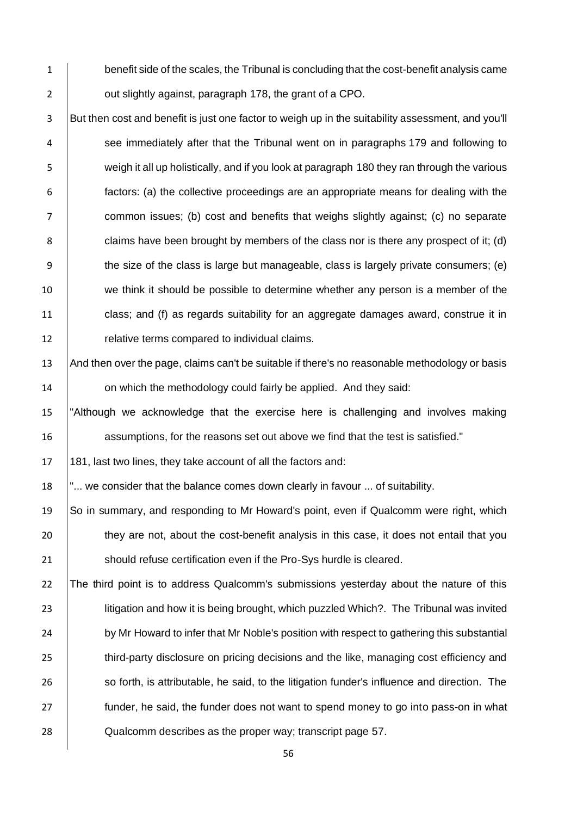1 benefit side of the scales, the Tribunal is concluding that the cost-benefit analysis came 2 **July 2** out slightly against, paragraph 178, the grant of a CPO.

3 But then cost and benefit is just one factor to weigh up in the suitability assessment, and you'll 4 see immediately after that the Tribunal went on in paragraphs 179 and following to 5 weigh it all up holistically, and if you look at paragraph 180 they ran through the various  $\overline{6}$  factors: (a) the collective proceedings are an appropriate means for dealing with the 7 common issues; (b) cost and benefits that weighs slightly against; (c) no separate 8 claims have been brought by members of the class nor is there any prospect of it; (d) 9 the size of the class is large but manageable, class is largely private consumers; (e) 10 we think it should be possible to determine whether any person is a member of the 11 class; and (f) as regards suitability for an aggregate damages award, construe it in 12 **Fig.** relative terms compared to individual claims.

13 And then over the page, claims can't be suitable if there's no reasonable methodology or basis 14 **find in the methodology could fairly be applied.** And they said:

15 "Although we acknowledge that the exercise here is challenging and involves making 16 **assumptions, for the reasons set out above we find that the test is satisfied."** 

17 181, last two lines, they take account of all the factors and:

18  $\parallel$ "... we consider that the balance comes down clearly in favour ... of suitability.

19 So in summary, and responding to Mr Howard's point, even if Qualcomm were right, which  $20$  they are not, about the cost-benefit analysis in this case, it does not entail that you 21 **Should refuse certification even if the Pro-Sys hurdle is cleared.** 

22 The third point is to address Qualcomm's submissions yesterday about the nature of this 23 **litigation and how it is being brought, which puzzled Which?. The Tribunal was invited** 24 by Mr Howard to infer that Mr Noble's position with respect to gathering this substantial 25 third-party disclosure on pricing decisions and the like, managing cost efficiency and 26 so forth, is attributable, he said, to the litigation funder's influence and direction. The 27 **funder, he said, the funder does not want to spend money to go into pass-on in what** 28 **Qualcomm describes as the proper way; transcript page 57.**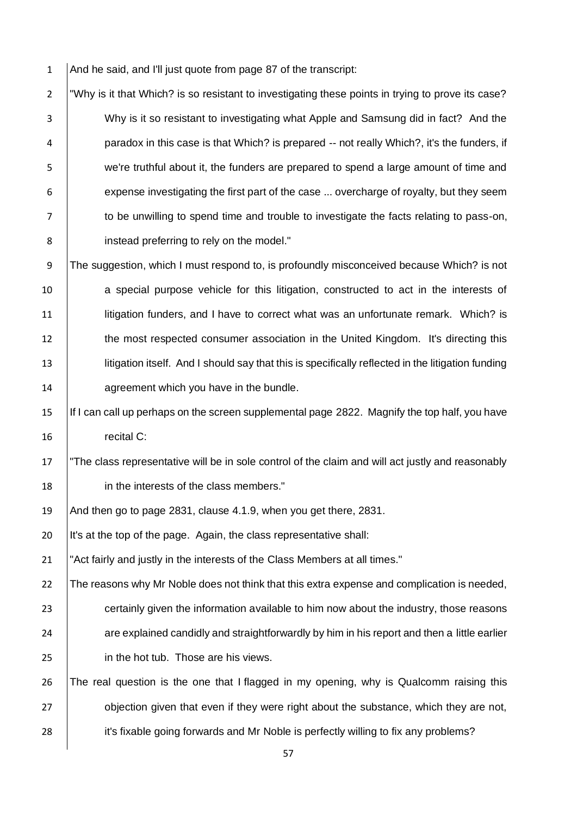1 And he said, and I'll just quote from page 87 of the transcript:

2 | Why is it that Which? is so resistant to investigating these points in trying to prove its case? Why is it so resistant to investigating what Apple and Samsung did in fact? And the **paradox in this case is that Which? is prepared -- not really Which?, it's the funders, if**  we're truthful about it, the funders are prepared to spend a large amount of time and 6 expense investigating the first part of the case ... overcharge of royalty, but they seem **to be unwilling to spend time and trouble to investigate the facts relating to pass-on, instead preferring to rely on the model.**"

 The suggestion, which I must respond to, is profoundly misconceived because Which? is not 10 a special purpose vehicle for this litigation, constructed to act in the interests of **litigation funders, and I have to correct what was an unfortunate remark.** Which? is 12 the most respected consumer association in the United Kingdom. It's directing this **litigation itself.** And I should say that this is specifically reflected in the litigation funding **14 agreement which you have in the bundle.** 

15 If I can call up perhaps on the screen supplemental page 2822. Magnify the top half, you have 16 | recital C:

17 The class representative will be in sole control of the claim and will act justly and reasonably 18 **in the interests of the class members.**"

19 And then go to page 2831, clause 4.1.9, when you get there, 2831.

20  $\vert$  It's at the top of the page. Again, the class representative shall:

21 | "Act fairly and justly in the interests of the Class Members at all times."

 $\vert$  The reasons why Mr Noble does not think that this extra expense and complication is needed, **Fig.** certainly given the information available to him now about the industry, those reasons 24 are explained candidly and straightforwardly by him in his report and then a little earlier **in the hot tub. Those are his views.** 

26 The real question is the one that I flagged in my opening, why is Qualcomm raising this 27 **objection given that even if they were right about the substance, which they are not,** 28 it's fixable going forwards and Mr Noble is perfectly willing to fix any problems?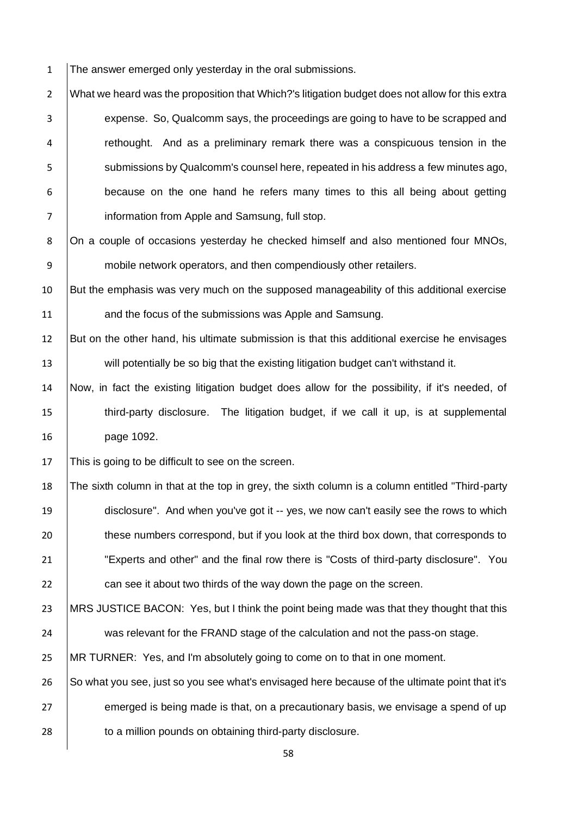1 The answer emerged only yesterday in the oral submissions.

2 What we heard was the proposition that Which?'s litigation budget does not allow for this extra expense. So, Qualcomm says, the proceedings are going to have to be scrapped and **Fig. 2** rethought. And as a preliminary remark there was a conspicuous tension in the 5 | submissions by Qualcomm's counsel here, repeated in his address a few minutes ago, because on the one hand he refers many times to this all being about getting **information from Apple and Samsung, full stop.** 

8 On a couple of occasions yesterday he checked himself and also mentioned four MNOs, mobile network operators, and then compendiously other retailers.

 But the emphasis was very much on the supposed manageability of this additional exercise **All is constructed and the focus of the submissions was Apple and Samsung.** 

 But on the other hand, his ultimate submission is that this additional exercise he envisages 13 will potentially be so big that the existing litigation budget can't withstand it.

 Now, in fact the existing litigation budget does allow for the possibility, if it's needed, of **third-party disclosure.** The litigation budget, if we call it up, is at supplemental page 1092.

17 This is going to be difficult to see on the screen.

 The sixth column in that at the top in grey, the sixth column is a column entitled "Third-party disclosure". And when you've got it -- yes, we now can't easily see the rows to which 20 these numbers correspond, but if you look at the third box down, that corresponds to **The Step 1** "Experts and other" and the final row there is "Costs of third-party disclosure". You can see it about two thirds of the way down the page on the screen.

23 | MRS JUSTICE BACON: Yes, but I think the point being made was that they thought that this 24 was relevant for the FRAND stage of the calculation and not the pass-on stage.

MR TURNER: Yes, and I'm absolutely going to come on to that in one moment.

26 So what you see, just so you see what's envisaged here because of the ultimate point that it's 27 emerged is being made is that, on a precautionary basis, we envisage a spend of up **to a million pounds on obtaining third-party disclosure.**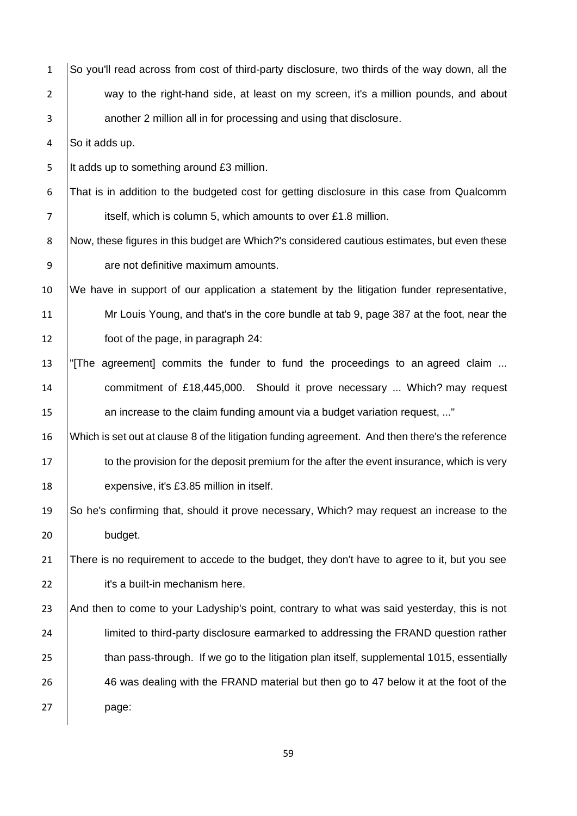| $\mathbf{1}$   | So you'll read across from cost of third-party disclosure, two thirds of the way down, all the   |  |
|----------------|--------------------------------------------------------------------------------------------------|--|
| $\overline{2}$ | way to the right-hand side, at least on my screen, it's a million pounds, and about              |  |
| 3              | another 2 million all in for processing and using that disclosure.                               |  |
| 4              | So it adds up.                                                                                   |  |
| 5              | It adds up to something around £3 million.                                                       |  |
| 6              | That is in addition to the budgeted cost for getting disclosure in this case from Qualcomm       |  |
| $\overline{7}$ | itself, which is column 5, which amounts to over £1.8 million.                                   |  |
| 8              | Now, these figures in this budget are Which?'s considered cautious estimates, but even these     |  |
| 9              | are not definitive maximum amounts.                                                              |  |
| 10             | We have in support of our application a statement by the litigation funder representative,       |  |
| 11             | Mr Louis Young, and that's in the core bundle at tab 9, page 387 at the foot, near the           |  |
| 12             | foot of the page, in paragraph 24:                                                               |  |
| 13             | "[The agreement] commits the funder to fund the proceedings to an agreed claim                   |  |
| 14             | commitment of £18,445,000. Should it prove necessary  Which? may request                         |  |
| 15             | an increase to the claim funding amount via a budget variation request, "                        |  |
| 16             | Which is set out at clause 8 of the litigation funding agreement. And then there's the reference |  |
| 17             | to the provision for the deposit premium for the after the event insurance, which is very        |  |
| 18             | expensive, it's £3.85 million in itself.                                                         |  |
| 19             | So he's confirming that, should it prove necessary, Which? may request an increase to the        |  |
| 20             | budget.                                                                                          |  |
| 21             | There is no requirement to accede to the budget, they don't have to agree to it, but you see     |  |
| 22             | it's a built-in mechanism here.                                                                  |  |
| 23             | And then to come to your Ladyship's point, contrary to what was said yesterday, this is not      |  |
| 24             | limited to third-party disclosure earmarked to addressing the FRAND question rather              |  |
| 25             | than pass-through. If we go to the litigation plan itself, supplemental 1015, essentially        |  |
| 26             | 46 was dealing with the FRAND material but then go to 47 below it at the foot of the             |  |
| 27             | page:                                                                                            |  |
|                |                                                                                                  |  |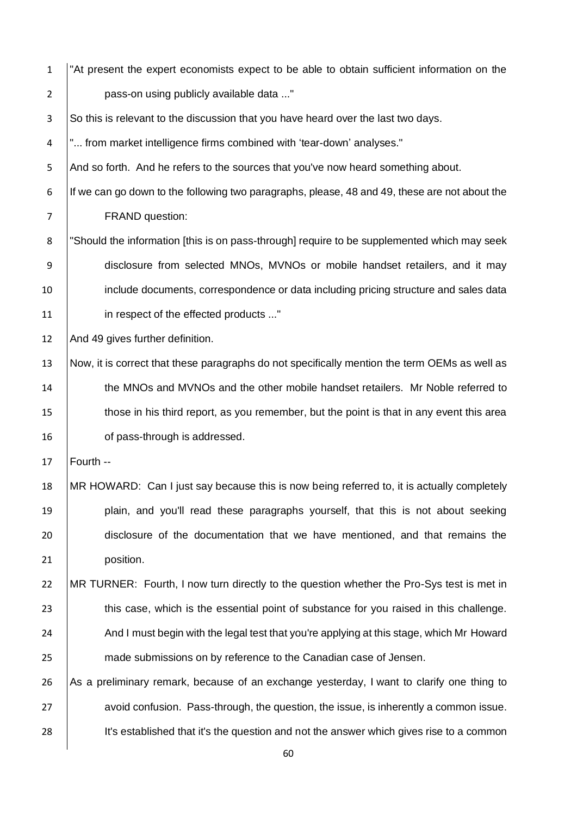| $\mathbf{1}$   | "At present the expert economists expect to be able to obtain sufficient information on the   |  |
|----------------|-----------------------------------------------------------------------------------------------|--|
| $\overline{2}$ | pass-on using publicly available data "                                                       |  |
| 3              | So this is relevant to the discussion that you have heard over the last two days.             |  |
| 4              | " from market intelligence firms combined with 'tear-down' analyses."                         |  |
| 5              | And so forth. And he refers to the sources that you've now heard something about.             |  |
| 6              | If we can go down to the following two paragraphs, please, 48 and 49, these are not about the |  |
| $\overline{7}$ | FRAND question:                                                                               |  |
| 8              | "Should the information [this is on pass-through] require to be supplemented which may seek   |  |
| 9              | disclosure from selected MNOs, MVNOs or mobile handset retailers, and it may                  |  |
| 10             | include documents, correspondence or data including pricing structure and sales data          |  |
| 11             | in respect of the effected products "                                                         |  |
| 12             | And 49 gives further definition.                                                              |  |
| 13             | Now, it is correct that these paragraphs do not specifically mention the term OEMs as well as |  |
| 14             | the MNOs and MVNOs and the other mobile handset retailers. Mr Noble referred to               |  |
| 15             | those in his third report, as you remember, but the point is that in any event this area      |  |
| 16             | of pass-through is addressed.                                                                 |  |
| 17             | Fourth --                                                                                     |  |
| 18             | MR HOWARD: Can I just say because this is now being referred to, it is actually completely    |  |
| 19             | plain, and you'll read these paragraphs yourself, that this is not about seeking              |  |
| 20             | disclosure of the documentation that we have mentioned, and that remains the                  |  |
| 21             | position.                                                                                     |  |
| 22             | MR TURNER: Fourth, I now turn directly to the question whether the Pro-Sys test is met in     |  |
| 23             | this case, which is the essential point of substance for you raised in this challenge.        |  |
| 24             | And I must begin with the legal test that you're applying at this stage, which Mr Howard      |  |
| 25             | made submissions on by reference to the Canadian case of Jensen.                              |  |
| 26             | As a preliminary remark, because of an exchange yesterday, I want to clarify one thing to     |  |
| 27             | avoid confusion. Pass-through, the question, the issue, is inherently a common issue.         |  |
| 28             | It's established that it's the question and not the answer which gives rise to a common       |  |
|                | 60                                                                                            |  |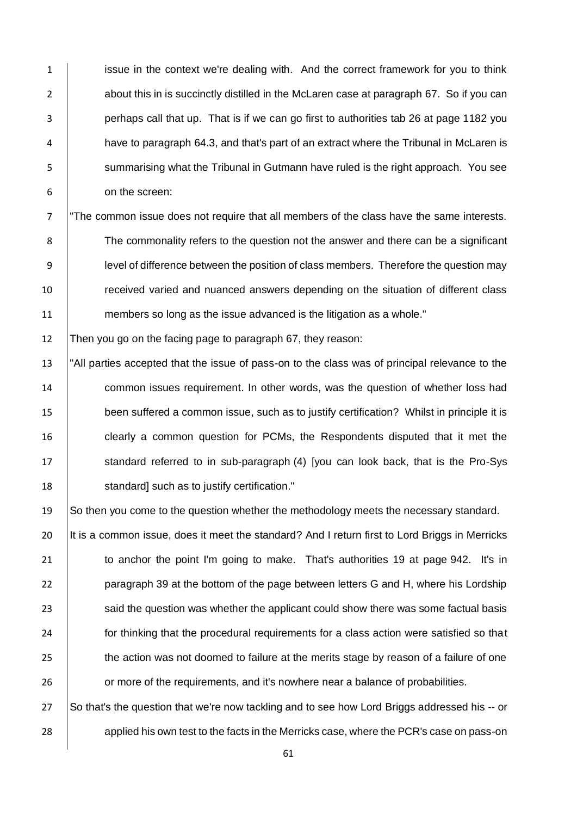1 | issue in the context we're dealing with. And the correct framework for you to think 2 about this in is succinctly distilled in the McLaren case at paragraph 67. So if you can 3 **perhaps call that up. That is if we can go first to authorities tab 26 at page 1182 you** 4 have to paragraph 64.3, and that's part of an extract where the Tribunal in McLaren is 5 Summarising what the Tribunal in Gutmann have ruled is the right approach. You see 6 on the screen:

7 The common issue does not require that all members of the class have the same interests. 8 The commonality refers to the question not the answer and there can be a significant 9 level of difference between the position of class members. Therefore the question may 10 Teceived varied and nuanced answers depending on the situation of different class 11 members so long as the issue advanced is the litigation as a whole."

12 Then you go on the facing page to paragraph 67, they reason:

 "All parties accepted that the issue of pass-on to the class was of principal relevance to the common issues requirement. In other words, was the question of whether loss had **been suffered a common issue, such as to justify certification?** Whilst in principle it is clearly a common question for PCMs, the Respondents disputed that it met the  $\parallel$  standard referred to in sub-paragraph (4) [you can look back, that is the Pro-Sys **Standard** such as to justify certification."

19 So then you come to the question whether the methodology meets the necessary standard.

20 It is a common issue, does it meet the standard? And I return first to Lord Briggs in Merricks 21 **to anchor the point I'm going to make.** That's authorities 19 at page 942. It's in 22 **paragraph 39 at the bottom of the page between letters G and H, where his Lordship** 23 said the question was whether the applicant could show there was some factual basis 24 **for thinking that the procedural requirements for a class action were satisfied so that** 25 the action was not doomed to failure at the merits stage by reason of a failure of one 26 or more of the requirements, and it's nowhere near a balance of probabilities.

27 So that's the question that we're now tackling and to see how Lord Briggs addressed his -- or 28 applied his own test to the facts in the Merricks case, where the PCR's case on pass-on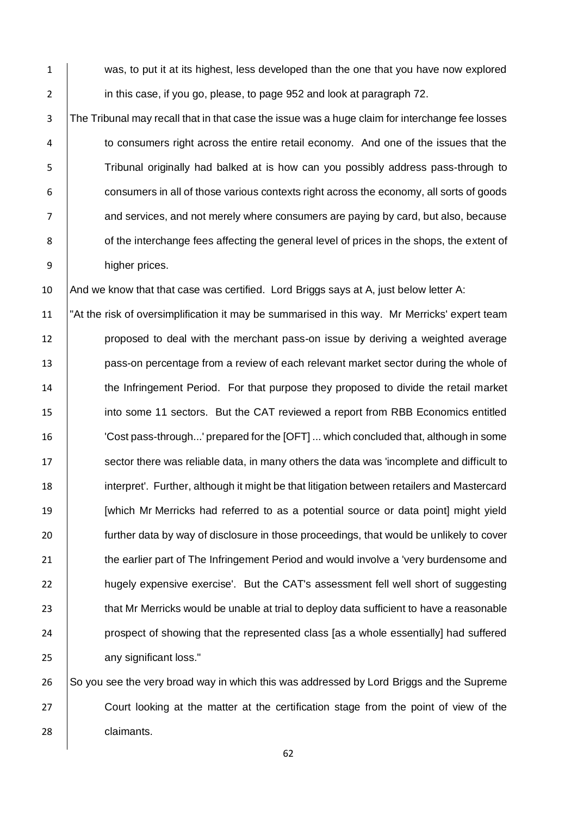1 was, to put it at its highest, less developed than the one that you have now explored **in this case, if you go, please, to page 952 and look at paragraph 72.** 

3 The Tribunal may recall that in that case the issue was a huge claim for interchange fee losses 4 to consumers right across the entire retail economy. And one of the issues that the 5 Tribunal originally had balked at is how can you possibly address pass-through to **consumers in all of those various contexts right across the economy, all sorts of goods Fig. 2** and services, and not merely where consumers are paying by card, but also, because 8 of the interchange fees affecting the general level of prices in the shops, the extent of higher prices.

10  $\vert$  And we know that that case was certified. Lord Briggs says at A, just below letter A:

 "At the risk of oversimplification it may be summarised in this way. Mr Merricks' expert team proposed to deal with the merchant pass-on issue by deriving a weighted average **pass-on percentage from a review of each relevant market sector during the whole of** 14 the Infringement Period. For that purpose they proposed to divide the retail market into some 11 sectors. But the CAT reviewed a report from RBB Economics entitled 'Cost pass-through...' prepared for the [OFT] ... which concluded that, although in some 17 Sector there was reliable data, in many others the data was 'incomplete and difficult to interpret'. Further, although it might be that litigation between retailers and Mastercard [which Mr Merricks had referred to as a potential source or data point] might yield **further data by way of disclosure in those proceedings, that would be unlikely to cover the earlier part of The Infringement Period and would involve a 'very burdensome and hugely expensive exercise'.** But the CAT's assessment fell well short of suggesting **that Mr Merricks would be unable at trial to deploy data sufficient to have a reasonable** 24 prospect of showing that the represented class [as a whole essentially] had suffered any significant loss."

26 So you see the very broad way in which this was addressed by Lord Briggs and the Supreme 27 Court looking at the matter at the certification stage from the point of view of the **claimants**.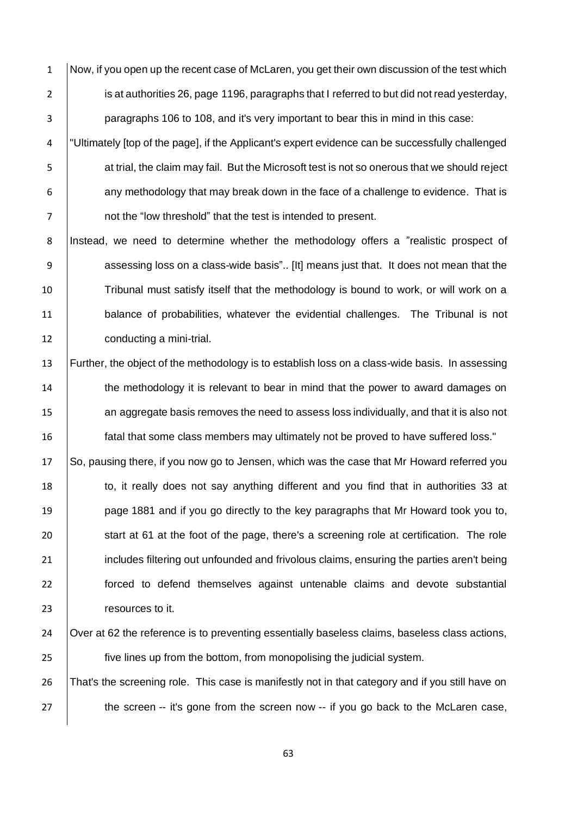1 Now, if you open up the recent case of McLaren, you get their own discussion of the test which **is at authorities 26, page 1196, paragraphs that I referred to but did not read yesterday, paragraphs 106 to 108, and it's very important to bear this in mind in this case:** 

4 | "Ultimately [top of the page], if the Applicant's expert evidence can be successfully challenged **b** at trial, the claim may fail. But the Microsoft test is not so onerous that we should reject  $6 \mid$  any methodology that may break down in the face of a challenge to evidence. That is **not the "low threshold"** that the test is intended to present.

8 Instead, we need to determine whether the methodology offers a "realistic prospect of 9 <br>assessing loss on a class-wide basis".. [It] means just that. It does not mean that the 10 Tribunal must satisfy itself that the methodology is bound to work, or will work on a balance of probabilities, whatever the evidential challenges. The Tribunal is not **conducting a mini-trial.** 

 Further, the object of the methodology is to establish loss on a class-wide basis. In assessing 14 the methodology it is relevant to bear in mind that the power to award damages on **and aggregate basis removes the need to assess loss individually, and that it is also not** fatal that some class members may ultimately not be proved to have suffered loss."

17 So, pausing there, if you now go to Jensen, which was the case that Mr Howard referred you 18 to, it really does not say anything different and you find that in authorities 33 at page 1881 and if you go directly to the key paragraphs that Mr Howard took you to, 20 Start at 61 at the foot of the page, there's a screening role at certification. The role 21 includes filtering out unfounded and frivolous claims, ensuring the parties aren't being **forced** to defend themselves against untenable claims and devote substantial **canadiate is constructed** resources to it.

## Over at 62 the reference is to preventing essentially baseless claims, baseless class actions, **five lines up from the bottom, from monopolising the judicial system.**

 That's the screening role. This case is manifestly not in that category and if you still have on the screen -- it's gone from the screen now -- if you go back to the McLaren case,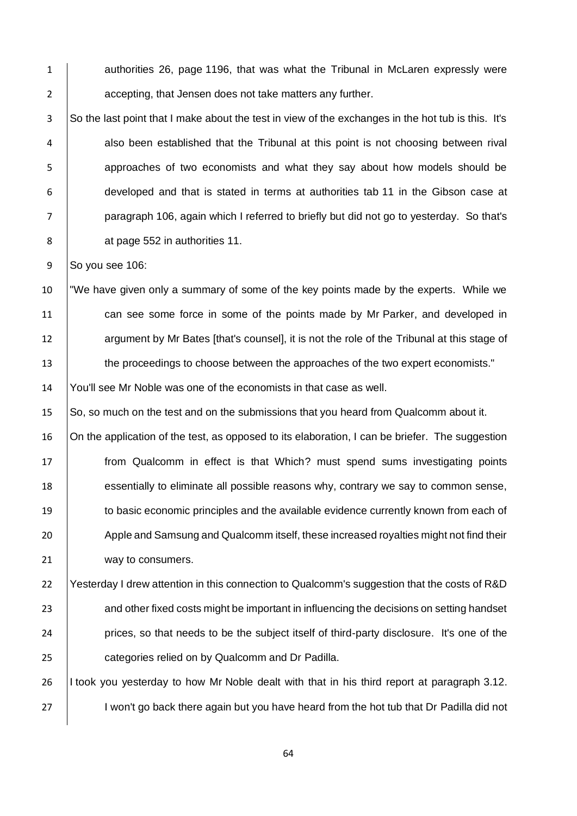1 authorities 26, page 1196, that was what the Tribunal in McLaren expressly were 2 **accepting, that Jensen does not take matters any further.** 

3 So the last point that I make about the test in view of the exchanges in the hot tub is this. It's 4 also been established that the Tribunal at this point is not choosing between rival 5 **b** approaches of two economists and what they say about how models should be 6 developed and that is stated in terms at authorities tab 11 in the Gibson case at 7 | paragraph 106, again which I referred to briefly but did not go to yesterday. So that's 8 at page 552 in authorities 11.

9 So you see 106:

10 "We have given only a summary of some of the key points made by the experts. While we 11 **can see some force in some of the points made by Mr Parker, and developed in** 12 argument by Mr Bates [that's counsel], it is not the role of the Tribunal at this stage of 13 the proceedings to choose between the approaches of the two expert economists."

14 You'll see Mr Noble was one of the economists in that case as well.

15 So, so much on the test and on the submissions that you heard from Qualcomm about it.

16 | On the application of the test, as opposed to its elaboration, I can be briefer. The suggestion 17 from Qualcomm in effect is that Which? must spend sums investigating points 18 **essentially to eliminate all possible reasons why, contrary we say to common sense,** 19 to basic economic principles and the available evidence currently known from each of 20 Apple and Samsung and Qualcomm itself, these increased royalties might not find their 21 | way to consumers.

22 Yesterday I drew attention in this connection to Qualcomm's suggestion that the costs of R&D 23 and other fixed costs might be important in influencing the decisions on setting handset 24 prices, so that needs to be the subject itself of third-party disclosure. It's one of the 25 **categories relied on by Qualcomm and Dr Padilla.** 

26 I took you yesterday to how Mr Noble dealt with that in his third report at paragraph 3.12. 27 I won't go back there again but you have heard from the hot tub that Dr Padilla did not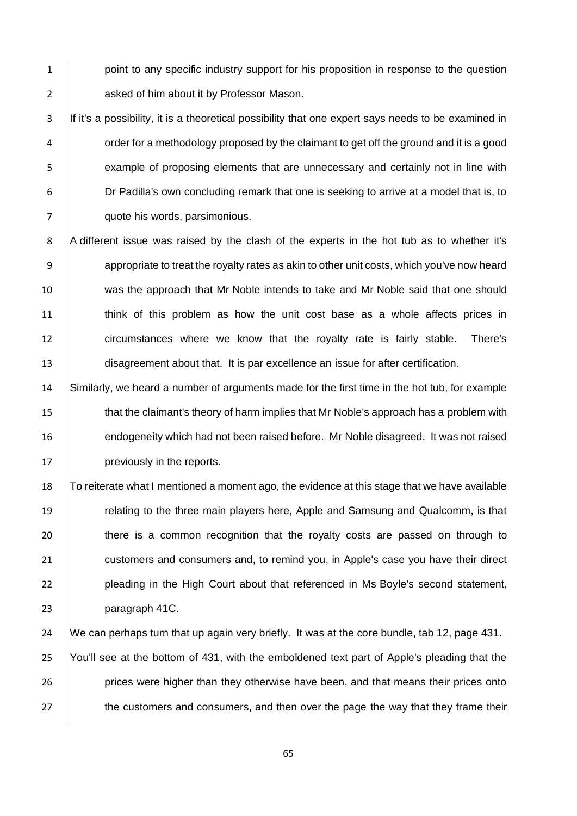1 | point to any specific industry support for his proposition in response to the question **asked of him about it by Professor Mason.** 

3 If it's a possibility, it is a theoretical possibility that one expert says needs to be examined in **finally a** order for a methodology proposed by the claimant to get off the ground and it is a good 5 example of proposing elements that are unnecessary and certainly not in line with Dr Padilla's own concluding remark that one is seeking to arrive at a model that is, to 7 | quote his words, parsimonious.

8 A different issue was raised by the clash of the experts in the hot tub as to whether it's 9 <br>appropriate to treat the royalty rates as akin to other unit costs, which you've now heard was the approach that Mr Noble intends to take and Mr Noble said that one should 11 think of this problem as how the unit cost base as a whole affects prices in **circumstances where we know that the royalty rate is fairly stable.** There's disagreement about that. It is par excellence an issue for after certification.

 Similarly, we heard a number of arguments made for the first time in the hot tub, for example **that the claimant's theory of harm implies that Mr Noble's approach has a problem with endogeneity which had not been raised before.** Mr Noble disagreed. It was not raised **previously in the reports.** 

 To reiterate what I mentioned a moment ago, the evidence at this stage that we have available relating to the three main players here, Apple and Samsung and Qualcomm, is that 20 there is a common recognition that the royalty costs are passed on through to **customers and consumers and, to remind you, in Apple's case you have their direct pleading in the High Court about that referenced in Ms Boyle's second statement, paragraph 41C.** 

24 We can perhaps turn that up again very briefly. It was at the core bundle, tab 12, page 431. You'll see at the bottom of 431, with the emboldened text part of Apple's pleading that the **prices were higher than they otherwise have been, and that means their prices onto** 27 the customers and consumers, and then over the page the way that they frame their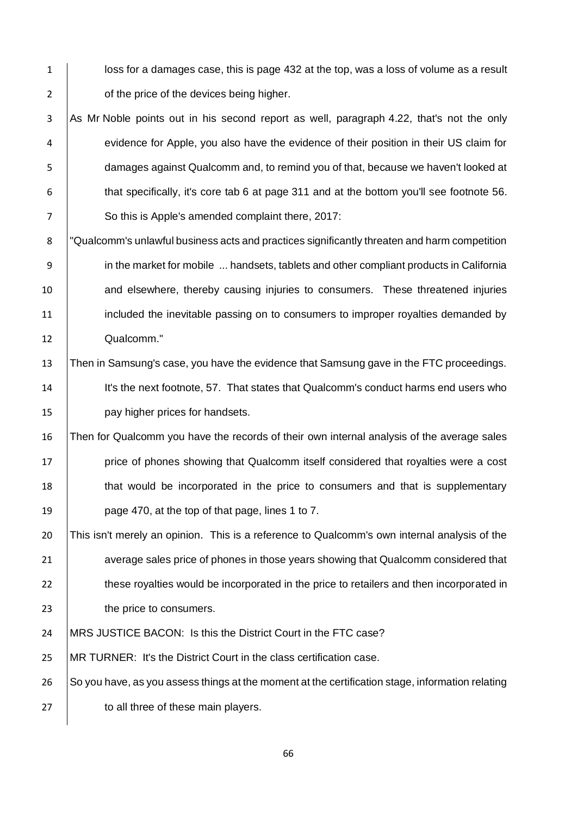1 | loss for a damages case, this is page 432 at the top, was a loss of volume as a result **b** of the price of the devices being higher.

3 As Mr Noble points out in his second report as well, paragraph 4.22, that's not the only 4 evidence for Apple, you also have the evidence of their position in their US claim for damages against Qualcomm and, to remind you of that, because we haven't looked at **that specifically, it's core tab 6 at page 311 and at the bottom you'll see footnote 56.** 7 | So this is Apple's amended complaint there, 2017:

- 8 | "Qualcomm's unlawful business acts and practices significantly threaten and harm competition 9 | in the market for mobile ... handsets, tablets and other compliant products in California **and elsewhere, thereby causing injuries to consumers.** These threatened injuries included the inevitable passing on to consumers to improper royalties demanded by Qualcomm."
- Then in Samsung's case, you have the evidence that Samsung gave in the FTC proceedings. 14 It's the next footnote, 57. That states that Qualcomm's conduct harms end users who pay higher prices for handsets.

 Then for Qualcomm you have the records of their own internal analysis of the average sales **price of phones showing that Qualcomm itself considered that royalties were a cost** 18 that would be incorporated in the price to consumers and that is supplementary page 470, at the top of that page, lines 1 to 7.

 This isn't merely an opinion. This is a reference to Qualcomm's own internal analysis of the 21 average sales price of phones in those years showing that Qualcomm considered that 22 these royalties would be incorporated in the price to retailers and then incorporated in **the price to consumers.** 

MRS JUSTICE BACON: Is this the District Court in the FTC case?

MR TURNER: It's the District Court in the class certification case.

26 So you have, as you assess things at the moment at the certification stage, information relating

**to all three of these main players.**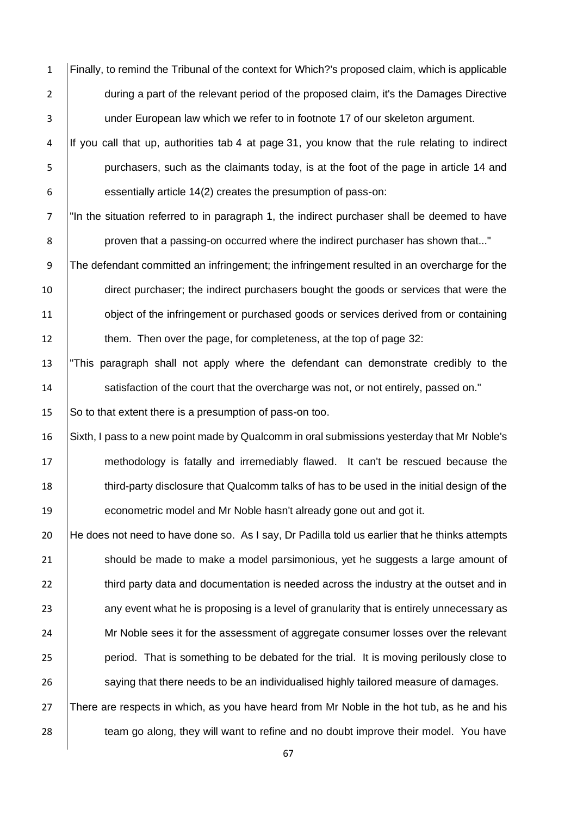1 Finally, to remind the Tribunal of the context for Which?'s proposed claim, which is applicable 2 during a part of the relevant period of the proposed claim, it's the Damages Directive 3 | under European law which we refer to in footnote 17 of our skeleton argument. 4 If you call that up, authorities tab 4 at page 31, you know that the rule relating to indirect 5 purchasers, such as the claimants today, is at the foot of the page in article 14 and  $\begin{array}{c|c} 6 & \end{array}$  essentially article 14(2) creates the presumption of pass-on: 7 | "In the situation referred to in paragraph 1, the indirect purchaser shall be deemed to have 8 **proven that a passing-on occurred where the indirect purchaser has shown that..."** 9 The defendant committed an infringement; the infringement resulted in an overcharge for the 10 direct purchaser; the indirect purchasers bought the goods or services that were the 11 **budge object of the infringement or purchased goods or services derived from or containing** 12 **them.** Then over the page, for completeness, at the top of page 32: 13 "This paragraph shall not apply where the defendant can demonstrate credibly to the 14 Satisfaction of the court that the overcharge was not, or not entirely, passed on." 15 So to that extent there is a presumption of pass-on too. 16 Sixth, I pass to a new point made by Qualcomm in oral submissions yesterday that Mr Noble's 17 **methodology is fatally and irremediably flawed.** It can't be rescued because the 18 third-party disclosure that Qualcomm talks of has to be used in the initial design of the 19 econometric model and Mr Noble hasn't already gone out and got it. 20 He does not need to have done so. As I say, Dr Padilla told us earlier that he thinks attempts 21 Should be made to make a model parsimonious, yet he suggests a large amount of 22 third party data and documentation is needed across the industry at the outset and in  $23$   $\Box$  any event what he is proposing is a level of granularity that is entirely unnecessary as 24 Mr Noble sees it for the assessment of aggregate consumer losses over the relevant 25 **period.** That is something to be debated for the trial. It is moving perilously close to 26 **Saying that there needs to be an individualised highly tailored measure of damages.** 27 There are respects in which, as you have heard from Mr Noble in the hot tub, as he and his 28 team go along, they will want to refine and no doubt improve their model. You have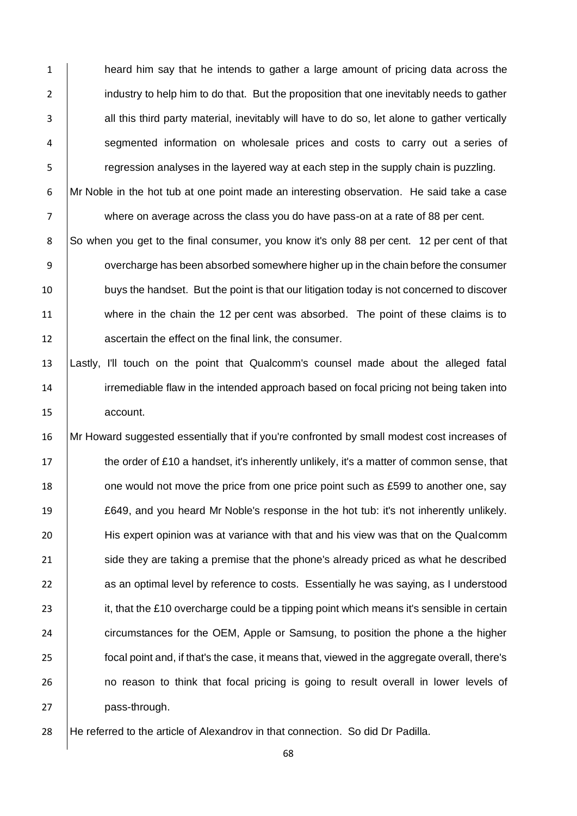1 **heard him say that he intends to gather a large amount of pricing data across the** 2 industry to help him to do that. But the proposition that one inevitably needs to gather 3 all this third party material, inevitably will have to do so, let alone to gather vertically 4 Segmented information on wholesale prices and costs to carry out a series of 5 **Fig.** regression analyses in the layered way at each step in the supply chain is puzzling.

6 Mr Noble in the hot tub at one point made an interesting observation. He said take a case 7 where on average across the class you do have pass-on at a rate of 88 per cent.

8 So when you get to the final consumer, you know it's only 88 per cent. 12 per cent of that 9 vercharge has been absorbed somewhere higher up in the chain before the consumer 10 buys the handset. But the point is that our litigation today is not concerned to discover 11 where in the chain the 12 per cent was absorbed. The point of these claims is to 12 **ascertain the effect on the final link, the consumer.** 

13 Lastly, I'll touch on the point that Qualcomm's counsel made about the alleged fatal 14 irremediable flaw in the intended approach based on focal pricing not being taken into 15 account.

16 Mr Howard suggested essentially that if you're confronted by small modest cost increases of 17  $\parallel$  the order of £10 a handset, it's inherently unlikely, it's a matter of common sense, that 18 **finally one would not move the price from one price point such as £599 to another one, say** 19 £649, and you heard Mr Noble's response in the hot tub: it's not inherently unlikely. 20 His expert opinion was at variance with that and his view was that on the Qualcomm 21 | side they are taking a premise that the phone's already priced as what he described 22 **a**s an optimal level by reference to costs. Essentially he was saying, as I understood 23 it, that the £10 overcharge could be a tipping point which means it's sensible in certain 24 circumstances for the OEM, Apple or Samsung, to position the phone a the higher 25 **focal point and, if that's the case, it means that, viewed in the aggregate overall, there's** 26 **no reason to think that focal pricing is going to result overall in lower levels of** 27 **pass-through.** 

- 28 He referred to the article of Alexandrov in that connection. So did Dr Padilla.
	- 68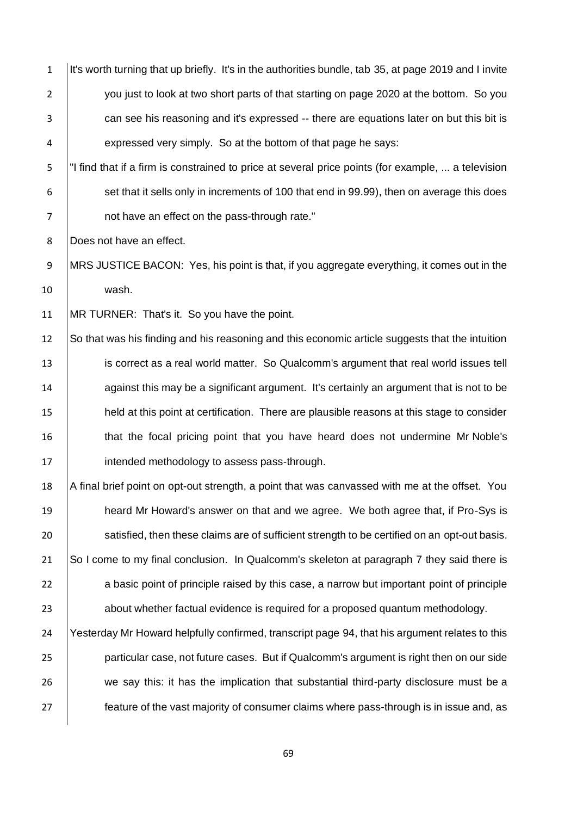It's worth turning that up briefly. It's in the authorities bundle, tab 35, at page 2019 and I invite 2 you just to look at two short parts of that starting on page 2020 at the bottom. So you **can see his reasoning and it's expressed** -- there are equations later on but this bit is 4 expressed very simply. So at the bottom of that page he says: 5 | "I find that if a firm is constrained to price at several price points (for example, ... a television 6 set that it sells only in increments of 100 that end in 99.99), then on average this does **Fig.** not have an effect on the pass-through rate." **Does not have an effect.** 9 | MRS JUSTICE BACON: Yes, his point is that, if you aggregate everything, it comes out in the wash. MR TURNER: That's it. So you have the point. 12 So that was his finding and his reasoning and this economic article suggests that the intuition is correct as a real world matter. So Qualcomm's argument that real world issues tell **14** against this may be a significant argument. It's certainly an argument that is not to be **held at this point at certification.** There are plausible reasons at this stage to consider **that the focal pricing point that you have heard does not undermine Mr Noble's intended methodology to assess pass-through.** 18 A final brief point on opt-out strength, a point that was canvassed with me at the offset. You heard Mr Howard's answer on that and we agree. We both agree that, if Pro-Sys is **Satisfied, then these claims are of sufficient strength to be certified on an opt-out basis.** 21 So I come to my final conclusion. In Qualcomm's skeleton at paragraph 7 they said there is 22 a basic point of principle raised by this case, a narrow but important point of principle **about whether factual evidence is required for a proposed quantum methodology.**  Yesterday Mr Howard helpfully confirmed, transcript page 94, that his argument relates to this **particular case, not future cases. But if Qualcomm's argument is right then on our side** 26 we say this: it has the implication that substantial third-party disclosure must be a **feature of the vast majority of consumer claims where pass-through is in issue and, as**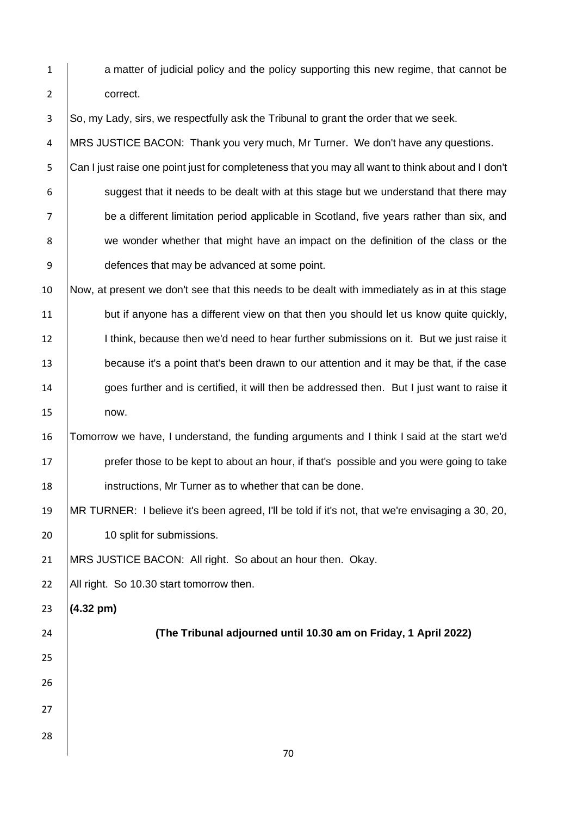1 a matter of judicial policy and the policy supporting this new regime, that cannot be 2 correct. 3 So, my Lady, sirs, we respectfully ask the Tribunal to grant the order that we seek.

4 | MRS JUSTICE BACON: Thank you very much, Mr Turner. We don't have any questions. 5 Can I just raise one point just for completeness that you may all want to think about and I don't 6 suggest that it needs to be dealt with at this stage but we understand that there may 7 be a different limitation period applicable in Scotland, five years rather than six, and 8 we wonder whether that might have an impact on the definition of the class or the 9 defences that may be advanced at some point.

10 Now, at present we don't see that this needs to be dealt with immediately as in at this stage  $11$  but if anyone has a different view on that then you should let us know quite quickly, 12 I think, because then we'd need to hear further submissions on it. But we just raise it 13 because it's a point that's been drawn to our attention and it may be that, if the case 14 goes further and is certified, it will then be addressed then. But I just want to raise it 15 now.

16 Tomorrow we have, I understand, the funding arguments and I think I said at the start we'd  $17$  prefer those to be kept to about an hour, if that's possible and you were going to take 18 instructions, Mr Turner as to whether that can be done.

19 MR TURNER: I believe it's been agreed, I'll be told if it's not, that we're envisaging a 30, 20, 20 10 split for submissions.

21 | MRS JUSTICE BACON: All right. So about an hour then. Okay.

22 All right. So 10.30 start tomorrow then.

23 **(4.32 pm)**

24 **(The Tribunal adjourned until 10.30 am on Friday, 1 April 2022)**  25 26

27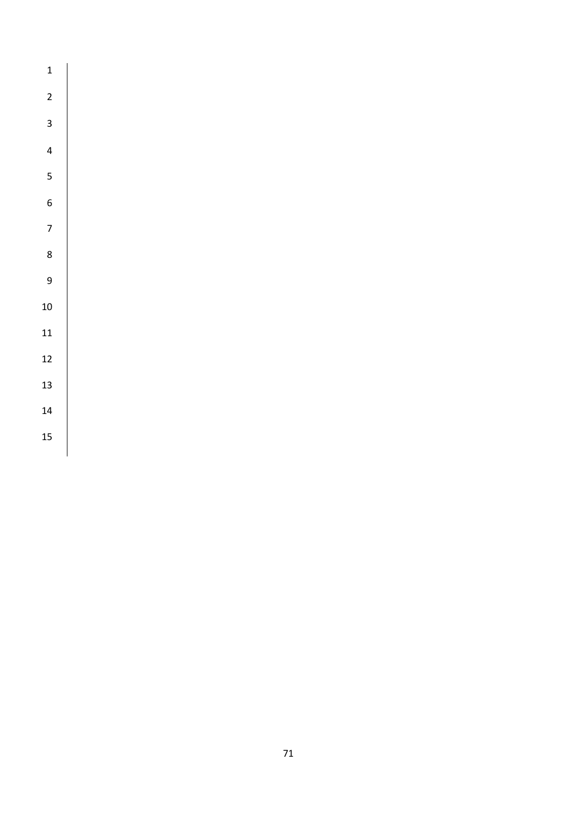1  $\overline{2}$ 23456789  $\overline{\mathbf{3}}$  $\overline{a}$  $\overline{5}$  $\overline{6}$  $\overline{7}$ 8  $\overline{9}$ 10 11 12 13 14 15